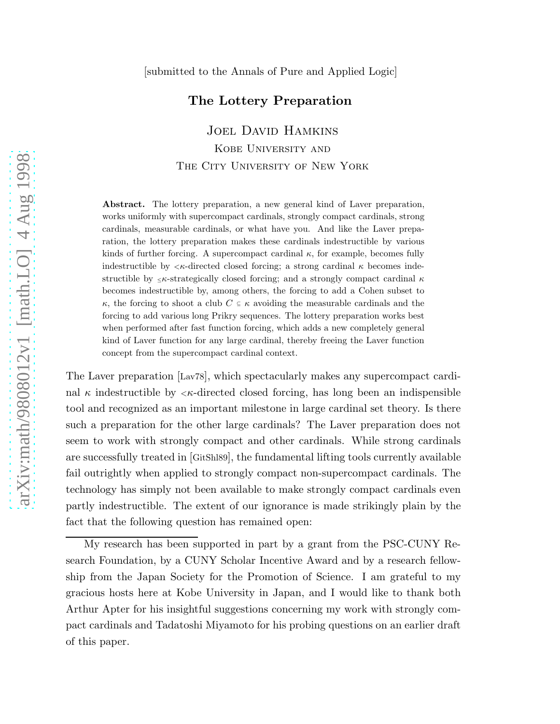#### The Lottery Preparation

Joel David Hamkins

Kobe University and THE CITY UNIVERSITY OF NEW YORK

Abstract. The lottery preparation, a new general kind of Laver preparation, works uniformly with supercompact cardinals, strongly compact cardinals, strong cardinals, measurable cardinals, or what have you. And like the Laver preparation, the lottery preparation makes these cardinals indestructible by various kinds of further forcing. A supercompact cardinal  $\kappa$ , for example, becomes fully indestructible by  $\langle \kappa \rangle$ -directed closed forcing; a strong cardinal  $\kappa$  becomes indestructible by  $\leq \kappa$ -strategically closed forcing; and a strongly compact cardinal  $\kappa$ becomes indestructible by, among others, the forcing to add a Cohen subset to  $\kappa$ , the forcing to shoot a club  $C \subseteq \kappa$  avoiding the measurable cardinals and the forcing to add various long Prikry sequences. The lottery preparation works best when performed after fast function forcing, which adds a new completely general kind of Laver function for any large cardinal, thereby freeing the Laver function concept from the supercompact cardinal context.

The Laver preparation [Lav78], which spectacularly makes any supercompact cardinal  $\kappa$  indestructible by  $\langle \kappa$ -directed closed forcing, has long been an indispensible tool and recognized as an important milestone in large cardinal set theory. Is there such a preparation for the other large cardinals? The Laver preparation does not seem to work with strongly compact and other cardinals. While strong cardinals are successfully treated in [GitShl89], the fundamental lifting tools currently available fail outrightly when applied to strongly compact non-supercompact cardinals. The technology has simply not been available to make strongly compact cardinals even partly indestructible. The extent of our ignorance is made strikingly plain by the fact that the following question has remained open:

My research has been supported in part by a grant from the PSC-CUNY Research Foundation, by a CUNY Scholar Incentive Award and by a research fellowship from the Japan Society for the Promotion of Science. I am grateful to my gracious hosts here at Kobe University in Japan, and I would like to thank both Arthur Apter for his insightful suggestions concerning my work with strongly compact cardinals and Tadatoshi Miyamoto for his probing questions on an earlier draft of this paper.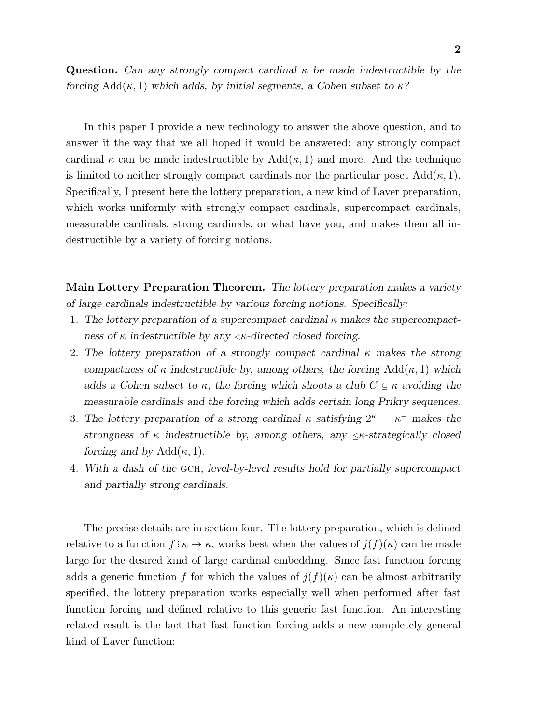**Question.** Can any strongly compact cardinal  $\kappa$  be made indestructible by the forcing  $Add(\kappa, 1)$  which adds, by initial segments, a Cohen subset to  $\kappa$ ?

In this paper I provide a new technology to answer the above question, and to answer it the way that we all hoped it would be answered: any strongly compact cardinal  $\kappa$  can be made indestructible by  $\text{Add}(\kappa, 1)$  and more. And the technique is limited to neither strongly compact cardinals nor the particular poset  $Add(\kappa, 1)$ . Specifically, I present here the lottery preparation, a new kind of Laver preparation, which works uniformly with strongly compact cardinals, supercompact cardinals, measurable cardinals, strong cardinals, or what have you, and makes them all indestructible by a variety of forcing notions.

Main Lottery Preparation Theorem. The lottery preparation makes a variety of large cardinals indestructible by various forcing notions. Specifically:

- 1. The lottery preparation of a supercompact cardinal  $\kappa$  makes the supercompactness of  $\kappa$  indestructible by any  $\langle \kappa$ -directed closed forcing.
- 2. The lottery preparation of a strongly compact cardinal  $\kappa$  makes the strong compactness of  $\kappa$  indestructible by, among others, the forcing Add( $\kappa$ , 1) which adds a Cohen subset to  $\kappa$ , the forcing which shoots a club  $C \subseteq \kappa$  avoiding the measurable cardinals and the forcing which adds certain long Prikry sequences.
- 3. The lottery preparation of a strong cardinal  $\kappa$  satisfying  $2^{\kappa} = \kappa^+$  makes the strongness of  $\kappa$  indestructible by, among others, any  $\leq \kappa$ -strategically closed forcing and by  $Add(\kappa, 1)$ .
- 4. With a dash of the GCH, level-by-level results hold for partially supercompact and partially strong cardinals.

The precise details are in section four. The lottery preparation, which is defined relative to a function  $f: \kappa \to \kappa$ , works best when the values of  $j(f)(\kappa)$  can be made large for the desired kind of large cardinal embedding. Since fast function forcing adds a generic function f for which the values of  $j(f)(\kappa)$  can be almost arbitrarily specified, the lottery preparation works especially well when performed after fast function forcing and defined relative to this generic fast function. An interesting related result is the fact that fast function forcing adds a new completely general kind of Laver function: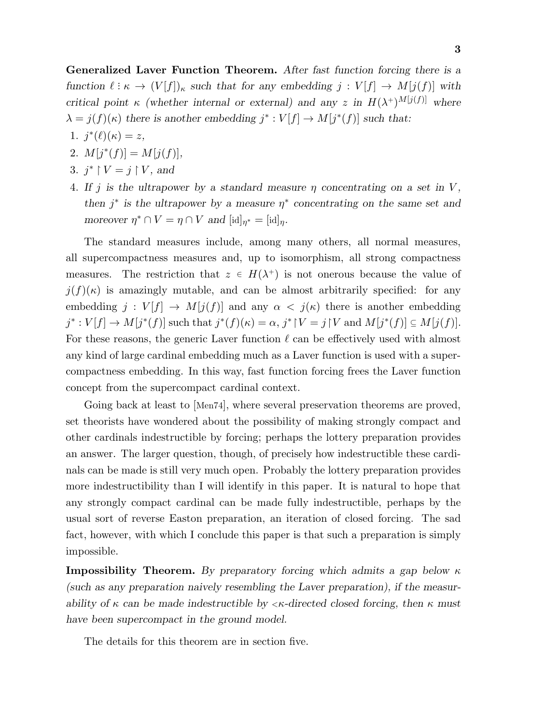Generalized Laver Function Theorem. After fast function forcing there is a function  $\ell : \kappa \to (V[f])_{\kappa}$  such that for any embedding  $j : V[f] \to M[j(f)]$  with critical point  $\kappa$  (whether internal or external) and any z in  $H(\lambda^+)^{M[j(f)]}$  where  $\lambda = j(f)(\kappa)$  there is another embedding  $j^* : V[f] \to M[j^*(f)]$  such that:

- 1.  $j^*(\ell)(\kappa) = z$ ,
- 2.  $M[j^*(f)] = M[j(f)],$
- 3.  $j^* \upharpoonright V = j \upharpoonright V$ , and
- 4. If j is the ultrapower by a standard measure  $\eta$  concentrating on a set in V, then  $j^*$  is the ultrapower by a measure  $\eta^*$  concentrating on the same set and moreover  $\eta^* \cap V = \eta \cap V$  and  $[\mathrm{id}]_{\eta^*} = [\mathrm{id}]_{\eta}$ .

The standard measures include, among many others, all normal measures, all supercompactness measures and, up to isomorphism, all strong compactness measures. The restriction that  $z \in H(\lambda^+)$  is not onerous because the value of  $j(f)(\kappa)$  is amazingly mutable, and can be almost arbitrarily specified: for any embedding  $j: V[f] \to M[j(f)]$  and any  $\alpha \langle j(\kappa) \rangle$  there is another embedding  $j^*: V[f] \to M[j^*(f)]$  such that  $j^*(f)(\kappa) = \alpha, j^*{\upharpoonright} V = j {\upharpoonright} V$  and  $M[j^*(f)] \subseteq M[j(f)]$ . For these reasons, the generic Laver function  $\ell$  can be effectively used with almost any kind of large cardinal embedding much as a Laver function is used with a supercompactness embedding. In this way, fast function forcing frees the Laver function concept from the supercompact cardinal context.

Going back at least to [Men74], where several preservation theorems are proved, set theorists have wondered about the possibility of making strongly compact and other cardinals indestructible by forcing; perhaps the lottery preparation provides an answer. The larger question, though, of precisely how indestructible these cardinals can be made is still very much open. Probably the lottery preparation provides more indestructibility than I will identify in this paper. It is natural to hope that any strongly compact cardinal can be made fully indestructible, perhaps by the usual sort of reverse Easton preparation, an iteration of closed forcing. The sad fact, however, with which I conclude this paper is that such a preparation is simply impossible.

**Impossibility Theorem.** By preparatory forcing which admits a gap below  $\kappa$ (such as any preparation naively resembling the Laver preparation), if the measurability of  $\kappa$  can be made indestructible by  $\langle \kappa \rangle$ -directed closed forcing, then  $\kappa$  must have been supercompact in the ground model.

The details for this theorem are in section five.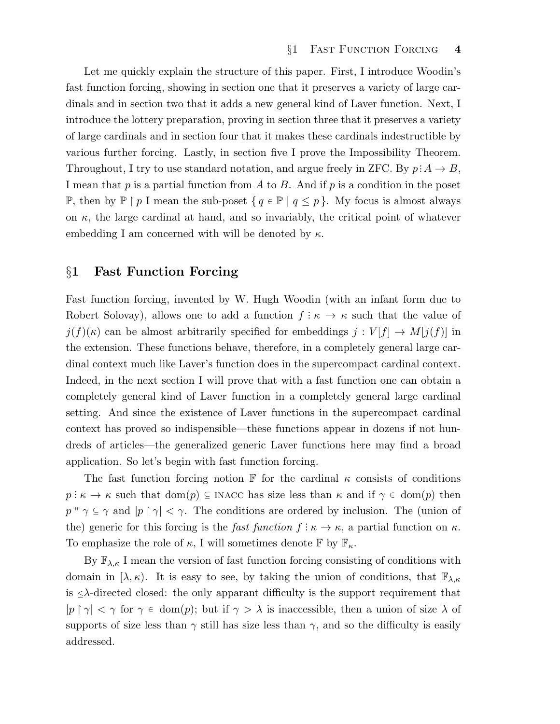Let me quickly explain the structure of this paper. First, I introduce Woodin's fast function forcing, showing in section one that it preserves a variety of large cardinals and in section two that it adds a new general kind of Laver function. Next, I introduce the lottery preparation, proving in section three that it preserves a variety of large cardinals and in section four that it makes these cardinals indestructible by various further forcing. Lastly, in section five I prove the Impossibility Theorem. Throughout, I try to use standard notation, and argue freely in ZFC. By  $p: A \to B$ , I mean that  $p$  is a partial function from  $A$  to  $B$ . And if  $p$  is a condition in the poset P, then by  $\mathbb{P} \restriction p$  I mean the sub-poset {  $q \in \mathbb{P} \mid q \leq p$  }. My focus is almost always on  $\kappa$ , the large cardinal at hand, and so invariably, the critical point of whatever embedding I am concerned with will be denoted by  $\kappa$ .

## §1 Fast Function Forcing

Fast function forcing, invented by W. Hugh Woodin (with an infant form due to Robert Solovay), allows one to add a function  $f: \kappa \to \kappa$  such that the value of  $j(f)(\kappa)$  can be almost arbitrarily specified for embeddings  $j: V[f] \to M[j(f)]$  in the extension. These functions behave, therefore, in a completely general large cardinal context much like Laver's function does in the supercompact cardinal context. Indeed, in the next section I will prove that with a fast function one can obtain a completely general kind of Laver function in a completely general large cardinal setting. And since the existence of Laver functions in the supercompact cardinal context has proved so indispensible—these functions appear in dozens if not hundreds of articles—the generalized generic Laver functions here may find a broad application. So let's begin with fast function forcing.

The fast function forcing notion F for the cardinal  $\kappa$  consists of conditions  $p: \kappa \to \kappa$  such that  $dom(p) \subseteq INACC$  has size less than  $\kappa$  and if  $\gamma \in dom(p)$  then  $p'' \gamma \subseteq \gamma$  and  $|p \restriction \gamma| < \gamma$ . The conditions are ordered by inclusion. The (union of the) generic for this forcing is the *fast function*  $f: \kappa \to \kappa$ , a partial function on  $\kappa$ . To emphasize the role of  $\kappa$ , I will sometimes denote  $\mathbb{F}$  by  $\mathbb{F}_{\kappa}$ .

By  $\mathbb{F}_{\lambda,\kappa}$  I mean the version of fast function forcing consisting of conditions with domain in  $(\lambda, \kappa)$ . It is easy to see, by taking the union of conditions, that  $\mathbb{F}_{\lambda,\kappa}$ is  $\leq \lambda$ -directed closed: the only apparant difficulty is the support requirement that  $|p \restriction \gamma| < \gamma$  for  $\gamma \in \text{dom}(p)$ ; but if  $\gamma > \lambda$  is inaccessible, then a union of size  $\lambda$  of supports of size less than  $\gamma$  still has size less than  $\gamma$ , and so the difficulty is easily addressed.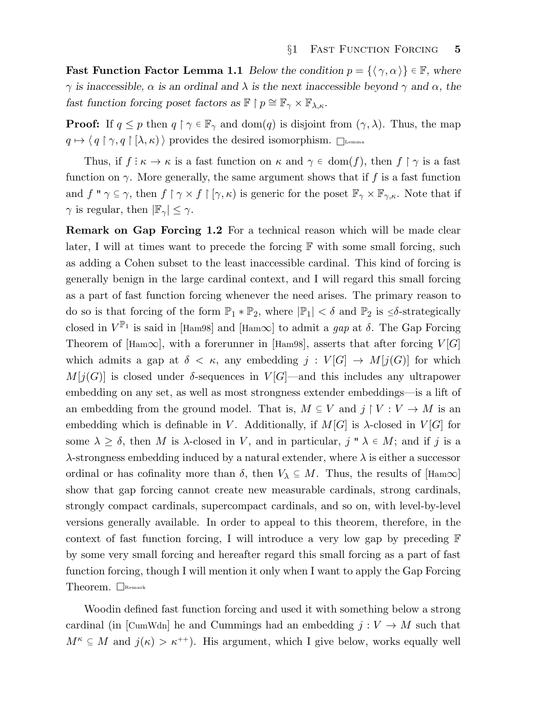**Fast Function Factor Lemma 1.1** Below the condition  $p = \{(\gamma, \alpha)\}\in \mathbb{F}$ , where  $\gamma$  is inaccessible,  $\alpha$  is an ordinal and  $\lambda$  is the next inaccessible beyond  $\gamma$  and  $\alpha$ , the fast function forcing poset factors as  $\mathbb{F} \restriction p \cong \mathbb{F}_{\gamma} \times \mathbb{F}_{\lambda,\kappa}$ .

**Proof:** If  $q \leq p$  then  $q \restriction \gamma \in \mathbb{F}_{\gamma}$  and  $\text{dom}(q)$  is disjoint from  $(\gamma, \lambda)$ . Thus, the map  $q \mapsto \langle q \upharpoonright \gamma, q \upharpoonright [\lambda, \kappa) \rangle$  provides the desired isomorphism.  $\Box$ 

Thus, if  $f: \kappa \to \kappa$  is a fast function on  $\kappa$  and  $\gamma \in \text{dom}(f)$ , then  $f \restriction \gamma$  is a fast function on  $\gamma$ . More generally, the same argument shows that if f is a fast function and  $f'' \gamma \subseteq \gamma$ , then  $f \upharpoonright \gamma \times f \upharpoonright [\gamma, \kappa)$  is generic for the poset  $\mathbb{F}_{\gamma} \times \mathbb{F}_{\gamma, \kappa}$ . Note that if  $\gamma$  is regular, then  $|\mathbb{F}_{\gamma}| \leq \gamma$ .

Remark on Gap Forcing 1.2 For a technical reason which will be made clear later, I will at times want to precede the forcing  $\mathbb F$  with some small forcing, such as adding a Cohen subset to the least inaccessible cardinal. This kind of forcing is generally benign in the large cardinal context, and I will regard this small forcing as a part of fast function forcing whenever the need arises. The primary reason to do so is that forcing of the form  $\mathbb{P}_1 * \mathbb{P}_2$ , where  $|\mathbb{P}_1| < \delta$  and  $\mathbb{P}_2$  is  $\leq \delta$ -strategically closed in  $V^{\mathbb{P}_1}$  is said in [Ham98] and [Ham $\infty$ ] to admit a gap at  $\delta$ . The Gap Forcing Theorem of [Ham∞], with a forerunner in [Ham98], asserts that after forcing  $V[G]$ which admits a gap at  $\delta < \kappa$ , any embedding  $j : V[G] \to M[j(G)]$  for which  $M[j(G)]$  is closed under  $\delta$ -sequences in  $V[G]$ —and this includes any ultrapower embedding on any set, as well as most strongness extender embeddings—is a lift of an embedding from the ground model. That is,  $M \subseteq V$  and  $j \upharpoonright V : V \to M$  is an embedding which is definable in V. Additionally, if  $M[G]$  is  $\lambda$ -closed in  $V[G]$  for some  $\lambda \geq \delta$ , then M is  $\lambda$ -closed in V, and in particular,  $j'' \lambda \in M$ ; and if j is a  $\lambda$ -strongness embedding induced by a natural extender, where  $\lambda$  is either a successor ordinal or has cofinality more than  $\delta$ , then  $V_\lambda \subseteq M$ . Thus, the results of [Ham $\infty$ ] show that gap forcing cannot create new measurable cardinals, strong cardinals, strongly compact cardinals, supercompact cardinals, and so on, with level-by-level versions generally available. In order to appeal to this theorem, therefore, in the context of fast function forcing, I will introduce a very low gap by preceding F by some very small forcing and hereafter regard this small forcing as a part of fast function forcing, though I will mention it only when I want to apply the Gap Forcing Theorem.  $\Box$ Remark

Woodin defined fast function forcing and used it with something below a strong cardinal (in [CumWdn] he and Cummings had an embedding  $j: V \to M$  such that  $M^k \subseteq M$  and  $j(\kappa) > \kappa^{++}$ ). His argument, which I give below, works equally well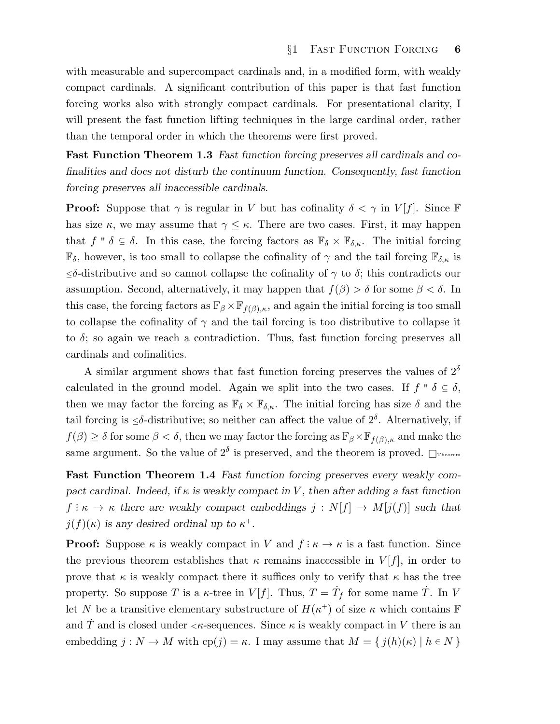with measurable and supercompact cardinals and, in a modified form, with weakly compact cardinals. A significant contribution of this paper is that fast function forcing works also with strongly compact cardinals. For presentational clarity, I will present the fast function lifting techniques in the large cardinal order, rather than the temporal order in which the theorems were first proved.

Fast Function Theorem 1.3 Fast function forcing preserves all cardinals and cofinalities and does not disturb the continuum function. Consequently, fast function forcing preserves all inaccessible cardinals.

**Proof:** Suppose that  $\gamma$  is regular in V but has cofinality  $\delta < \gamma$  in V[f]. Since F has size  $\kappa$ , we may assume that  $\gamma \leq \kappa$ . There are two cases. First, it may happen that f "  $\delta \subseteq \delta$ . In this case, the forcing factors as  $\mathbb{F}_{\delta} \times \mathbb{F}_{\delta,\kappa}$ . The initial forcing  $\mathbb{F}_{\delta}$ , however, is too small to collapse the cofinality of  $\gamma$  and the tail forcing  $\mathbb{F}_{\delta,\kappa}$  is  $\leq$ δ-distributive and so cannot collapse the cofinality of  $\gamma$  to δ; this contradicts our assumption. Second, alternatively, it may happen that  $f(\beta) > \delta$  for some  $\beta < \delta$ . In this case, the forcing factors as  $\mathbb{F}_{\beta} \times \mathbb{F}_{f(\beta),\kappa}$ , and again the initial forcing is too small to collapse the cofinality of  $\gamma$  and the tail forcing is too distributive to collapse it to  $\delta$ ; so again we reach a contradiction. Thus, fast function forcing preserves all cardinals and cofinalities.

A similar argument shows that fast function forcing preserves the values of  $2^{\delta}$ calculated in the ground model. Again we split into the two cases. If  $f'' \delta \subseteq \delta$ , then we may factor the forcing as  $\mathbb{F}_{\delta} \times \mathbb{F}_{\delta,\kappa}$ . The initial forcing has size  $\delta$  and the tail forcing is  $\leq \delta$ -distributive; so neither can affect the value of  $2^{\delta}$ . Alternatively, if  $f(\beta) \geq \delta$  for some  $\beta < \delta$ , then we may factor the forcing as  $\mathbb{F}_{\beta} \times \mathbb{F}_{f(\beta),\kappa}$  and make the same argument. So the value of  $2^{\delta}$  is preserved, and the theorem is proved.  $\Box$ Theorem

Fast Function Theorem 1.4 Fast function forcing preserves every weakly compact cardinal. Indeed, if  $\kappa$  is weakly compact in V, then after adding a fast function  $f: \kappa \to \kappa$  there are weakly compact embeddings  $j: N[f] \to M[j(f)]$  such that  $j(f)(\kappa)$  is any desired ordinal up to  $\kappa^+$ .

**Proof:** Suppose  $\kappa$  is weakly compact in V and  $f : \kappa \to \kappa$  is a fast function. Since the previous theorem establishes that  $\kappa$  remains inaccessible in  $V[f]$ , in order to prove that  $\kappa$  is weakly compact there it suffices only to verify that  $\kappa$  has the tree property. So suppose T is a  $\kappa$ -tree in  $V[f]$ . Thus,  $T = \dot{T}_f$  for some name  $\dot{T}$ . In V let N be a transitive elementary substructure of  $H(\kappa^+)$  of size  $\kappa$  which contains  $\mathbb F$ and T and is closed under  $\langle \kappa$ -sequences. Since  $\kappa$  is weakly compact in V there is an embedding  $j : N \to M$  with  $cp(j) = \kappa$ . I may assume that  $M = \{ j(h)(\kappa) \mid h \in N \}$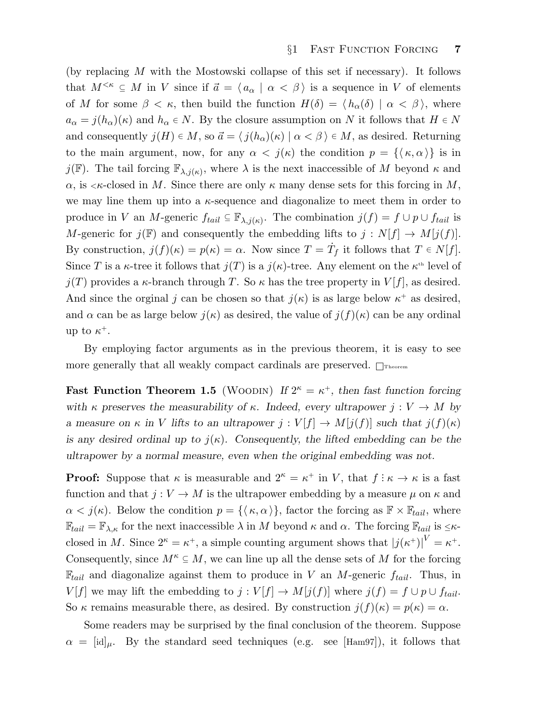(by replacing M with the Mostowski collapse of this set if necessary). It follows that  $M^{<\kappa} \subseteq M$  in V since if  $\vec{a} = \langle a_\alpha | \alpha < \beta \rangle$  is a sequence in V of elements of M for some  $\beta < \kappa$ , then build the function  $H(\delta) = \langle h_{\alpha}(\delta) | \alpha < \beta \rangle$ , where  $a_{\alpha} = j(h_{\alpha})(\kappa)$  and  $h_{\alpha} \in N$ . By the closure assumption on N it follows that  $H \in N$ and consequently  $j(H) \in M$ , so  $\vec{a} = \langle j(h_{\alpha})(\kappa) | \alpha < \beta \rangle \in M$ , as desired. Returning to the main argument, now, for any  $\alpha < j(\kappa)$  the condition  $p = {\{\kappa, \alpha\}}$  is in  $j(\mathbb{F})$ . The tail forcing  $\mathbb{F}_{\lambda,j(\kappa)}$ , where  $\lambda$  is the next inaccessible of M beyond  $\kappa$  and  $\alpha$ , is  $\lt$   $\kappa$ -closed in M. Since there are only  $\kappa$  many dense sets for this forcing in M, we may line them up into a  $\kappa$ -sequence and diagonalize to meet them in order to produce in V an M-generic  $f_{tail} \subseteq \mathbb{F}_{\lambda,j(\kappa)}$ . The combination  $j(f) = f \cup p \cup f_{tail}$  is M-generic for  $j(F)$  and consequently the embedding lifts to  $j: N[f] \to M[j(f)]$ . By construction,  $j(f)(\kappa) = p(\kappa) = \alpha$ . Now since  $T = \dot{T}_f$  it follows that  $T \in N[f]$ . Since T is a  $\kappa$ -tree it follows that  $j(T)$  is a  $j(\kappa)$ -tree. Any element on the  $\kappa$ <sup>th</sup> level of  $j(T)$  provides a  $\kappa$ -branch through T. So  $\kappa$  has the tree property in  $V[f]$ , as desired. And since the orginal j can be chosen so that  $j(\kappa)$  is as large below  $\kappa^+$  as desired, and  $\alpha$  can be as large below  $j(\kappa)$  as desired, the value of  $j(f)(\kappa)$  can be any ordinal up to  $\kappa^+$ .

By employing factor arguments as in the previous theorem, it is easy to see more generally that all weakly compact cardinals are preserved.  $\Box$ Theorem

Fast Function Theorem 1.5 (WOODIN) If  $2^{\kappa} = \kappa^+$ , then fast function forcing with κ preserves the measurability of κ. Indeed, every ultrapower  $j: V \to M$  by a measure on  $\kappa$  in V lifts to an ultrapower  $j: V[f] \to M[j(f)]$  such that  $j(f)(\kappa)$ is any desired ordinal up to  $j(\kappa)$ . Consequently, the lifted embedding can be the ultrapower by a normal measure, even when the original embedding was not.

**Proof:** Suppose that  $\kappa$  is measurable and  $2^{\kappa} = \kappa^+$  in V, that  $f : \kappa \to \kappa$  is a fast function and that  $j: V \to M$  is the ultrapower embedding by a measure  $\mu$  on  $\kappa$  and  $\alpha < j(\kappa)$ . Below the condition  $p = {\{\kappa, \alpha\}}$ , factor the forcing as  $\mathbb{F} \times \mathbb{F}_{tail}$ , where  $\mathbb{F}_{tail} = \mathbb{F}_{\lambda,\kappa}$  for the next inaccessible  $\lambda$  in M beyond  $\kappa$  and  $\alpha$ . The forcing  $\mathbb{F}_{tail}$  is  $\leq \kappa$ closed in M. Since  $2^{\kappa} = \kappa^+$ , a simple counting argument shows that  $|j(\kappa^+)|^V = \kappa^+$ . Consequently, since  $M^k \subseteq M$ , we can line up all the dense sets of M for the forcing  $\mathbb{F}_{tail}$  and diagonalize against them to produce in V an M-generic  $f_{tail}$ . Thus, in  $V[f]$  we may lift the embedding to  $j: V[f] \to M[j(f)]$  where  $j(f) = f \cup p \cup f_{tail}$ . So  $\kappa$  remains measurable there, as desired. By construction  $j(f)(\kappa) = p(\kappa) = \alpha$ .

Some readers may be surprised by the final conclusion of the theorem. Suppose  $\alpha = [id]_{\mu}$ . By the standard seed techniques (e.g. see [Ham97]), it follows that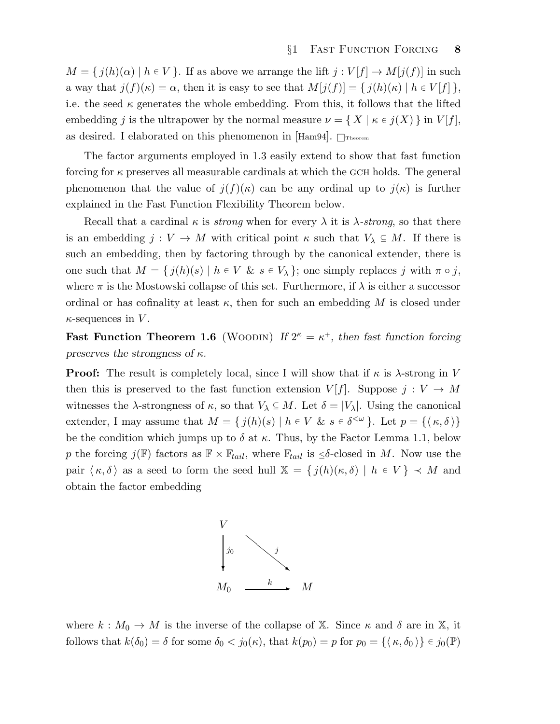$M = \{ j(h)(\alpha) \mid h \in V \}.$  If as above we arrange the lift  $j : V[f] \to M[j(f)]$  in such a way that  $j(f)(\kappa) = \alpha$ , then it is easy to see that  $M[j(f)] = \{j(h)(\kappa) | h \in V[f] \}$ , i.e. the seed  $\kappa$  generates the whole embedding. From this, it follows that the lifted embedding j is the ultrapower by the normal measure  $\nu = \{ X \mid \kappa \in j(X) \}$  in  $V[f],$ as desired. I elaborated on this phenomenon in  $\text{Ham94}$ .  $\Box$ Theorem

The factor arguments employed in 1.3 easily extend to show that fast function forcing for  $\kappa$  preserves all measurable cardinals at which the GCH holds. The general phenomenon that the value of  $j(f)(\kappa)$  can be any ordinal up to  $j(\kappa)$  is further explained in the Fast Function Flexibility Theorem below.

Recall that a cardinal  $\kappa$  is *strong* when for every  $\lambda$  it is  $\lambda$ -strong, so that there is an embedding  $j: V \to M$  with critical point  $\kappa$  such that  $V_\lambda \subseteq M$ . If there is such an embedding, then by factoring through by the canonical extender, there is one such that  $M = \{ j(h)(s) \mid h \in V \& s \in V_\lambda \}$ ; one simply replaces j with  $\pi \circ j$ , where  $\pi$  is the Mostowski collapse of this set. Furthermore, if  $\lambda$  is either a successor ordinal or has cofinality at least  $\kappa$ , then for such an embedding M is closed under  $\kappa$ -sequences in V.

**Fast Function Theorem 1.6** (WOODIN) If  $2^{\kappa} = \kappa^+$ , then fast function forcing preserves the strongness of  $\kappa$ .

**Proof:** The result is completely local, since I will show that if  $\kappa$  is  $\lambda$ -strong in V then this is preserved to the fast function extension  $V[f]$ . Suppose  $j: V \to M$ witnesses the  $\lambda$ -strongness of  $\kappa$ , so that  $V_{\lambda} \subseteq M$ . Let  $\delta = |V_{\lambda}|$ . Using the canonical extender, I may assume that  $M = \{ j(h)(s) \mid h \in V \& s \in \delta^{\langle \omega \rangle} \}$ . Let  $p = \{ \langle \kappa, \delta \rangle \}$ be the condition which jumps up to  $\delta$  at  $\kappa$ . Thus, by the Factor Lemma 1.1, below p the forcing  $j(F)$  factors as  $F \times F_{tail}$ , where  $F_{tail}$  is  $\leq \delta$ -closed in M. Now use the pair  $\langle \kappa, \delta \rangle$  as a seed to form the seed hull  $\mathbb{X} = \{ j(h)(\kappa, \delta) \mid h \in V \} \prec M$  and obtain the factor embedding



where  $k : M_0 \to M$  is the inverse of the collapse of X. Since  $\kappa$  and  $\delta$  are in X, it follows that  $k(\delta_0) = \delta$  for some  $\delta_0 < j_0(\kappa)$ , that  $k(p_0) = p$  for  $p_0 = {\{\kappa, \delta_0\}} \in j_0(\mathbb{P})$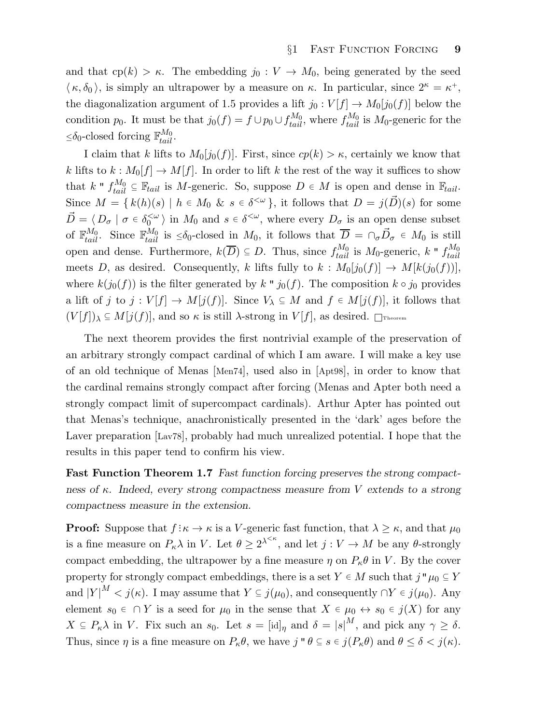and that  $cp(k) > \kappa$ . The embedding  $j_0 : V \to M_0$ , being generated by the seed  $\langle \kappa, \delta_0 \rangle$ , is simply an ultrapower by a measure on  $\kappa$ . In particular, since  $2^{\kappa} = \kappa^+,$ the diagonalization argument of 1.5 provides a lift  $j_0: V[f] \to M_0[j_0(f)]$  below the condition  $p_0$ . It must be that  $j_0(f) = f \cup p_0 \cup f_{tail}^{M_0}$ , where  $f_{tail}^{M_0}$  is  $M_0$ -generic for the  $\leq \delta_0$ -closed forcing  $\mathbb{F}_{tail}^{M_0}$ .

I claim that k lifts to  $M_0[j_0(f)]$ . First, since  $cp(k) > \kappa$ , certainly we know that k lifts to  $k : M_0[f] \to M[f]$ . In order to lift k the rest of the way it suffices to show that  $k " f_{tail}^{M_0} \subseteq \mathbb{F}_{tail}$  is M-generic. So, suppose  $D \in M$  is open and dense in  $\mathbb{F}_{tail}$ . Since  $M = \{k(h)(s) \mid h \in M_0 \& s \in \delta^{\leq \omega}\}\$ , it follows that  $D = j(\vec{D})(s)$  for some  $\vec{D} = \langle D_{\sigma} \mid \sigma \in \delta_0^{<\omega}$  $\langle \omega \rangle$  in  $M_0$  and  $s \in \delta^{\langle \omega \rangle}$ , where every  $D_{\sigma}$  is an open dense subset of  $\mathbb{F}_{tail}^{M_0}$ . Since  $\mathbb{F}_{tail}^{M_0}$  is  $\leq \delta_0$ -closed in  $M_0$ , it follows that  $\overline{D} = \cap_{\sigma} \overline{D}_{\sigma} \in M_0$  is still open and dense. Furthermore,  $k(\overline{D}) \subseteq D$ . Thus, since  $f_{tail}^{M_0}$  is  $M_0$ -generic,  $k$  "  $f_{tail}^{M_0}$ tail meets D, as desired. Consequently, k lifts fully to  $k : M_0[j_0(f)] \to M[k(j_0(f))],$ where  $k(j_0(f))$  is the filter generated by k "  $j_0(f)$ . The composition  $k \circ j_0$  provides a lift of j to  $j: V[f] \to M[j(f)]$ . Since  $V_\lambda \subseteq M$  and  $f \in M[j(f)]$ , it follows that  $(V[f])_\lambda \subseteq M[j(f)]$ , and so  $\kappa$  is still  $\lambda$ -strong in  $V[f]$ , as desired.  $\Box$ Theorem

The next theorem provides the first nontrivial example of the preservation of an arbitrary strongly compact cardinal of which I am aware. I will make a key use of an old technique of Menas [Men74], used also in [Apt98], in order to know that the cardinal remains strongly compact after forcing (Menas and Apter both need a strongly compact limit of supercompact cardinals). Arthur Apter has pointed out that Menas's technique, anachronistically presented in the 'dark' ages before the Laver preparation [Lav78], probably had much unrealized potential. I hope that the results in this paper tend to confirm his view.

Fast Function Theorem 1.7 Fast function forcing preserves the strong compactness of  $\kappa$ . Indeed, every strong compactness measure from V extends to a strong compactness measure in the extension.

**Proof:** Suppose that  $f: \kappa \to \kappa$  is a V-generic fast function, that  $\lambda \geq \kappa$ , and that  $\mu_0$ is a fine measure on  $P_{\kappa} \lambda$  in V. Let  $\theta \geq 2^{\lambda^{<\kappa}}$ , and let  $j: V \to M$  be any  $\theta$ -strongly compact embedding, the ultrapower by a fine measure  $\eta$  on  $P_{\kappa}\theta$  in V. By the cover property for strongly compact embeddings, there is a set  $Y \in M$  such that  $j''\mu_0 \subseteq Y$ and  $|Y|^M < j(\kappa)$ . I may assume that  $Y \subseteq j(\mu_0)$ , and consequently  $\cap Y \in j(\mu_0)$ . Any element  $s_0 \in \bigcap Y$  is a seed for  $\mu_0$  in the sense that  $X \in \mu_0 \leftrightarrow s_0 \in j(X)$  for any  $X \subseteq P_{\kappa} \lambda$  in V. Fix such an  $s_0$ . Let  $s = [\mathrm{id}]_{\eta}$  and  $\delta = |s|^M$ , and pick any  $\gamma \geq \delta$ . Thus, since  $\eta$  is a fine measure on  $P_{\kappa}\theta$ , we have  $j''\theta \subseteq s \in j(P_{\kappa}\theta)$  and  $\theta \leq \delta < j(\kappa)$ .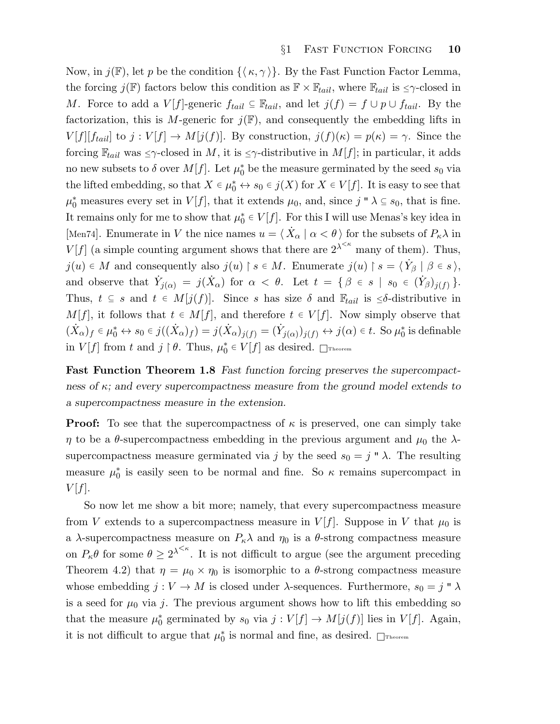Now, in  $j(\mathbb{F})$ , let p be the condition  $\{\langle \kappa, \gamma \rangle\}$ . By the Fast Function Factor Lemma, the forcing  $j(F)$  factors below this condition as  $F \times F_{tail}$ , where  $F_{tail}$  is  $\leq \gamma$ -closed in M. Force to add a  $V[f]$ -generic  $f_{tail} \subseteq \mathbb{F}_{tail}$ , and let  $j(f) = f \cup p \cup f_{tail}$ . By the factorization, this is M-generic for  $j(\mathbb{F})$ , and consequently the embedding lifts in  $V[f][f_{tail}]$  to  $j: V[f] \to M[j(f)]$ . By construction,  $j(f)(\kappa) = p(\kappa) = \gamma$ . Since the forcing  $\mathbb{F}_{tail}$  was  $\leq \gamma$ -closed in M, it is  $\leq \gamma$ -distributive in  $M[f]$ ; in particular, it adds no new subsets to  $\delta$  over  $M[f]$ . Let  $\mu_0^*$  be the measure germinated by the seed  $s_0$  via the lifted embedding, so that  $X \in \mu_0^* \leftrightarrow s_0 \in j(X)$  for  $X \in V[f]$ . It is easy to see that  $\mu_0^*$  measures every set in  $V[f]$ , that it extends  $\mu_0$ , and, since  $j " \lambda \subseteq s_0$ , that is fine. It remains only for me to show that  $\mu_0^* \in V[f]$ . For this I will use Menas's key idea in [Men74]. Enumerate in V the nice names  $u = \langle \dot{X}_{\alpha} | \alpha \langle \theta \rangle$  for the subsets of  $P_{\kappa} \lambda$  in  $V[f]$  (a simple counting argument shows that there are  $2^{\lambda^{< \kappa}}$  many of them). Thus,  $j(u) \in M$  and consequently also  $j(u) \upharpoonright s \in M$ . Enumerate  $j(u) \upharpoonright s = \langle \dot{Y}_{\beta} | \beta \in s \rangle$ , and observe that  $\dot{Y}_{j(\alpha)} = j(\dot{X}_{\alpha})$  for  $\alpha < \theta$ . Let  $t = \{ \beta \in s \mid s_0 \in (\dot{Y}_{\beta})_{j(f)} \}.$ Thus,  $t \subseteq s$  and  $t \in M[j(f)]$ . Since s has size  $\delta$  and  $\mathbb{F}_{tail}$  is  $\leq \delta$ -distributive in  $M[f]$ , it follows that  $t \in M[f]$ , and therefore  $t \in V[f]$ . Now simply observe that  $(\dot{X}_{\alpha})_f \in \mu_0^* \leftrightarrow s_0 \in j((\dot{X}_{\alpha})_f) = j(\dot{X}_{\alpha})_{j(f)} = (\dot{Y}_{j(\alpha)})_{j(f)} \leftrightarrow j(\alpha) \in t$ . So  $\mu_0^*$  is definable in  $V[f]$  from t and  $j \restriction \theta$ . Thus,  $\mu_0^* \in V[f]$  as desired.  $\Box$ Theorem

Fast Function Theorem 1.8 Fast function forcing preserves the supercompactness of  $\kappa$ ; and every supercompactness measure from the ground model extends to a supercompactness measure in the extension.

**Proof:** To see that the supercompactness of  $\kappa$  is preserved, one can simply take  $\eta$  to be a  $\theta$ -supercompactness embedding in the previous argument and  $\mu_0$  the  $\lambda$ supercompactness measure germinated via j by the seed  $s_0 = j'' \lambda$ . The resulting measure  $\mu_0^*$  is easily seen to be normal and fine. So  $\kappa$  remains supercompact in  $V[f]$ .

So now let me show a bit more; namely, that every supercompactness measure from V extends to a supercompactness measure in  $V[f]$ . Suppose in V that  $\mu_0$  is a  $\lambda$ -supercompactness measure on  $P_{\kappa}\lambda$  and  $\eta_0$  is a  $\theta$ -strong compactness measure on  $P_{\kappa} \theta$  for some  $\theta \geq 2^{\lambda^{<\kappa}}$ . It is not difficult to argue (see the argument preceding Theorem 4.2) that  $\eta = \mu_0 \times \eta_0$  is isomorphic to a  $\theta$ -strong compactness measure whose embedding  $j: V \to M$  is closed under  $\lambda$ -sequences. Furthermore,  $s_0 = j'' \lambda$ is a seed for  $\mu_0$  via j. The previous argument shows how to lift this embedding so that the measure  $\mu_0^*$  germinated by  $s_0$  via  $j: V[f] \to M[j(f)]$  lies in  $V[f]$ . Again, it is not difficult to argue that  $\mu_0^*$  is normal and fine, as desired.  $\Box$ Theorem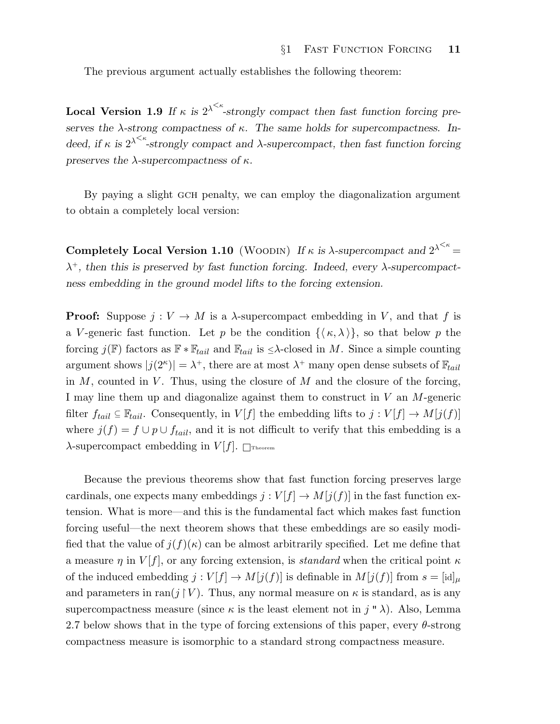The previous argument actually establishes the following theorem:

**Local Version 1.9** If  $\kappa$  is  $2^{\lambda \leq \kappa}$ -strongly compact then fast function forcing preserves the  $\lambda$ -strong compactness of  $\kappa$ . The same holds for supercompactness. Indeed, if  $\kappa$  is  $2^{\lambda \leq \kappa}$ -strongly compact and  $\lambda$ -supercompact, then fast function forcing preserves the  $\lambda$ -supercompactness of  $\kappa$ .

By paying a slight GCH penalty, we can employ the diagonalization argument to obtain a completely local version:

Completely Local Version 1.10 (WOODIN) If  $\kappa$  is  $\lambda$ -supercompact and  $2^{\lambda^{<\kappa}} =$  $\lambda^{+}$ , then this is preserved by fast function forcing. Indeed, every  $\lambda$ -supercompactness embedding in the ground model lifts to the forcing extension.

**Proof:** Suppose  $j: V \to M$  is a  $\lambda$ -supercompact embedding in V, and that f is a V-generic fast function. Let p be the condition  $\{\langle \kappa, \lambda \rangle\}$ , so that below p the forcing  $j(\mathbb{F})$  factors as  $\mathbb{F} * \mathbb{F}_{tail}$  and  $\mathbb{F}_{tail}$  is  $\leq \lambda$ -closed in M. Since a simple counting argument shows  $|j(2^{\kappa})| = \lambda^{+}$ , there are at most  $\lambda^{+}$  many open dense subsets of  $\mathbb{F}_{tail}$ in  $M$ , counted in  $V$ . Thus, using the closure of  $M$  and the closure of the forcing, I may line them up and diagonalize against them to construct in V an M-generic filter  $f_{tail} \subseteq \mathbb{F}_{tail}$ . Consequently, in  $V[f]$  the embedding lifts to  $j: V[f] \to M[j(f)]$ where  $j(f) = f \cup p \cup f_{tail}$ , and it is not difficult to verify that this embedding is a  $\lambda$ -supercompact embedding in  $V[f]$ .  $\Box$ Theorem

Because the previous theorems show that fast function forcing preserves large cardinals, one expects many embeddings  $j : V[f] \to M[j(f)]$  in the fast function extension. What is more—and this is the fundamental fact which makes fast function forcing useful—the next theorem shows that these embeddings are so easily modified that the value of  $j(f)(\kappa)$  can be almost arbitrarily specified. Let me define that a measure  $\eta$  in  $V[f]$ , or any forcing extension, is *standard* when the critical point  $\kappa$ of the induced embedding  $j : V[f] \to M[j(f)]$  is definable in  $M[j(f)]$  from  $s = [\mathrm{id}]_\mu$ and parameters in ran(j  $\restriction V$ ). Thus, any normal measure on  $\kappa$  is standard, as is any supercompactness measure (since  $\kappa$  is the least element not in j " $\lambda$ ). Also, Lemma 2.7 below shows that in the type of forcing extensions of this paper, every  $\theta$ -strong compactness measure is isomorphic to a standard strong compactness measure.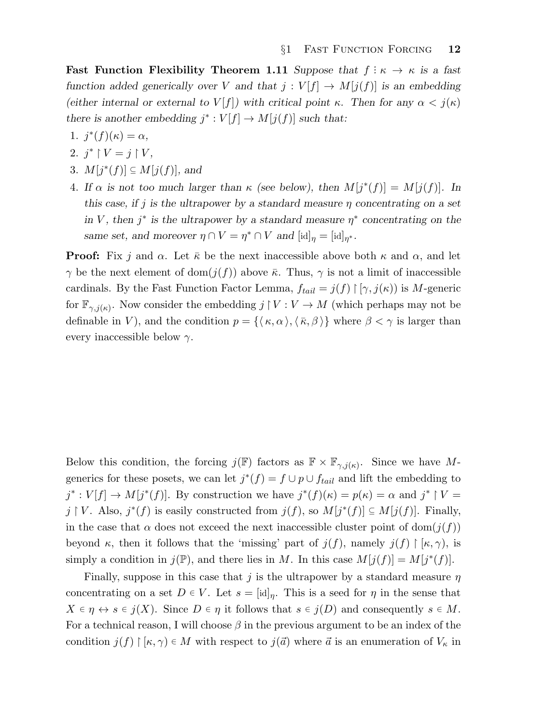Fast Function Flexibility Theorem 1.11 Suppose that  $f : \kappa \to \kappa$  is a fast function added generically over V and that  $j: V[f] \to M[j(f)]$  is an embedding (either internal or external to  $V[f]$ ) with critical point κ. Then for any  $\alpha < j(\kappa)$ there is another embedding  $j^* : V[f] \to M[j(f)]$  such that:

- 1.  $j^*(f)(\kappa) = \alpha$ ,
- 2.  $j^* \restriction V = j \restriction V,$
- 3.  $M[j^*(f)] \subseteq M[j(f)]$ , and
- 4. If  $\alpha$  is not too much larger than  $\kappa$  (see below), then  $M[j^*(f)] = M[j(f)]$ . In this case, if j is the ultrapower by a standard measure  $\eta$  concentrating on a set in V, then  $j^*$  is the ultrapower by a standard measure  $\eta^*$  concentrating on the same set, and moreover  $\eta \cap V = \eta^* \cap V$  and  $[\text{id}]_{\eta} = [\text{id}]_{\eta^*}.$

**Proof:** Fix j and  $\alpha$ . Let  $\bar{\kappa}$  be the next inaccessible above both  $\kappa$  and  $\alpha$ , and let  $\gamma$  be the next element of dom $(j(f))$  above  $\bar{\kappa}$ . Thus,  $\gamma$  is not a limit of inaccessible cardinals. By the Fast Function Factor Lemma,  $f_{tail} = j(f) \upharpoonright [\gamma, j(\kappa))$  is M-generic for  $\mathbb{F}_{\gamma,j(\kappa)}$ . Now consider the embedding  $j \restriction V : V \to M$  (which perhaps may not be definable in V), and the condition  $p = \{\langle \kappa, \alpha \rangle, \langle \bar{\kappa}, \beta \rangle\}$  where  $\beta < \gamma$  is larger than every inaccessible below  $\gamma$ .

Below this condition, the forcing  $j(\mathbb{F})$  factors as  $\mathbb{F} \times \mathbb{F}_{\gamma, j(\kappa)}$ . Since we have Mgenerics for these posets, we can let  $j^*(f) = f \cup p \cup f_{tail}$  and lift the embedding to  $j^*: V[f] \to M[j^*(f)]$ . By construction we have  $j^*(f)(\kappa) = p(\kappa) = \alpha$  and  $j^* \upharpoonright V =$ j | V. Also,  $j^*(f)$  is easily constructed from  $j(f)$ , so  $M[j^*(f)] \subseteq M[j(f)]$ . Finally, in the case that  $\alpha$  does not exceed the next inaccessible cluster point of dom $(j(f))$ beyond  $\kappa$ , then it follows that the 'missing' part of  $j(f)$ , namely  $j(f) \upharpoonright [\kappa, \gamma)$ , is simply a condition in  $j(\mathbb{P})$ , and there lies in M. In this case  $M[j(f)] = M[j^*(f)]$ .

Finally, suppose in this case that j is the ultrapower by a standard measure  $\eta$ concentrating on a set  $D \in V$ . Let  $s = [\text{id}]_\eta$ . This is a seed for  $\eta$  in the sense that  $X \in \eta \leftrightarrow s \in i(X)$ . Since  $D \in \eta$  it follows that  $s \in i(D)$  and consequently  $s \in M$ . For a technical reason, I will choose  $\beta$  in the previous argument to be an index of the condition  $j(f) \upharpoonright [\kappa, \gamma) \in M$  with respect to  $j(\vec{a})$  where  $\vec{a}$  is an enumeration of  $V_{\kappa}$  in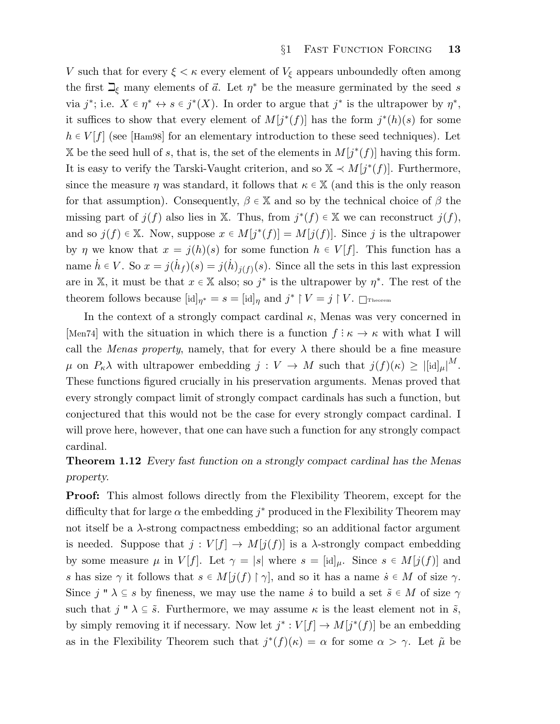V such that for every  $\xi < \kappa$  every element of  $V_{\xi}$  appears unboundedly often among the first  $\mathbb{Z}_{\xi}$  many elements of  $\vec{a}$ . Let  $\eta^*$  be the measure germinated by the seed s via  $j^*$ ; i.e.  $X \in \eta^* \leftrightarrow s \in j^*(X)$ . In order to argue that  $j^*$  is the ultrapower by  $\eta^*$ , it suffices to show that every element of  $M[j^*(f)]$  has the form  $j^*(h)(s)$  for some  $h \in V[f]$  (see [Ham98] for an elementary introduction to these seed techniques). Let X be the seed hull of s, that is, the set of the elements in  $M[j^*(f)]$  having this form. It is easy to verify the Tarski-Vaught criterion, and so  $\mathbb{X} \prec M[j^*(f)]$ . Furthermore, since the measure  $\eta$  was standard, it follows that  $\kappa \in \mathbb{X}$  (and this is the only reason for that assumption). Consequently,  $\beta \in \mathbb{X}$  and so by the technical choice of  $\beta$  the missing part of  $j(f)$  also lies in X. Thus, from  $j^*(f) \in X$  we can reconstruct  $j(f)$ , and so  $j(f) \in \mathbb{X}$ . Now, suppose  $x \in M[j^*(f)] = M[j(f)]$ . Since j is the ultrapower by  $\eta$  we know that  $x = j(h)(s)$  for some function  $h \in V[f]$ . This function has a name  $\dot{h} \in V$ . So  $x = j(\dot{h}_f)(s) = j(\dot{h})_{j(f)}(s)$ . Since all the sets in this last expression are in X, it must be that  $x \in X$  also; so  $j^*$  is the ultrapower by  $\eta^*$ . The rest of the theorem follows because  $[\mathrm{id}]_{\eta^*} = s = [\mathrm{id}]_{\eta}$  and  $j^* \restriction V = j \restriction V$ .  $\Box$ Theorem

In the context of a strongly compact cardinal  $\kappa$ , Menas was very concerned in [Men74] with the situation in which there is a function  $f: \kappa \to \kappa$  with what I will call the *Menas property*, namely, that for every  $\lambda$  there should be a fine measure  $\mu$  on  $P_{\kappa} \lambda$  with ultrapower embedding  $j: V \to M$  such that  $j(f)(\kappa) \geq |[\mathrm{id}]_{\mu}|^M$ . These functions figured crucially in his preservation arguments. Menas proved that every strongly compact limit of strongly compact cardinals has such a function, but conjectured that this would not be the case for every strongly compact cardinal. I will prove here, however, that one can have such a function for any strongly compact cardinal.

# Theorem 1.12 Every fast function on a strongly compact cardinal has the Menas property.

Proof: This almost follows directly from the Flexibility Theorem, except for the difficulty that for large  $\alpha$  the embedding  $j^*$  produced in the Flexibility Theorem may not itself be a λ-strong compactness embedding; so an additional factor argument is needed. Suppose that  $j: V[f] \to M[j(f)]$  is a  $\lambda$ -strongly compact embedding by some measure  $\mu$  in  $V[f]$ . Let  $\gamma = |s|$  where  $s = [id]_{\mu}$ . Since  $s \in M[j(f)]$  and s has size  $\gamma$  it follows that  $s \in M[j(f) \restriction \gamma]$ , and so it has a name  $\dot{s} \in M$  of size  $\gamma$ . Since j "  $\lambda \subseteq s$  by fineness, we may use the name *s* to build a set  $\tilde{s} \in M$  of size  $\gamma$ such that  $j'' \lambda \subseteq \tilde{s}$ . Furthermore, we may assume  $\kappa$  is the least element not in  $\tilde{s}$ , by simply removing it if necessary. Now let  $j^* : V[f] \to M[j^*(f)]$  be an embedding as in the Flexibility Theorem such that  $j^*(f)(\kappa) = \alpha$  for some  $\alpha > \gamma$ . Let  $\tilde{\mu}$  be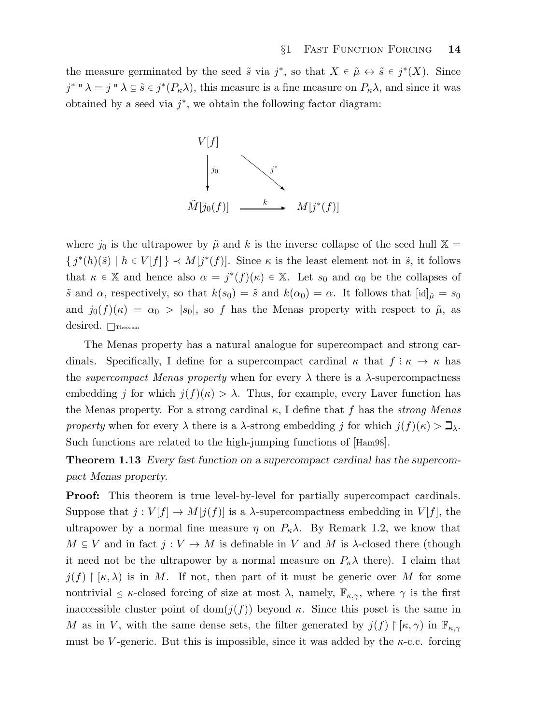the measure germinated by the seed  $\tilde{s}$  via  $j^*$ , so that  $X \in \tilde{\mu} \leftrightarrow \tilde{s} \in j^*(X)$ . Since  $j^*$  "  $\lambda = j$  "  $\lambda \subseteq \tilde{s} \in j^*(P_{\kappa}\lambda)$ , this measure is a fine measure on  $P_{\kappa}\lambda$ , and since it was obtained by a seed via  $j^*$ , we obtain the following factor diagram:



where  $j_0$  is the ultrapower by  $\tilde{\mu}$  and k is the inverse collapse of the seed hull  $\mathbb{X} =$  $\{j^*(h)(\tilde{s}) \mid h \in V[f]\} \prec M[j^*(f)]$ . Since  $\kappa$  is the least element not in  $\tilde{s}$ , it follows that  $\kappa \in \mathbb{X}$  and hence also  $\alpha = j^*(f)(\kappa) \in \mathbb{X}$ . Let  $s_0$  and  $\alpha_0$  be the collapses of  $\tilde{s}$  and  $\alpha$ , respectively, so that  $k(s_0) = \tilde{s}$  and  $k(\alpha_0) = \alpha$ . It follows that  $[\text{id}]_{\tilde{\mu}} = s_0$ and  $j_0(f)(\kappa) = \alpha_0 > |s_0|$ , so f has the Menas property with respect to  $\tilde{\mu}$ , as desired. <sub>Theorem</sub>

The Menas property has a natural analogue for supercompact and strong cardinals. Specifically, I define for a supercompact cardinal  $\kappa$  that  $f: \kappa \to \kappa$  has the *supercompact Menas property* when for every  $\lambda$  there is a  $\lambda$ -supercompactness embedding j for which  $j(f)(\kappa) > \lambda$ . Thus, for example, every Laver function has the Menas property. For a strong cardinal  $\kappa$ , I define that f has the *strong Menas* property when for every  $\lambda$  there is a  $\lambda$ -strong embedding j for which  $j(f)(\kappa) > \mathbb{Z}_{\lambda}$ . Such functions are related to the high-jumping functions of [Ham98].

Theorem 1.13 Every fast function on a supercompact cardinal has the supercompact Menas property.

**Proof:** This theorem is true level-by-level for partially supercompact cardinals. Suppose that  $j: V[f] \to M[j(f)]$  is a  $\lambda$ -supercompactness embedding in  $V[f]$ , the ultrapower by a normal fine measure  $\eta$  on  $P_{\kappa}\lambda$ . By Remark 1.2, we know that  $M \subseteq V$  and in fact  $j: V \to M$  is definable in V and M is  $\lambda$ -closed there (though it need not be the ultrapower by a normal measure on  $P_{\kappa} \lambda$  there). I claim that  $j(f) \restriction |\kappa, \lambda)$  is in M. If not, then part of it must be generic over M for some nontrivial  $\leq \kappa$ -closed forcing of size at most  $\lambda$ , namely,  $\mathbb{F}_{\kappa,\gamma}$ , where  $\gamma$  is the first inaccessible cluster point of dom $(j(f))$  beyond  $\kappa$ . Since this poset is the same in M as in V, with the same dense sets, the filter generated by  $j(f) \restriction [\kappa, \gamma)$  in  $\mathbb{F}_{\kappa,\gamma}$ must be V-generic. But this is impossible, since it was added by the  $\kappa$ -c.c. forcing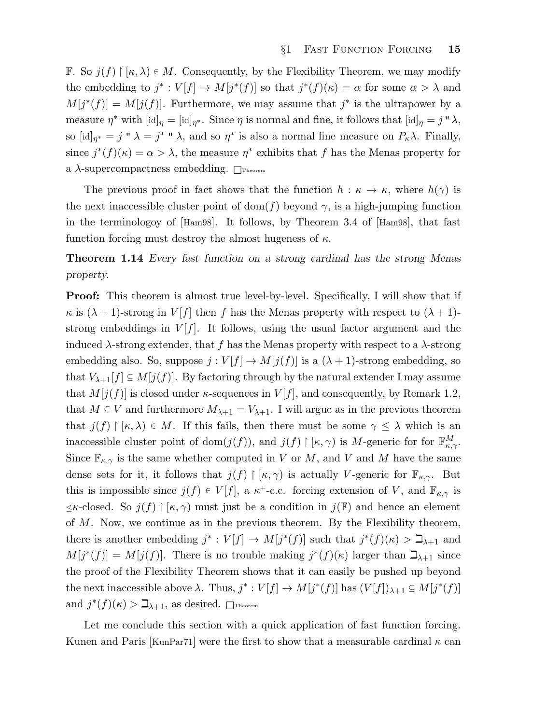F. So  $j(f) \restriction [\kappa, \lambda) \in M$ . Consequently, by the Flexibility Theorem, we may modify the embedding to  $j^*: V[f] \to M[j^*(f)]$  so that  $j^*(f)(\kappa) = \alpha$  for some  $\alpha > \lambda$  and  $M[j^*(f)] = M[j(f)]$ . Furthermore, we may assume that  $j^*$  is the ultrapower by a measure  $\eta^*$  with  $[\mathrm{id}]_{\eta} = [\mathrm{id}]_{\eta^*}$ . Since  $\eta$  is normal and fine, it follows that  $[\mathrm{id}]_{\eta} = j \cdot \lambda$ , so  $[\mathrm{id}]_{\eta^*} = j^* \times \lambda = j^* \times \lambda$ , and so  $\eta^*$  is also a normal fine measure on  $P_{\kappa} \lambda$ . Finally, since  $j^*(f)(\kappa) = \alpha > \lambda$ , the measure  $\eta^*$  exhibits that f has the Menas property for a  $\lambda$ -supercompactness embedding.  $\Box$ Theorem

The previous proof in fact shows that the function  $h : \kappa \to \kappa$ , where  $h(\gamma)$  is the next inaccessible cluster point of dom(f) beyond  $\gamma$ , is a high-jumping function in the terminologoy of [Ham98]. It follows, by Theorem 3.4 of [Ham98], that fast function forcing must destroy the almost hugeness of  $\kappa$ .

Theorem 1.14 Every fast function on a strong cardinal has the strong Menas property.

Proof: This theorem is almost true level-by-level. Specifically, I will show that if  $\kappa$  is  $(\lambda + 1)$ -strong in  $V[f]$  then f has the Menas property with respect to  $(\lambda + 1)$ strong embeddings in  $V[f]$ . It follows, using the usual factor argument and the induced  $\lambda$ -strong extender, that f has the Menas property with respect to a  $\lambda$ -strong embedding also. So, suppose  $j: V[f] \to M[j(f)]$  is a  $(\lambda + 1)$ -strong embedding, so that  $V_{\lambda+1}[f] \subseteq M[j(f)]$ . By factoring through by the natural extender I may assume that  $M[j(f)]$  is closed under  $\kappa$ -sequences in  $V[f]$ , and consequently, by Remark 1.2, that  $M \subseteq V$  and furthermore  $M_{\lambda+1} = V_{\lambda+1}$ . I will argue as in the previous theorem that  $j(f) \restriction [\kappa, \lambda) \in M$ . If this fails, then there must be some  $\gamma \leq \lambda$  which is an inaccessible cluster point of dom $(j(f))$ , and  $j(f) \restriction [\kappa, \gamma)$  is M-generic for for  $\mathbb{F}_{\kappa,\gamma}^M$ . Since  $\mathbb{F}_{\kappa,\gamma}$  is the same whether computed in V or M, and V and M have the same dense sets for it, it follows that  $j(f) \restriction [\kappa, \gamma)$  is actually V-generic for  $\mathbb{F}_{\kappa,\gamma}$ . But this is impossible since  $j(f) \in V[f]$ , a  $\kappa^+$ -c.c. forcing extension of V, and  $\mathbb{F}_{\kappa,\gamma}$  is  $\leq$ κ-closed. So  $j(f) \upharpoonright [\kappa, \gamma)$  must just be a condition in  $j(\mathbb{F})$  and hence an element of  $M$ . Now, we continue as in the previous theorem. By the Flexibility theorem, there is another embedding  $j^* : V[f] \to M[j^*(f)]$  such that  $j^*(f)(\kappa) > \mathbb{Z}_{\lambda+1}$  and  $M[j^*(f)] = M[j(f)]$ . There is no trouble making  $j^*(f)(\kappa)$  larger than  $\mathcal{I}_{\lambda+1}$  since the proof of the Flexibility Theorem shows that it can easily be pushed up beyond the next inaccessible above  $\lambda$ . Thus,  $j^* : V[f] \to M[j^*(f)]$  has  $(V[f])_{\lambda+1} \subseteq M[j^*(f)]$ and  $j^*(f)(\kappa) > \mathbb{Z}_{\lambda+1}$ , as desired.  $\Box$ Theorem

Let me conclude this section with a quick application of fast function forcing. Kunen and Paris | KunPar71 | were the first to show that a measurable cardinal  $\kappa$  can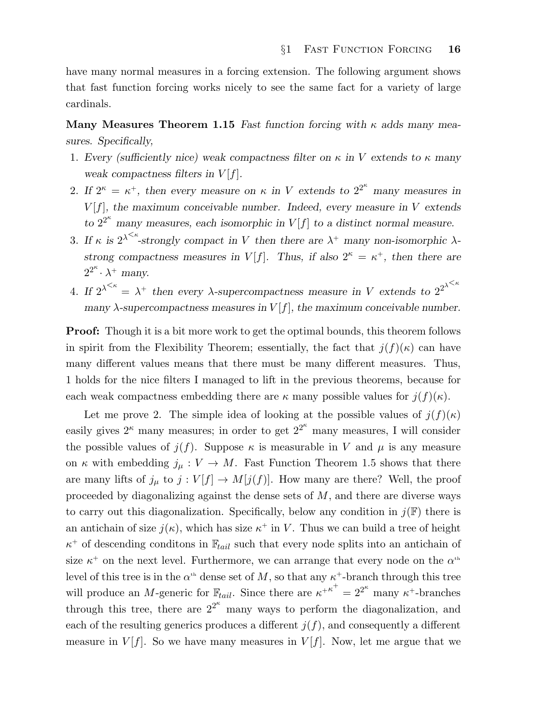have many normal measures in a forcing extension. The following argument shows that fast function forcing works nicely to see the same fact for a variety of large cardinals.

Many Measures Theorem 1.15 Fast function forcing with  $\kappa$  adds many measures. Specifically,

- 1. Every (sufficiently nice) weak compactness filter on  $\kappa$  in V extends to  $\kappa$  many weak compactness filters in  $V[f]$ .
- 2. If  $2^{\kappa} = \kappa^+$ , then every measure on  $\kappa$  in V extends to  $2^{2^{\kappa}}$  many measures in  $V[f]$ , the maximum conceivable number. Indeed, every measure in V extends to  $2^{2^{\kappa}}$  many measures, each isomorphic in  $V[f]$  to a distinct normal measure.
- 3. If  $\kappa$  is  $2^{\lambda \leq \kappa}$ -strongly compact in V then there are  $\lambda^+$  many non-isomorphic  $\lambda$ strong compactness measures in V[f]. Thus, if also  $2^{\kappa} = \kappa^+$ , then there are  $2^{2^{\kappa}} \cdot \lambda^+$  many.
- 4. If  $2^{\lambda^{<\kappa}} = \lambda^+$  then every  $\lambda$ -supercompactness measure in V extends to  $2^{2^{\lambda^{<\kappa}}}$ many  $\lambda$ -supercompactness measures in  $V[f]$ , the maximum conceivable number.

Proof: Though it is a bit more work to get the optimal bounds, this theorem follows in spirit from the Flexibility Theorem; essentially, the fact that  $j(f)(\kappa)$  can have many different values means that there must be many different measures. Thus, 1 holds for the nice filters I managed to lift in the previous theorems, because for each weak compactness embedding there are  $\kappa$  many possible values for  $j(f)(\kappa)$ .

Let me prove 2. The simple idea of looking at the possible values of  $j(f)(\kappa)$ easily gives  $2^{\kappa}$  many measures; in order to get  $2^{2^{\kappa}}$  many measures, I will consider the possible values of  $j(f)$ . Suppose  $\kappa$  is measurable in V and  $\mu$  is any measure on  $\kappa$  with embedding  $j_{\mu}: V \to M$ . Fast Function Theorem 1.5 shows that there are many lifts of  $j_{\mu}$  to  $j: V[f] \to M[j(f)]$ . How many are there? Well, the proof proceeded by diagonalizing against the dense sets of  $M$ , and there are diverse ways to carry out this diagonalization. Specifically, below any condition in  $j(\mathbb{F})$  there is an antichain of size  $j(\kappa)$ , which has size  $\kappa^+$  in V. Thus we can build a tree of height  $\kappa^+$  of descending conditions in  $\mathbb{F}_{tail}$  such that every node splits into an antichain of size  $\kappa^+$  on the next level. Furthermore, we can arrange that every node on the  $\alpha^{\text{th}}$ level of this tree is in the  $\alpha^{\text{th}}$  dense set of M, so that any  $\kappa^{\text{+}}$ -branch through this tree will produce an *M*-generic for  $\mathbb{F}_{tail}$ . Since there are  $\kappa^{+\kappa^+} = 2^{2^{\kappa}}$  many  $\kappa^+$ -branches through this tree, there are  $2^{2^{\kappa}}$  many ways to perform the diagonalization, and each of the resulting generics produces a different  $j(f)$ , and consequently a different measure in  $V[f]$ . So we have many measures in  $V[f]$ . Now, let me argue that we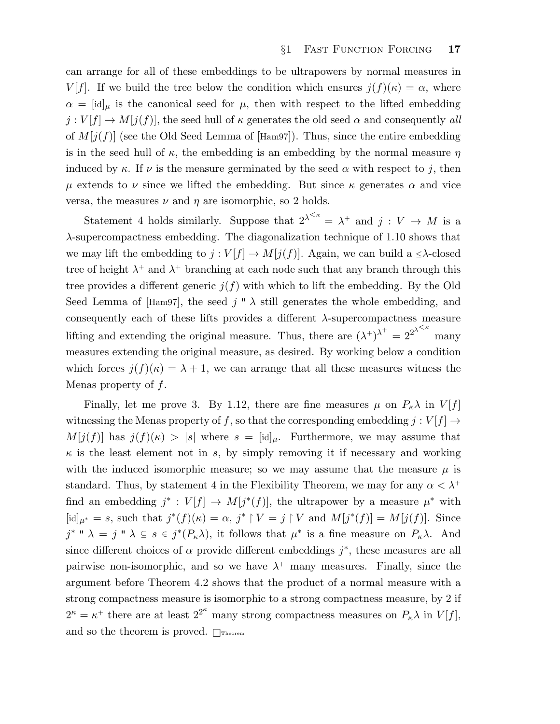can arrange for all of these embeddings to be ultrapowers by normal measures in V[f]. If we build the tree below the condition which ensures  $j(f)(\kappa) = \alpha$ , where  $\alpha = [\text{id}]_{\mu}$  is the canonical seed for  $\mu$ , then with respect to the lifted embedding  $j: V[f] \to M[j(f)]$ , the seed hull of  $\kappa$  generates the old seed  $\alpha$  and consequently all of  $M[j(f)]$  (see the Old Seed Lemma of [Ham97]). Thus, since the entire embedding is in the seed hull of  $\kappa$ , the embedding is an embedding by the normal measure  $\eta$ induced by  $\kappa$ . If  $\nu$  is the measure germinated by the seed  $\alpha$  with respect to j, then  $\mu$  extends to  $\nu$  since we lifted the embedding. But since  $\kappa$  generates  $\alpha$  and vice versa, the measures  $\nu$  and  $\eta$  are isomorphic, so 2 holds.

Statement 4 holds similarly. Suppose that  $2^{\lambda^{<\kappa}} = \lambda^+$  and  $j : V \to M$  is a  $\lambda$ -supercompactness embedding. The diagonalization technique of 1.10 shows that we may lift the embedding to  $j: V[f] \to M[j(f)]$ . Again, we can build a  $\leq \lambda$ -closed tree of height  $\lambda^+$  and  $\lambda^+$  branching at each node such that any branch through this tree provides a different generic  $j(f)$  with which to lift the embedding. By the Old Seed Lemma of [Ham97], the seed j "  $\lambda$  still generates the whole embedding, and consequently each of these lifts provides a different  $\lambda$ -supercompactness measure lifting and extending the original measure. Thus, there are  $(\lambda^+)^{\lambda^+} = 2^{2^{\lambda^{$ many measures extending the original measure, as desired. By working below a condition which forces  $j(f)(\kappa) = \lambda + 1$ , we can arrange that all these measures witness the Menas property of  $f$ .

Finally, let me prove 3. By 1.12, there are fine measures  $\mu$  on  $P_{\kappa}\lambda$  in  $V[f]$ witnessing the Menas property of f, so that the corresponding embedding  $j: V[f] \rightarrow$  $M[j(f)]$  has  $j(f)(\kappa) > |s|$  where  $s = |id]_{\mu}$ . Furthermore, we may assume that  $\kappa$  is the least element not in s, by simply removing it if necessary and working with the induced isomorphic measure; so we may assume that the measure  $\mu$  is standard. Thus, by statement 4 in the Flexibility Theorem, we may for any  $\alpha < \lambda^+$ find an embedding  $j^* : V[f] \to M[j^*(f)]$ , the ultrapower by a measure  $\mu^*$  with [id]<sub> $\mu^* = s$ , such that  $j^*(f)(\kappa) = \alpha$ ,  $j^* \upharpoonright V = j \upharpoonright V$  and  $M[j^*(f)] = M[j(f)]$ . Since</sub>  $j^*$  "  $\lambda = j$  "  $\lambda \subseteq s \in j^*(P_\kappa \lambda)$ , it follows that  $\mu^*$  is a fine measure on  $P_\kappa \lambda$ . And since different choices of  $\alpha$  provide different embeddings  $j^*$ , these measures are all pairwise non-isomorphic, and so we have  $\lambda^+$  many measures. Finally, since the argument before Theorem 4.2 shows that the product of a normal measure with a strong compactness measure is isomorphic to a strong compactness measure, by 2 if  $2^{\kappa} = \kappa^+$  there are at least  $2^{2^{\kappa}}$  many strong compactness measures on  $P_{\kappa} \lambda$  in  $V[f]$ , and so the theorem is proved.  $\Box$ Theorem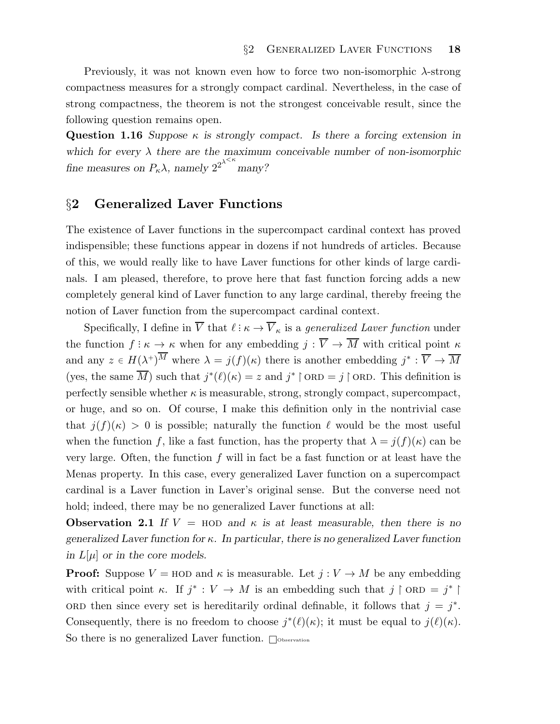Previously, it was not known even how to force two non-isomorphic λ-strong compactness measures for a strongly compact cardinal. Nevertheless, in the case of strong compactness, the theorem is not the strongest conceivable result, since the following question remains open.

Question 1.16 Suppose  $\kappa$  is strongly compact. Is there a forcing extension in which for every  $\lambda$  there are the maximum conceivable number of non-isomorphic fine measures on  $P_{\kappa} \lambda$ , namely  $2^{2^{\lambda^{ many?$ 

### §2 Generalized Laver Functions

The existence of Laver functions in the supercompact cardinal context has proved indispensible; these functions appear in dozens if not hundreds of articles. Because of this, we would really like to have Laver functions for other kinds of large cardinals. I am pleased, therefore, to prove here that fast function forcing adds a new completely general kind of Laver function to any large cardinal, thereby freeing the notion of Laver function from the supercompact cardinal context.

Specifically, I define in  $\overline{V}$  that  $\ell : \kappa \to \overline{V}_{\kappa}$  is a *generalized Laver function* under the function  $f: \kappa \to \kappa$  when for any embedding  $j: \overline{V} \to \overline{M}$  with critical point  $\kappa$ and any  $z \in H(\lambda^+)^M$  where  $\lambda = j(f)(\kappa)$  there is another embedding  $j^* : \overline{V} \to \overline{M}$ (yes, the same  $\overline{M}$ ) such that  $j^*(\ell)(\kappa) = z$  and  $j^* \upharpoonright$  ORD = j  $\upharpoonright$  ORD. This definition is perfectly sensible whether  $\kappa$  is measurable, strong, strongly compact, supercompact, or huge, and so on. Of course, I make this definition only in the nontrivial case that  $j(f)(\kappa) > 0$  is possible; naturally the function  $\ell$  would be the most useful when the function f, like a fast function, has the property that  $\lambda = j(f)(\kappa)$  can be very large. Often, the function  $f$  will in fact be a fast function or at least have the Menas property. In this case, every generalized Laver function on a supercompact cardinal is a Laver function in Laver's original sense. But the converse need not hold; indeed, there may be no generalized Laver functions at all:

**Observation 2.1** If  $V = HOD$  and  $\kappa$  is at least measurable, then there is no generalized Laver function for  $\kappa$ . In particular, there is no generalized Laver function in  $L[\mu]$  or in the core models.

**Proof:** Suppose  $V = \text{HOD}$  and  $\kappa$  is measurable. Let  $j: V \to M$  be any embedding with critical point  $\kappa$ . If  $j^* : V \to M$  is an embedding such that  $j \restriction$  ORD =  $j^* \restriction$ ORD then since every set is hereditarily ordinal definable, it follows that  $j = j^*$ . Consequently, there is no freedom to choose  $j^*(\ell)(\kappa)$ ; it must be equal to  $j(\ell)(\kappa)$ . So there is no generalized Laver function.  $\Box$ Observation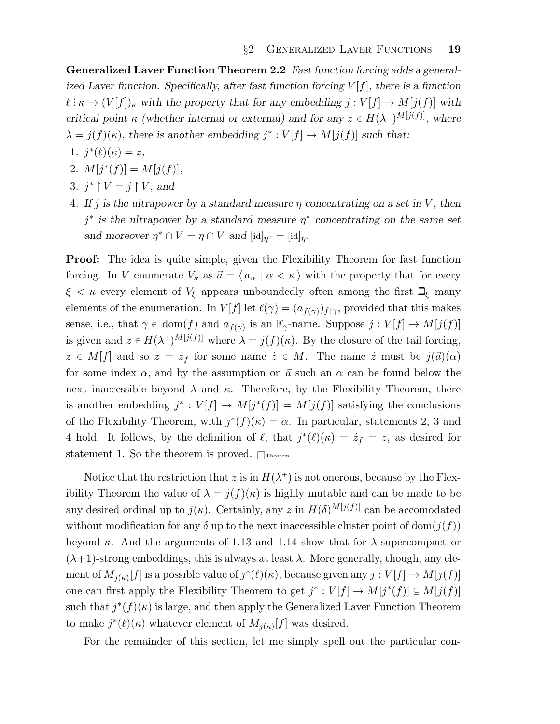Generalized Laver Function Theorem 2.2 Fast function forcing adds a generalized Laver function. Specifically, after fast function forcing  $V[f]$ , there is a function  $\ell : \kappa \to (V[f])_\kappa$  with the property that for any embedding  $j : V[f] \to M[j(f)]$  with critical point  $\kappa$  (whether internal or external) and for any  $z \in H(\lambda^+)^{M[j(f)]}$ , where  $\lambda = j(f)(\kappa)$ , there is another embedding  $j^* : V[f] \to M[j(f)]$  such that:

- 1.  $j^*(\ell)(\kappa) = z$ ,
- 2.  $M[j^*(f)] = M[j(f)],$
- 3.  $j^*$   $\upharpoonright$   $V = j \upharpoonright$   $V$ , and
- 4. If j is the ultrapower by a standard measure  $\eta$  concentrating on a set in V, then  $j^*$  is the ultrapower by a standard measure  $\eta^*$  concentrating on the same set and moreover  $\eta^* \cap V = \eta \cap V$  and  $[\mathrm{id}]_{\eta^*} = [\mathrm{id}]_{\eta}$ .

Proof: The idea is quite simple, given the Flexibility Theorem for fast function forcing. In V enumerate  $V_{\kappa}$  as  $\vec{a} = \langle a_{\alpha} | \alpha < \kappa \rangle$  with the property that for every  $\xi < \kappa$  every element of  $V_{\xi}$  appears unboundedly often among the first  $\mathbb{Z}_{\xi}$  many elements of the enumeration. In  $V[f]$  let  $\ell(\gamma) = (a_{f(\gamma)})_{f|\gamma}$ , provided that this makes sense, i.e., that  $\gamma \in \text{dom}(f)$  and  $a_{f(\gamma)}$  is an  $\mathbb{F}_{\gamma}$ -name. Suppose  $j: V[f] \to M[j(f)]$ is given and  $z \in H(\lambda^+)^{M[j(f)]}$  where  $\lambda = j(f)(\kappa)$ . By the closure of the tail forcing,  $z \in M[f]$  and so  $z = \dot{z}_f$  for some name  $\dot{z} \in M$ . The name  $\dot{z}$  must be  $j(\vec{a})(\alpha)$ for some index  $\alpha$ , and by the assumption on  $\vec{a}$  such an  $\alpha$  can be found below the next inaccessible beyond  $\lambda$  and  $\kappa$ . Therefore, by the Flexibility Theorem, there is another embedding  $j^* : V[f] \to M[j^*(f)] = M[j(f)]$  satisfying the conclusions of the Flexibility Theorem, with  $j^*(f)(\kappa) = \alpha$ . In particular, statements 2, 3 and 4 hold. It follows, by the definition of  $\ell$ , that  $j^*(\ell)(\kappa) = \dot{z}_f = z$ , as desired for statement 1. So the theorem is proved.  $\Box$ Theorem

Notice that the restriction that z is in  $H(\lambda^+)$  is not onerous, because by the Flexibility Theorem the value of  $\lambda = j(f)(\kappa)$  is highly mutable and can be made to be any desired ordinal up to  $j(\kappa)$ . Certainly, any z in  $H(\delta)^{M[j(f)]}$  can be accomodated without modification for any  $\delta$  up to the next inaccessible cluster point of dom $(j(f))$ beyond  $\kappa$ . And the arguments of 1.13 and 1.14 show that for  $\lambda$ -supercompact or  $(\lambda+1)$ -strong embeddings, this is always at least  $\lambda$ . More generally, though, any element of  $M_{j(\kappa)}[f]$  is a possible value of  $j^*(\ell)(\kappa)$ , because given any  $j:V[f]\to M[j(f)]$ one can first apply the Flexibility Theorem to get  $j^* : V[f] \to M[j^*(f)] \subseteq M[j(f)]$ such that  $j^*(f)(\kappa)$  is large, and then apply the Generalized Laver Function Theorem to make  $j^*(\ell)(\kappa)$  whatever element of  $M_{j(\kappa)}[f]$  was desired.

For the remainder of this section, let me simply spell out the particular con-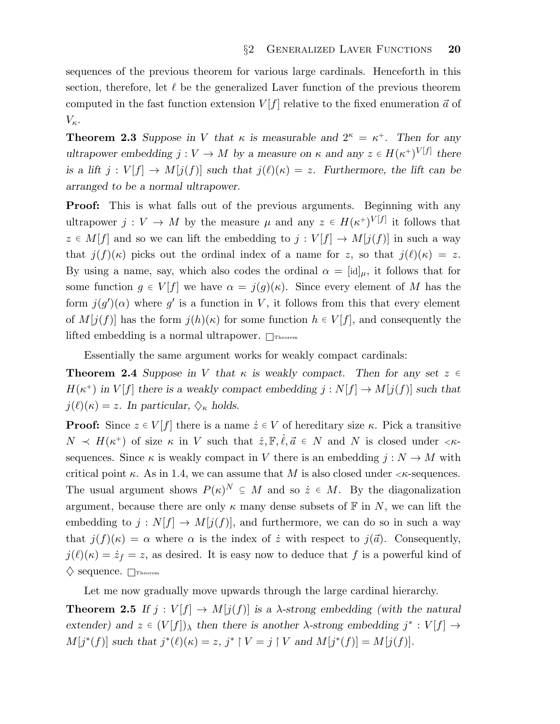sequences of the previous theorem for various large cardinals. Henceforth in this section, therefore, let  $\ell$  be the generalized Laver function of the previous theorem computed in the fast function extension  $V[f]$  relative to the fixed enumeration  $\vec{a}$  of  $V_{\kappa}$ .

**Theorem 2.3** Suppose in V that  $\kappa$  is measurable and  $2^{\kappa} = \kappa^+$ . Then for any ultrapower embedding  $j: V \to M$  by a measure on  $\kappa$  and any  $z \in H(\kappa^+)^{V[f]}$  there is a lift  $j: V[f] \to M[j(f)]$  such that  $j(\ell)(\kappa) = z$ . Furthermore, the lift can be arranged to be a normal ultrapower.

Proof: This is what falls out of the previous arguments. Beginning with any ultrapower  $j: V \to M$  by the measure  $\mu$  and any  $z \in H(\kappa^+)^{V[f]}$  it follows that  $z \in M[f]$  and so we can lift the embedding to  $j : V[f] \to M[j(f)]$  in such a way that  $j(f)(\kappa)$  picks out the ordinal index of a name for z, so that  $j(\ell)(\kappa) = z$ . By using a name, say, which also codes the ordinal  $\alpha = [id]_{\mu}$ , it follows that for some function  $g \in V[f]$  we have  $\alpha = j(g)(\kappa)$ . Since every element of M has the form  $j(g')(\alpha)$  where g' is a function in V, it follows from this that every element of  $M[j(f)]$  has the form  $j(h)(\kappa)$  for some function  $h \in V[f]$ , and consequently the lifted embedding is a normal ultrapower.  $\Box$ Theorem

Essentially the same argument works for weakly compact cardinals:

**Theorem 2.4** Suppose in V that  $\kappa$  is weakly compact. Then for any set  $z \in \mathbb{R}$  $H(\kappa^+)$  in  $V[f]$  there is a weakly compact embedding  $j : N[f] \to M[j(f)]$  such that  $j(\ell)(\kappa) = z$ . In particular,  $\diamondsuit_{\kappa}$  holds.

**Proof:** Since  $z \in V[f]$  there is a name  $\dot{z} \in V$  of hereditary size  $\kappa$ . Pick a transitive  $N \prec H(\kappa^+)$  of size  $\kappa$  in V such that  $\dot{z}, \mathbb{F}, \dot{\ell}, \vec{a} \in N$  and N is closed under  $\langle \kappa \cdot \rangle$ sequences. Since  $\kappa$  is weakly compact in V there is an embedding  $j: N \to M$  with critical point  $\kappa$ . As in 1.4, we can assume that M is also closed under  $\kappa$ -sequences. The usual argument shows  $P(\kappa)^N \subseteq M$  and so  $\dot{z} \in M$ . By the diagonalization argument, because there are only  $\kappa$  many dense subsets of  $\mathbb F$  in N, we can lift the embedding to  $j: N[f] \to M[j(f)]$ , and furthermore, we can do so in such a way that  $j(f)(\kappa) = \alpha$  where  $\alpha$  is the index of  $\dot{z}$  with respect to  $j(\vec{a})$ . Consequently,  $j(\ell)(\kappa) = \dot{z}_f = z$ , as desired. It is easy now to deduce that f is a powerful kind of  $\diamondsuit$  sequence.  $\Box$ Theorem

Let me now gradually move upwards through the large cardinal hierarchy.

**Theorem 2.5** If  $j: V[f] \to M[j(f)]$  is a  $\lambda$ -strong embedding (with the natural extender) and  $z \in (V[f])_\lambda$  then there is another  $\lambda$ -strong embedding  $j^* : V[f] \to$  $M[j^*(f)]$  such that  $j^*(\ell)(\kappa) = z$ ,  $j^* \upharpoonright V = j \upharpoonright V$  and  $M[j^*(f)] = M[j(f)]$ .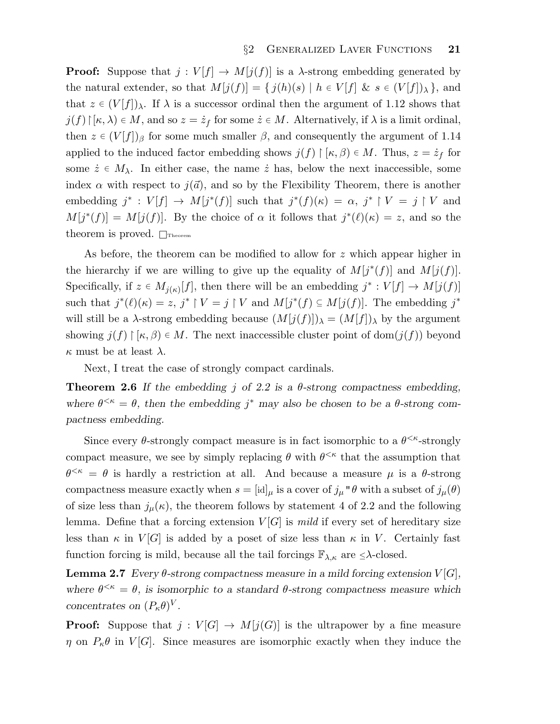**Proof:** Suppose that  $j: V[f] \to M[j(f)]$  is a  $\lambda$ -strong embedding generated by the natural extender, so that  $M[j(f)] = \{j(h)(s) | h \in V[f] \& s \in (V[f])_\lambda\}$ , and that  $z \in (V[f])_\lambda$ . If  $\lambda$  is a successor ordinal then the argument of 1.12 shows that  $j(f) \upharpoonright [\kappa, \lambda) \in M$ , and so  $z = \dot{z}_f$  for some  $\dot{z} \in M$ . Alternatively, if  $\lambda$  is a limit ordinal, then  $z \in (V[f])_{\beta}$  for some much smaller  $\beta$ , and consequently the argument of 1.14 applied to the induced factor embedding shows  $j(f) \upharpoonright [\kappa, \beta] \in M$ . Thus,  $z = \dot{z}_f$  for some  $\dot{z} \in M_{\lambda}$ . In either case, the name  $\dot{z}$  has, below the next inaccessible, some index  $\alpha$  with respect to  $j(\vec{a})$ , and so by the Flexibility Theorem, there is another embedding  $j^* : V[f] \to M[j^*(f)]$  such that  $j^*(f)(\kappa) = \alpha, j^* \upharpoonright V = j \upharpoonright V$  and  $M[j^*(f)] = M[j(f)]$ . By the choice of  $\alpha$  it follows that  $j^*(\ell)(\kappa) = z$ , and so the theorem is proved.  $\Box$ Theorem

As before, the theorem can be modified to allow for z which appear higher in the hierarchy if we are willing to give up the equality of  $M[j^*(f)]$  and  $M[j(f)]$ . Specifically, if  $z \in M_{j(\kappa)}[f]$ , then there will be an embedding  $j^* : V[f] \to M[j(f)]$ such that  $j^*(\ell)(\kappa) = z$ ,  $j^* \restriction V = j \restriction V$  and  $M[j^*(f) \subseteq M[j(f)]$ . The embedding  $j^*$ will still be a  $\lambda$ -strong embedding because  $(M[j(f)])_{\lambda} = (M[f])_{\lambda}$  by the argument showing  $j(f) \upharpoonright [\kappa, \beta] \in M$ . The next inaccessible cluster point of dom $(j(f))$  beyond  $\kappa$  must be at least  $\lambda$ .

Next, I treat the case of strongly compact cardinals.

**Theorem 2.6** If the embedding j of 2.2 is a  $\theta$ -strong compactness embedding, where  $\theta^{\leq \kappa} = \theta$ , then the embedding j<sup>\*</sup> may also be chosen to be a  $\theta$ -strong compactness embedding.

Since every  $\theta$ -strongly compact measure is in fact isomorphic to a  $\theta^{\leq \kappa}$ -strongly compact measure, we see by simply replacing  $\theta$  with  $\theta^{\leq \kappa}$  that the assumption that  $\theta^{\leq \kappa} = \theta$  is hardly a restriction at all. And because a measure  $\mu$  is a  $\theta$ -strong compactness measure exactly when  $s = [\mathrm{id}]_\mu$  is a cover of  $j_\mu \circ \theta$  with a subset of  $j_\mu(\theta)$ of size less than  $j_{\mu}(\kappa)$ , the theorem follows by statement 4 of 2.2 and the following lemma. Define that a forcing extension  $V[G]$  is mild if every set of hereditary size less than  $\kappa$  in  $V[G]$  is added by a poset of size less than  $\kappa$  in V. Certainly fast function forcing is mild, because all the tail forcings  $\mathbb{F}_{\lambda,\kappa}$  are  $\leq \lambda$ -closed.

**Lemma 2.7** Every  $\theta$ -strong compactness measure in a mild forcing extension  $V[G]$ , where  $\theta^{\leq \kappa} = \theta$ , is isomorphic to a standard  $\theta$ -strong compactness measure which concentrates on  $(P_{\kappa}\theta)^V$ .

**Proof:** Suppose that  $j: V[G] \to M[j(G)]$  is the ultrapower by a fine measure  $\eta$  on  $P_6\theta$  in  $V[G]$ . Since measures are isomorphic exactly when they induce the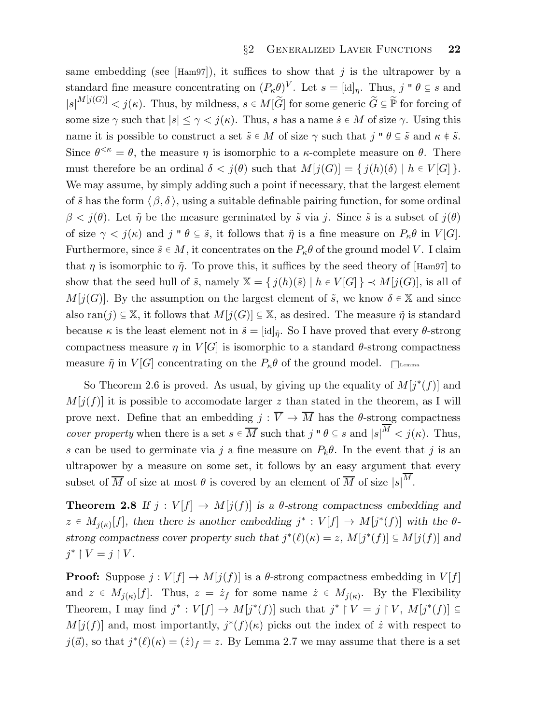same embedding (see [Ham97]), it suffices to show that j is the ultrapower by a standard fine measure concentrating on  $(P_\kappa \theta)^V$ . Let  $s = [\mathrm{id}]_\eta$ . Thus,  $j \circ \theta \subseteq s$  and  $|s|^{M[j(G)]} < j(\kappa)$ . Thus, by mildness,  $s \in M[\widetilde{G}]$  for some generic  $\widetilde{G} \subseteq \widetilde{P}$  for forcing of some size  $\gamma$  such that  $|s| \leq \gamma < j(\kappa)$ . Thus, s has a name  $\dot{s} \in M$  of size  $\gamma$ . Using this name it is possible to construct a set  $\tilde{s} \in M$  of size  $\gamma$  such that  $j'' \theta \subseteq \tilde{s}$  and  $\kappa \notin \tilde{s}$ . Since  $\theta^{\leq \kappa} = \theta$ , the measure  $\eta$  is isomorphic to a  $\kappa$ -complete measure on  $\theta$ . There must therefore be an ordinal  $\delta < j(\theta)$  such that  $M[j(G)] = \{j(h)(\delta) | h \in V[G] \}.$ We may assume, by simply adding such a point if necessary, that the largest element of  $\tilde{s}$  has the form  $\langle \beta, \delta \rangle$ , using a suitable definable pairing function, for some ordinal  $\beta < j(\theta)$ . Let  $\tilde{\eta}$  be the measure germinated by  $\tilde{s}$  via j. Since  $\tilde{s}$  is a subset of  $j(\theta)$ of size  $\gamma < j(\kappa)$  and j "  $\theta \subseteq \tilde{s}$ , it follows that  $\tilde{\eta}$  is a fine measure on  $P_{\kappa}\theta$  in  $V[G]$ . Furthermore, since  $\tilde{s} \in M$ , it concentrates on the  $P_{\kappa}\theta$  of the ground model V. I claim that  $\eta$  is isomorphic to  $\tilde{\eta}$ . To prove this, it suffices by the seed theory of [Ham97] to show that the seed hull of  $\tilde{s}$ , namely  $\mathbb{X} = \{j(h)(\tilde{s}) \mid h \in V[G]\} \prec M[j(G)]$ , is all of  $M[j(G)]$ . By the assumption on the largest element of  $\tilde{s}$ , we know  $\delta \in \mathbb{X}$  and since also ran(j)  $\subseteq \mathbb{X}$ , it follows that  $M[j(G)] \subseteq \mathbb{X}$ , as desired. The measure  $\tilde{\eta}$  is standard because  $\kappa$  is the least element not in  $\tilde{s} = [\text{id}]_{\tilde{\eta}}$ . So I have proved that every  $\theta$ -strong compactness measure  $\eta$  in  $V[G]$  is isomorphic to a standard  $\theta$ -strong compactness measure  $\tilde{\eta}$  in  $V[G]$  concentrating on the  $P_{\kappa}\theta$  of the ground model.  $\Box$ 

So Theorem 2.6 is proved. As usual, by giving up the equality of  $M[j^*(f)]$  and  $M[j(f)]$  it is possible to accomodate larger z than stated in the theorem, as I will prove next. Define that an embedding  $j : \overline{V} \to \overline{M}$  has the  $\theta$ -strong compactness *cover property* when there is a set  $s \in \overline{M}$  such that  $j'' \in S$  and  $|s|^M < j(\kappa)$ . Thus, s can be used to germinate via j a fine measure on  $P_k\theta$ . In the event that j is an ultrapower by a measure on some set, it follows by an easy argument that every subset of  $\overline{M}$  of size at most  $\theta$  is covered by an element of  $\overline{M}$  of size  $|s|^M$ .

**Theorem 2.8** If  $j: V[f] \to M[j(f)]$  is a  $\theta$ -strong compactness embedding and  $z \in M_{j(\kappa)}[f]$ , then there is another embedding  $j^* : V[f] \to M[j^*(f)]$  with the  $\theta$ strong compactness cover property such that  $j^*(\ell)(\kappa) = z$ ,  $M[j^*(f)] \subseteq M[j(f)]$  and  $j^* \restriction V = j \restriction V$ .

**Proof:** Suppose  $j: V[f] \to M[j(f)]$  is a  $\theta$ -strong compactness embedding in  $V[f]$ and  $z \in M_{j(\kappa)}[f]$ . Thus,  $z = \dot{z}_f$  for some name  $\dot{z} \in M_{j(\kappa)}$ . By the Flexibility Theorem, I may find  $j^* : V[f] \to M[j^*(f)]$  such that  $j^* \upharpoonright V = j \upharpoonright V$ ,  $M[j^*(f)] \subseteq$  $M[j(f)]$  and, most importantly,  $j^*(f)(\kappa)$  picks out the index of  $\dot{z}$  with respect to  $j(\vec{a})$ , so that  $j^*(\ell)(\kappa) = (\dot{z})_f = z$ . By Lemma 2.7 we may assume that there is a set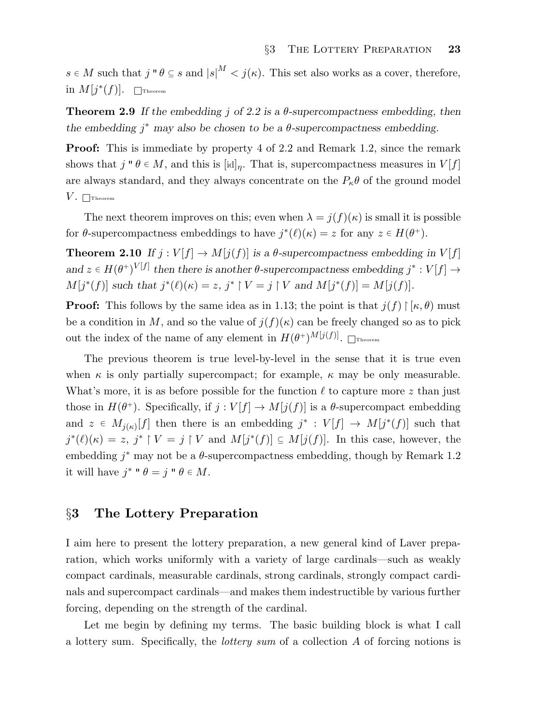$s \in M$  such that  $j \circ \theta \subseteq s$  and  $|s|^M < j(\kappa)$ . This set also works as a cover, therefore, in  $M[j^*(f)]$ .  $\Box$ Theorem

**Theorem 2.9** If the embedding j of 2.2 is a  $\theta$ -supercompactness embedding, then the embedding  $j^*$  may also be chosen to be a  $\theta$ -supercompactness embedding.

Proof: This is immediate by property 4 of 2.2 and Remark 1.2, since the remark shows that  $j \circ \theta \in M$ , and this is  $[\text{id}]_\eta$ . That is, supercompactness measures in  $V[f]$ are always standard, and they always concentrate on the  $P_{\kappa}\theta$  of the ground model  $V.$  Theorem

The next theorem improves on this; even when  $\lambda = j(f)(\kappa)$  is small it is possible for  $\theta$ -supercompactness embeddings to have  $j^*(\ell)(\kappa) = z$  for any  $z \in H(\theta^+)$ .

**Theorem 2.10** If  $j: V[f] \to M[j(f)]$  is a  $\theta$ -supercompactness embedding in  $V[f]$ and  $z \in H(\theta^+)^{V[f]}$  then there is another  $\theta$ -supercompactness embedding  $j^* : V[f] \to$  $M[j^*(f)]$  such that  $j^*(\ell)(\kappa) = z$ ,  $j^* \upharpoonright V = j \upharpoonright V$  and  $M[j^*(f)] = M[j(f)]$ .

**Proof:** This follows by the same idea as in 1.13; the point is that  $j(f) \upharpoonright \kappa, \theta$  must be a condition in M, and so the value of  $j(f)(\kappa)$  can be freely changed so as to pick out the index of the name of any element in  $H(\theta^+)^{M[j(f)]}$ .  $\Box$ Theorem

The previous theorem is true level-by-level in the sense that it is true even when  $\kappa$  is only partially supercompact; for example,  $\kappa$  may be only measurable. What's more, it is as before possible for the function  $\ell$  to capture more z than just those in  $H(\theta^+)$ . Specifically, if  $j: V[f] \to M[j(f)]$  is a  $\theta$ -supercompact embedding and  $z \in M_{j(\kappa)}[f]$  then there is an embedding  $j^* : V[f] \to M[j^*(f)]$  such that  $j^*(\ell)(\kappa) = z, j^* \upharpoonright V = j \upharpoonright V$  and  $M[j^*(f)] \subseteq M[j(f)]$ . In this case, however, the embedding  $j^*$  may not be a  $\theta$ -supercompactness embedding, though by Remark 1.2 it will have  $j^*$  "  $\theta = j$  "  $\theta \in M$ .

## §3 The Lottery Preparation

I aim here to present the lottery preparation, a new general kind of Laver preparation, which works uniformly with a variety of large cardinals—such as weakly compact cardinals, measurable cardinals, strong cardinals, strongly compact cardinals and supercompact cardinals—and makes them indestructible by various further forcing, depending on the strength of the cardinal.

Let me begin by defining my terms. The basic building block is what I call a lottery sum. Specifically, the lottery sum of a collection A of forcing notions is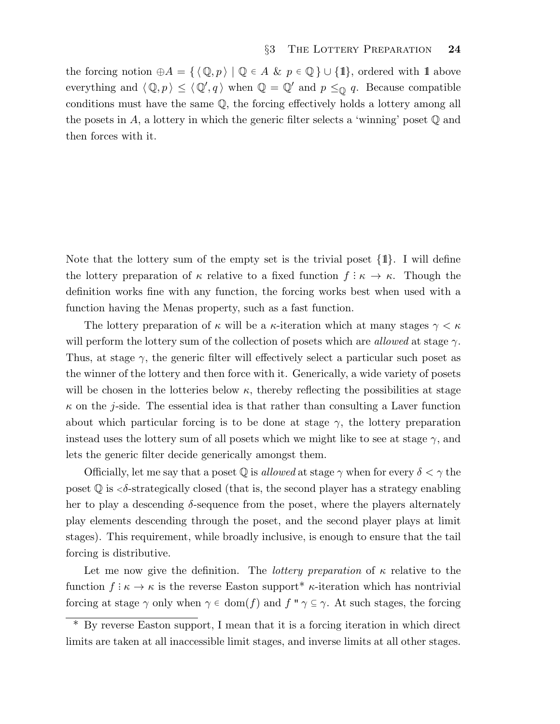the forcing notion  $\oplus A = \{ \langle \mathbb{Q}, p \rangle \mid \mathbb{Q} \in A \& p \in \mathbb{Q} \} \cup \{1\}$ , ordered with 1 above everything and  $\langle \mathbb{Q}, p \rangle \leq \langle \mathbb{Q}', q \rangle$  when  $\mathbb{Q} = \mathbb{Q}'$  and  $p \leq_{\mathbb{Q}} q$ . Because compatible conditions must have the same Q, the forcing effectively holds a lottery among all the posets in A, a lottery in which the generic filter selects a 'winning' poset  $\mathbb Q$  and then forces with it.

Note that the lottery sum of the empty set is the trivial poset  $\{1\}$ . I will define the lottery preparation of  $\kappa$  relative to a fixed function  $f: \kappa \to \kappa$ . Though the definition works fine with any function, the forcing works best when used with a function having the Menas property, such as a fast function.

The lottery preparation of  $\kappa$  will be a  $\kappa$ -iteration which at many stages  $\gamma < \kappa$ will perform the lottery sum of the collection of posets which are *allowed* at stage  $\gamma$ . Thus, at stage  $\gamma$ , the generic filter will effectively select a particular such poset as the winner of the lottery and then force with it. Generically, a wide variety of posets will be chosen in the lotteries below  $\kappa$ , thereby reflecting the possibilities at stage  $\kappa$  on the j-side. The essential idea is that rather than consulting a Laver function about which particular forcing is to be done at stage  $\gamma$ , the lottery preparation instead uses the lottery sum of all posets which we might like to see at stage  $\gamma$ , and lets the generic filter decide generically amongst them.

Officially, let me say that a poset  $\mathbb Q$  is *allowed* at stage  $\gamma$  when for every  $\delta < \gamma$  the poset  $\mathbb Q$  is  $\langle \delta\text{-strategy} \rangle$  closed (that is, the second player has a strategy enabling her to play a descending  $\delta$ -sequence from the poset, where the players alternately play elements descending through the poset, and the second player plays at limit stages). This requirement, while broadly inclusive, is enough to ensure that the tail forcing is distributive.

Let me now give the definition. The *lottery preparation* of  $\kappa$  relative to the function  $f: \kappa \to \kappa$  is the reverse Easton support<sup>\*</sup>  $\kappa$ -iteration which has nontrivial forcing at stage  $\gamma$  only when  $\gamma \in \text{dom}(f)$  and  $f'' \gamma \subseteq \gamma$ . At such stages, the forcing

By reverse Easton support, I mean that it is a forcing iteration in which direct limits are taken at all inaccessible limit stages, and inverse limits at all other stages.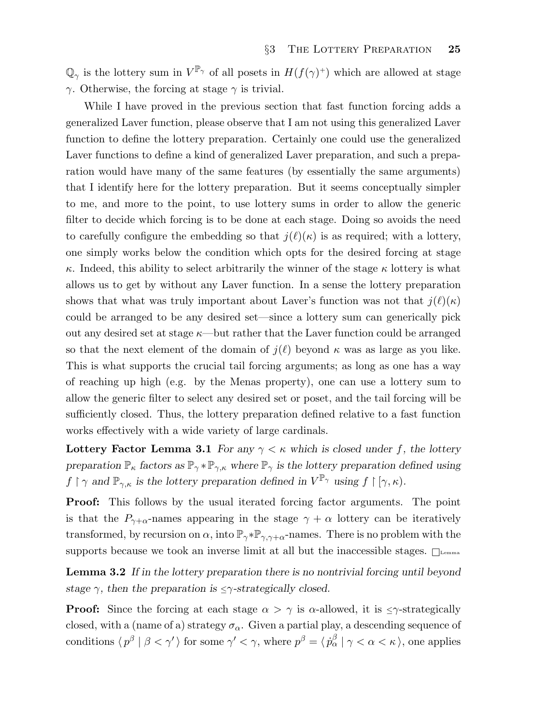$\mathbb{Q}_{\gamma}$  is the lottery sum in  $V^{\mathbb{P}_{\gamma}}$  of all posets in  $H(f(\gamma)^+)$  which are allowed at stage γ. Otherwise, the forcing at stage  $γ$  is trivial.

While I have proved in the previous section that fast function forcing adds a generalized Laver function, please observe that I am not using this generalized Laver function to define the lottery preparation. Certainly one could use the generalized Laver functions to define a kind of generalized Laver preparation, and such a preparation would have many of the same features (by essentially the same arguments) that I identify here for the lottery preparation. But it seems conceptually simpler to me, and more to the point, to use lottery sums in order to allow the generic filter to decide which forcing is to be done at each stage. Doing so avoids the need to carefully configure the embedding so that  $j(\ell)(\kappa)$  is as required; with a lottery, one simply works below the condition which opts for the desired forcing at stage κ. Indeed, this ability to select arbitrarily the winner of the stage  $\kappa$  lottery is what allows us to get by without any Laver function. In a sense the lottery preparation shows that what was truly important about Laver's function was not that  $j(\ell)(\kappa)$ could be arranged to be any desired set—since a lottery sum can generically pick out any desired set at stage  $\kappa$ —but rather that the Laver function could be arranged so that the next element of the domain of  $j(\ell)$  beyond  $\kappa$  was as large as you like. This is what supports the crucial tail forcing arguments; as long as one has a way of reaching up high (e.g. by the Menas property), one can use a lottery sum to allow the generic filter to select any desired set or poset, and the tail forcing will be sufficiently closed. Thus, the lottery preparation defined relative to a fast function works effectively with a wide variety of large cardinals.

Lottery Factor Lemma 3.1 For any  $\gamma < \kappa$  which is closed under f, the lottery preparation  $\mathbb{P}_{\kappa}$  factors as  $\mathbb{P}_{\gamma} * \mathbb{P}_{\gamma,\kappa}$  where  $\mathbb{P}_{\gamma}$  is the lottery preparation defined using  $f \restriction \gamma$  and  $\mathbb{P}_{\gamma,\kappa}$  is the lottery preparation defined in  $V^{\mathbb{P}_{\gamma}}$  using  $f \restriction [\gamma,\kappa)$ .

Proof: This follows by the usual iterated forcing factor arguments. The point is that the  $P_{\gamma+\alpha}$ -names appearing in the stage  $\gamma+\alpha$  lottery can be iteratively transformed, by recursion on  $\alpha$ , into  $\mathbb{P}_{\gamma} * \mathbb{P}_{\gamma, \gamma+\alpha}$ -names. There is no problem with the supports because we took an inverse limit at all but the inaccessible stages.  $\Box$ 

Lemma 3.2 If in the lottery preparation there is no nontrivial forcing until beyond stage  $\gamma$ , then the preparation is  $\leq \gamma$ -strategically closed.

**Proof:** Since the forcing at each stage  $\alpha > \gamma$  is  $\alpha$ -allowed, it is  $\leq \gamma$ -strategically closed, with a (name of a) strategy  $\sigma_{\alpha}$ . Given a partial play, a descending sequence of conditions  $\langle p^{\beta} | \beta \langle \gamma' \rangle$  for some  $\gamma' \langle \gamma$ , where  $p^{\beta} = \langle p^{\beta}_{\alpha} | \gamma \langle \alpha \langle \kappa \rangle$ , one applies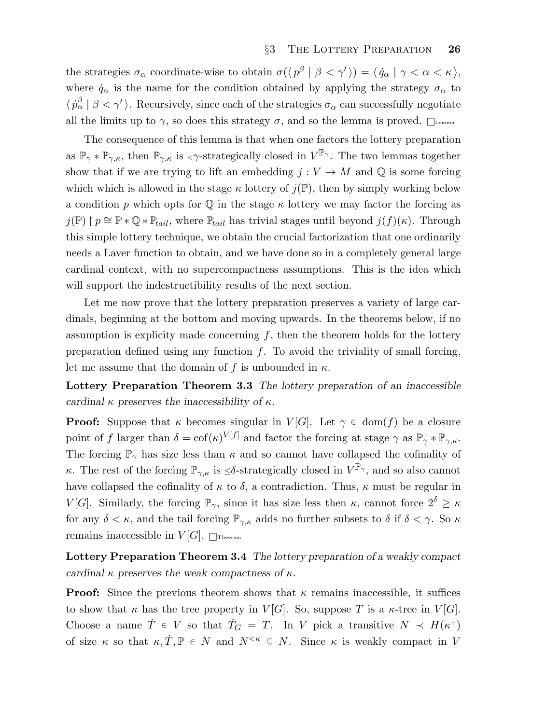the strategies  $\sigma_{\alpha}$  coordinate-wise to obtain  $\sigma(\langle p^{\beta} | \beta \langle \gamma' \rangle) = \langle \dot{q}_{\alpha} | \gamma \langle \alpha \langle \kappa \rangle$ , where  $\dot{q}_{\alpha}$  is the name for the condition obtained by applying the strategy  $\sigma_{\alpha}$  to  $\langle \dot{p}_{\alpha}^{\beta} | \beta \langle \gamma' \rangle$ . Recursively, since each of the strategies  $\sigma_{\alpha}$  can successfully negotiate all the limits up to  $\gamma$ , so does this strategy  $\sigma$ , and so the lemma is proved.  $\Box$ 

The consequence of this lemma is that when one factors the lottery preparation as  $\mathbb{P}_{\gamma} * \mathbb{P}_{\gamma,\kappa}$ , then  $\mathbb{P}_{\gamma,\kappa}$  is  $\langle \gamma$ -strategically closed in  $V^{\mathbb{P}_{\gamma}}$ . The two lemmas together show that if we are trying to lift an embedding  $j: V \to M$  and Q is some forcing which which is allowed in the stage  $\kappa$  lottery of  $j(\mathbb{P})$ , then by simply working below a condition p which opts for  $\mathbb Q$  in the stage  $\kappa$  lottery we may factor the forcing as  $j(\mathbb{P}) \restriction p \cong \mathbb{P} * \mathbb{Q} * \mathbb{P}_{tail}$ , where  $\mathbb{P}_{tail}$  has trivial stages until beyond  $j(f)(\kappa)$ . Through this simple lottery technique, we obtain the crucial factorization that one ordinarily needs a Laver function to obtain, and we have done so in a completely general large cardinal context, with no supercompactness assumptions. This is the idea which will support the indestructibility results of the next section.

Let me now prove that the lottery preparation preserves a variety of large cardinals, beginning at the bottom and moving upwards. In the theorems below, if no assumption is explicity made concerning  $f$ , then the theorem holds for the lottery preparation defined using any function  $f$ . To avoid the triviality of small forcing, let me assume that the domain of f is unbounded in  $\kappa$ .

Lottery Preparation Theorem 3.3 The lottery preparation of an inaccessible cardinal  $\kappa$  preserves the inaccessibility of  $\kappa$ .

**Proof:** Suppose that  $\kappa$  becomes singular in  $V[G]$ . Let  $\gamma \in \text{dom}(f)$  be a closure point of f larger than  $\delta = \text{cof}(\kappa)^{V[f]}$  and factor the forcing at stage  $\gamma$  as  $\mathbb{P}_{\gamma} * \mathbb{P}_{\gamma,\kappa}$ . The forcing  $\mathbb{P}_{\gamma}$  has size less than  $\kappa$  and so cannot have collapsed the cofinality of κ. The rest of the forcing  $\mathbb{P}_{\gamma,\kappa}$  is  $\leq \delta$ -strategically closed in  $V^{\mathbb{P}_{\gamma}}$ , and so also cannot have collapsed the cofinality of  $\kappa$  to  $\delta$ , a contradiction. Thus,  $\kappa$  must be regular in V[G]. Similarly, the forcing  $\mathbb{P}_{\gamma}$ , since it has size less then  $\kappa$ , cannot force  $2^{\delta} \geq \kappa$ for any  $\delta < \kappa$ , and the tail forcing  $\mathbb{P}_{\gamma,\kappa}$  adds no further subsets to  $\delta$  if  $\delta < \gamma$ . So  $\kappa$ remains inaccessible in  $V[G]$ .  $\Box$ Theorem

Lottery Preparation Theorem 3.4 The lottery preparation of a weakly compact cardinal  $\kappa$  preserves the weak compactness of  $\kappa$ .

**Proof:** Since the previous theorem shows that  $\kappa$  remains inaccessible, it suffices to show that  $\kappa$  has the tree property in  $V[G]$ . So, suppose T is a  $\kappa$ -tree in  $V[G]$ . Choose a name  $\dot{T} \in V$  so that  $\dot{T}_G = T$ . In V pick a transitive  $N \prec H(\kappa^+)$ of size  $\kappa$  so that  $\kappa, \dot{T}, \mathbb{P} \in N$  and  $N^{\leq \kappa} \subseteq N$ . Since  $\kappa$  is weakly compact in V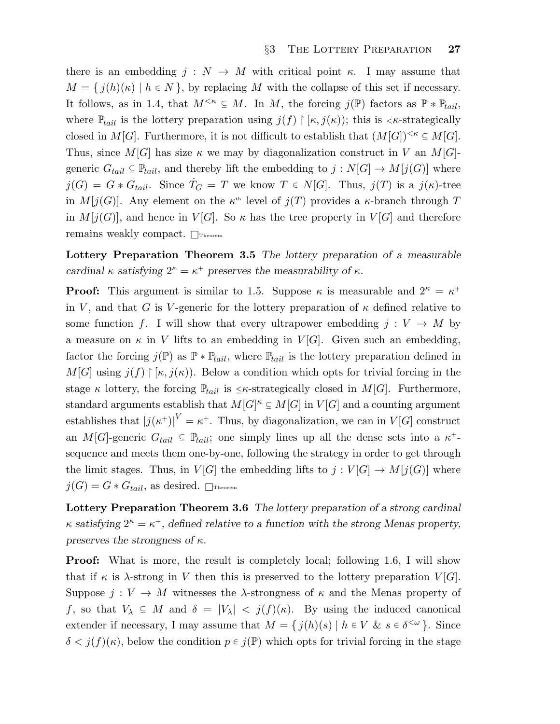there is an embedding  $j : N \to M$  with critical point  $\kappa$ . I may assume that  $M = \{ j(h)(\kappa) \mid h \in N \}$ , by replacing M with the collapse of this set if necessary. It follows, as in 1.4, that  $M^{<\kappa} \subseteq M$ . In M, the forcing  $j(\mathbb{P})$  factors as  $\mathbb{P} * \mathbb{P}_{tail}$ , where  $\mathbb{P}_{tail}$  is the lottery preparation using  $j(f) \upharpoonright [\kappa, j(\kappa))$ ; this is  $\langle \kappa$ -strategically closed in M[G]. Furthermore, it is not difficult to establish that  $(M[G])^{\leq\kappa} \subseteq M[G]$ . Thus, since  $M[G]$  has size  $\kappa$  we may by diagonalization construct in V an  $M[G]$ generic  $G_{tail} \subseteq \mathbb{P}_{tail}$ , and thereby lift the embedding to  $j: N[G] \to M[j(G)]$  where  $j(G) = G * G_{tail}$ . Since  $T_G = T$  we know  $T \in N[G]$ . Thus,  $j(T)$  is a  $j(\kappa)$ -tree in  $M[j(G)]$ . Any element on the  $\kappa^{\text{th}}$  level of  $j(T)$  provides a  $\kappa$ -branch through T in  $M[j(G)]$ , and hence in  $V[G]$ . So  $\kappa$  has the tree property in  $V[G]$  and therefore remains weakly compact.  $\Box$ Theorem

Lottery Preparation Theorem 3.5 The lottery preparation of a measurable cardinal  $\kappa$  satisfying  $2^{\kappa} = \kappa^+$  preserves the measurability of  $\kappa$ .

**Proof:** This argument is similar to 1.5. Suppose  $\kappa$  is measurable and  $2^{\kappa} = \kappa^+$ in V, and that G is V-generic for the lottery preparation of  $\kappa$  defined relative to some function f. I will show that every ultrapower embedding  $j: V \to M$  by a measure on  $\kappa$  in V lifts to an embedding in V[G]. Given such an embedding, factor the forcing  $j(\mathbb{P})$  as  $\mathbb{P} * \mathbb{P}_{tail}$ , where  $\mathbb{P}_{tail}$  is the lottery preparation defined in  $M[G]$  using  $j(f) \upharpoonright [\kappa, j(\kappa))$ . Below a condition which opts for trivial forcing in the stage κ lottery, the forcing  $\mathbb{P}_{tail}$  is  $\leq \kappa$ -strategically closed in  $M[G]$ . Furthermore, standard arguments establish that  $M[G]^{\kappa} \subseteq M[G]$  in  $V[G]$  and a counting argument establishes that  $|j(\kappa^+)|^V = \kappa^+$ . Thus, by diagonalization, we can in  $V[G]$  construct an M[G]-generic  $G_{tail} \subseteq \mathbb{P}_{tail}$ ; one simply lines up all the dense sets into a  $\kappa^+$ sequence and meets them one-by-one, following the strategy in order to get through the limit stages. Thus, in  $V[G]$  the embedding lifts to  $j: V[G] \to M[j(G)]$  where  $j(G) = G * G_{tail}$ , as desired.  $\Box$ Theorem

Lottery Preparation Theorem 3.6 The lottery preparation of a strong cardinal  $\kappa$  satisfying  $2^{\kappa} = \kappa^+$ , defined relative to a function with the strong Menas property, preserves the strongness of  $\kappa$ .

**Proof:** What is more, the result is completely local; following 1.6, I will show that if  $\kappa$  is  $\lambda$ -strong in V then this is preserved to the lottery preparation  $V[G]$ . Suppose  $j: V \to M$  witnesses the  $\lambda$ -strongness of  $\kappa$  and the Menas property of f, so that  $V_\lambda \subseteq M$  and  $\delta = |V_\lambda| < j(f)(\kappa)$ . By using the induced canonical extender if necessary, I may assume that  $M = \{ j(h)(s) | h \in V \& s \in \delta^{\langle \omega \rangle} \}$ . Since  $\delta < j(f)(\kappa)$ , below the condition  $p \in j(\mathbb{P})$  which opts for trivial forcing in the stage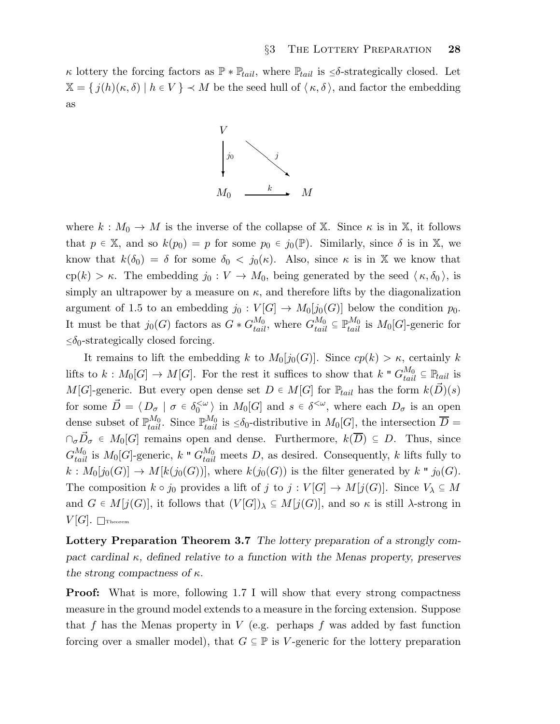κ lottery the forcing factors as  $\mathbb{P} * \mathbb{P}_{tail}$ , where  $\mathbb{P}_{tail}$  is  $\leq \delta$ -strategically closed. Let  $\mathbb{X} = \{ j(h)(\kappa, \delta) \mid h \in V \} \prec M$  be the seed hull of  $\langle \kappa, \delta \rangle$ , and factor the embedding as



where  $k : M_0 \to M$  is the inverse of the collapse of X. Since  $\kappa$  is in X, it follows that  $p \in \mathbb{X}$ , and so  $k(p_0) = p$  for some  $p_0 \in j_0(\mathbb{P})$ . Similarly, since  $\delta$  is in  $\mathbb{X}$ , we know that  $k(\delta_0) = \delta$  for some  $\delta_0 < j_0(\kappa)$ . Also, since  $\kappa$  is in X we know that cp(k) > κ. The embedding  $j_0 : V \to M_0$ , being generated by the seed  $\langle \kappa, \delta_0 \rangle$ , is simply an ultrapower by a measure on  $\kappa$ , and therefore lifts by the diagonalization argument of 1.5 to an embedding  $j_0: V[G] \to M_0[j_0(G)]$  below the condition  $p_0$ . It must be that  $j_0(G)$  factors as  $G * G_{tail}^{M_0}$ , where  $G_{tail}^{M_0} \subseteq \mathbb{P}_{tail}^{M_0}$  is  $M_0[G]$ -generic for  $\leq \delta_0$ -strategically closed forcing.

It remains to lift the embedding k to  $M_0[j_0(G)]$ . Since  $cp(k) > \kappa$ , certainly k lifts to  $k: M_0[G] \to M[G]$ . For the rest it suffices to show that  $k " G_{tail}^{M_0} \subseteq \mathbb{P}_{tail}$  is M[G]-generic. But every open dense set  $D \in M[G]$  for  $\mathbb{P}_{tail}$  has the form  $k(\overrightarrow{D})(s)$ for some  $\vec{D} = \langle D_{\sigma} \mid \sigma \in \delta_0^{<\omega}$  $\langle 0 \rangle$  in  $M_0[G]$  and  $s \in \delta^{\langle \omega \rangle}$ , where each  $D_{\sigma}$  is an open dense subset of  $\mathbb{P}_{tail}^{M_0}$ . Since  $\mathbb{P}_{tail}^{M_0}$  is  $\leq \delta_0$ -distributive in  $M_0[G]$ , the intersection  $\overline{D}$  =  $\cap_{\sigma} \vec{D}_{\sigma} \in M_0[G]$  remains open and dense. Furthermore,  $k(\overline{D}) \subseteq D$ . Thus, since  $G_{tail}^{M_0}$  is  $M_0[G]$ -generic, k "  $G_{tail}^{M_0}$  meets D, as desired. Consequently, k lifts fully to  $k: M_0[j_0(G)] \to M[k(j_0(G))],$  where  $k(j_0(G))$  is the filter generated by k "  $j_0(G)$ . The composition  $k \circ j_0$  provides a lift of j to  $j: V[G] \to M[j(G)]$ . Since  $V_\lambda \subseteq M$ and  $G \in M[j(G)]$ , it follows that  $(V[G])_\lambda \subseteq M[j(G)]$ , and so  $\kappa$  is still  $\lambda$ -strong in  $V[G]$ . Theorem

Lottery Preparation Theorem 3.7 The lottery preparation of a strongly compact cardinal  $\kappa$ , defined relative to a function with the Menas property, preserves the strong compactness of  $\kappa$ .

**Proof:** What is more, following 1.7 I will show that every strong compactness measure in the ground model extends to a measure in the forcing extension. Suppose that f has the Menas property in  $V$  (e.g. perhaps f was added by fast function forcing over a smaller model), that  $G \subseteq \mathbb{P}$  is V-generic for the lottery preparation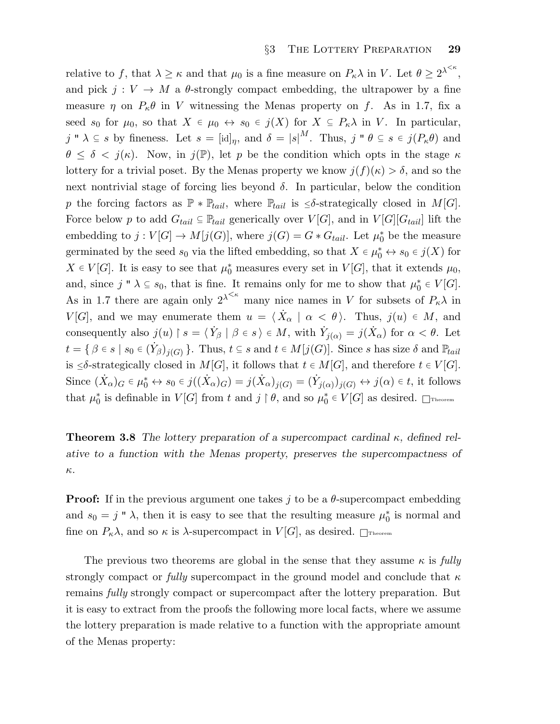relative to f, that  $\lambda \geq \kappa$  and that  $\mu_0$  is a fine measure on  $P_\kappa \lambda$  in V. Let  $\theta \geq 2^{\lambda^{<\kappa}}$ , and pick  $j: V \to M$  a  $\theta$ -strongly compact embedding, the ultrapower by a fine measure  $\eta$  on  $P_{\kappa}\theta$  in V witnessing the Menas property on f. As in 1.7, fix a seed  $s_0$  for  $\mu_0$ , so that  $X \in \mu_0 \leftrightarrow s_0 \in j(X)$  for  $X \subseteq P_\kappa \lambda$  in V. In particular, j "  $\lambda \subseteq s$  by fineness. Let  $s = [\mathrm{id}]_\eta$ , and  $\delta = |s|^M$ . Thus, j "  $\theta \subseteq s \in j(P_\kappa \theta)$  and  $\theta \leq \delta \langle j(\kappa) \rangle$ . Now, in  $j(\mathbb{P})$ , let p be the condition which opts in the stage  $\kappa$ lottery for a trivial poset. By the Menas property we know  $j(f)(\kappa) > \delta$ , and so the next nontrivial stage of forcing lies beyond  $\delta$ . In particular, below the condition p the forcing factors as  $\mathbb{P} * \mathbb{P}_{tail}$ , where  $\mathbb{P}_{tail}$  is  $\leq \delta$ -strategically closed in  $M[G]$ . Force below p to add  $G_{tail} \subseteq \mathbb{P}_{tail}$  generically over  $V[G]$ , and in  $V[G][G_{tail}]$  lift the embedding to  $j: V[G] \to M[j(G)]$ , where  $j(G) = G * G_{tail}$ . Let  $\mu_0^*$  be the measure germinated by the seed  $s_0$  via the lifted embedding, so that  $X \in \mu_0^* \leftrightarrow s_0 \in j(X)$  for  $X \in V[G]$ . It is easy to see that  $\mu_0^*$  measures every set in  $V[G]$ , that it extends  $\mu_0$ , and, since  $j'' \lambda \subseteq s_0$ , that is fine. It remains only for me to show that  $\mu_0^* \in V[G]$ . As in 1.7 there are again only  $2^{\lambda^{<\kappa}}$  many nice names in V for subsets of  $P_{\kappa}\lambda$  in  $V[G]$ , and we may enumerate them  $u = \langle \dot{X}_{\alpha} | \alpha \langle \theta \rangle$ . Thus,  $j(u) \in M$ , and consequently also  $j(u) \restriction s = \langle Y_\beta \mid \beta \in s \rangle \in M$ , with  $Y_{j(\alpha)} = j(\dot{X}_\alpha)$  for  $\alpha < \theta$ . Let  $t = \{ \beta \in s \mid s_0 \in (\dot{Y}_\beta)_{j(G)} \}$ . Thus,  $t \subseteq s$  and  $t \in M[j(G)]$ . Since s has size  $\delta$  and  $\mathbb{P}_{tail}$ is  $\leq \delta$ -strategically closed in  $M[G]$ , it follows that  $t \in M[G]$ , and therefore  $t \in V[G]$ . Since  $(\dot{X}_{\alpha})_G \in \mu_0^* \leftrightarrow s_0 \in j((\dot{X}_{\alpha})_G) = j(\dot{X}_{\alpha})_{j(G)} = (\dot{Y}_{j(\alpha)})_{j(G)} \leftrightarrow j(\alpha) \in t$ , it follows that  $\mu_0^*$  is definable in  $V[G]$  from t and  $j \upharpoonright \theta$ , and so  $\mu_0^* \in V[G]$  as desired.  $\Box$ Theorem

**Theorem 3.8** The lottery preparation of a supercompact cardinal  $\kappa$ , defined relative to a function with the Menas property, preserves the supercompactness of κ.

**Proof:** If in the previous argument one takes j to be a  $\theta$ -supercompact embedding and  $s_0 = j'' \lambda$ , then it is easy to see that the resulting measure  $\mu_0^*$  is normal and fine on  $P_{\kappa}\lambda$ , and so  $\kappa$  is  $\lambda$ -supercompact in  $V[G]$ , as desired.  $\Box$ Theorem

The previous two theorems are global in the sense that they assume  $\kappa$  is fully strongly compact or fully supercompact in the ground model and conclude that  $\kappa$ remains fully strongly compact or supercompact after the lottery preparation. But it is easy to extract from the proofs the following more local facts, where we assume the lottery preparation is made relative to a function with the appropriate amount of the Menas property: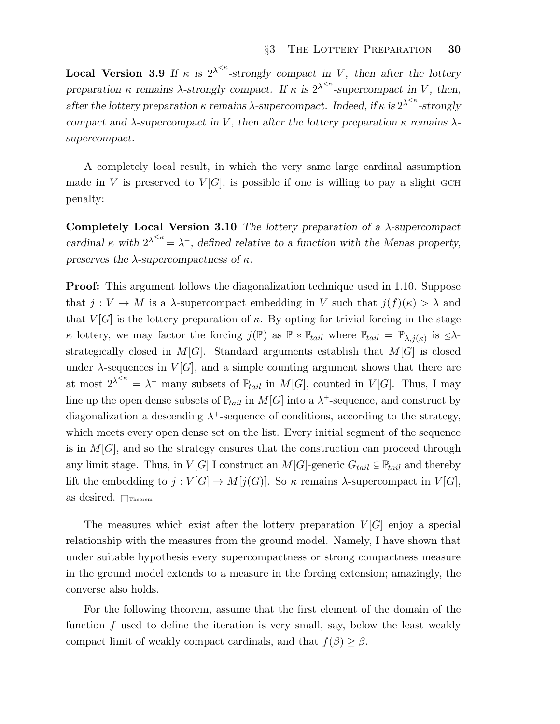**Local Version 3.9** If  $\kappa$  is  $2^{\lambda^{< \kappa}}$ -strongly compact in V, then after the lottery preparation  $\kappa$  remains  $\lambda$ -strongly compact. If  $\kappa$  is  $2^{\lambda^{<\kappa}}$ -supercompact in V, then, after the lottery preparation  $\kappa$  remains  $\lambda$ -supercompact. Indeed, if  $\kappa$  is  $2^{\lambda^{<\kappa}}$ -strongly compact and  $\lambda$ -supercompact in V, then after the lottery preparation  $\kappa$  remains  $\lambda$ supercompact.

A completely local result, in which the very same large cardinal assumption made in V is preserved to  $V[G]$ , is possible if one is willing to pay a slight GCH penalty:

Completely Local Version 3.10 The lottery preparation of a  $\lambda$ -supercompact cardinal  $\kappa$  with  $2^{\lambda^{<\kappa}} = \lambda^+$ , defined relative to a function with the Menas property, preserves the  $\lambda$ -supercompactness of  $\kappa$ .

**Proof:** This argument follows the diagonalization technique used in 1.10. Suppose that  $j: V \to M$  is a  $\lambda$ -supercompact embedding in V such that  $j(f)(\kappa) > \lambda$  and that  $V[G]$  is the lottery preparation of  $\kappa$ . By opting for trivial forcing in the stage k lottery, we may factor the forcing  $j(\mathbb{P})$  as  $\mathbb{P} * \mathbb{P}_{tail}$  where  $\mathbb{P}_{tail} = \mathbb{P}_{\lambda, j(\kappa)}$  is  $\leq \lambda$ strategically closed in  $M[G]$ . Standard arguments establish that  $M[G]$  is closed under  $\lambda$ -sequences in  $V[G]$ , and a simple counting argument shows that there are at most  $2^{\lambda^{<\kappa}} = \lambda^+$  many subsets of  $\mathbb{P}_{tail}$  in  $M[G]$ , counted in  $V[G]$ . Thus, I may line up the open dense subsets of  $\mathbb{P}_{tail}$  in  $M[G]$  into a  $\lambda^+$ -sequence, and construct by diagonalization a descending  $\lambda^+$ -sequence of conditions, according to the strategy, which meets every open dense set on the list. Every initial segment of the sequence is in  $M[G]$ , and so the strategy ensures that the construction can proceed through any limit stage. Thus, in  $V[G]$  I construct an  $M[G]$ -generic  $G_{tail} \subseteq \mathbb{P}_{tail}$  and thereby lift the embedding to  $j: V[G] \to M[j(G)]$ . So  $\kappa$  remains  $\lambda$ -supercompact in  $V[G]$ , as desired.  $\Box$ Theorem

The measures which exist after the lottery preparation  $V[G]$  enjoy a special relationship with the measures from the ground model. Namely, I have shown that under suitable hypothesis every supercompactness or strong compactness measure in the ground model extends to a measure in the forcing extension; amazingly, the converse also holds.

For the following theorem, assume that the first element of the domain of the function  $f$  used to define the iteration is very small, say, below the least weakly compact limit of weakly compact cardinals, and that  $f(\beta) \geq \beta$ .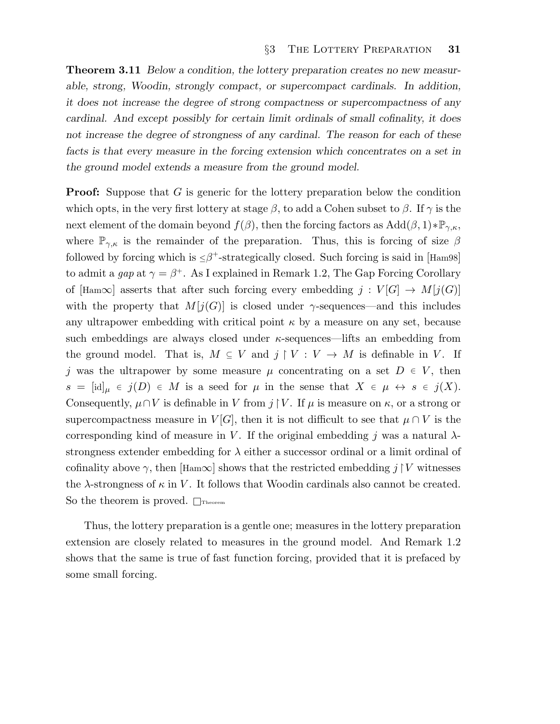Theorem 3.11 Below a condition, the lottery preparation creates no new measurable, strong, Woodin, strongly compact, or supercompact cardinals. In addition, it does not increase the degree of strong compactness or supercompactness of any cardinal. And except possibly for certain limit ordinals of small cofinality, it does not increase the degree of strongness of any cardinal. The reason for each of these facts is that every measure in the forcing extension which concentrates on a set in the ground model extends a measure from the ground model.

**Proof:** Suppose that G is generic for the lottery preparation below the condition which opts, in the very first lottery at stage  $\beta$ , to add a Cohen subset to  $\beta$ . If  $\gamma$  is the next element of the domain beyond  $f(\beta)$ , then the forcing factors as  $Add(\beta, 1) * \mathbb{P}_{\gamma,\kappa}$ , where  $\mathbb{P}_{\gamma,\kappa}$  is the remainder of the preparation. Thus, this is forcing of size  $\beta$ followed by forcing which is  $\leq \beta^+$ -strategically closed. Such forcing is said in [Ham98] to admit a gap at  $\gamma = \beta^+$ . As I explained in Remark 1.2, The Gap Forcing Corollary of [Ham∞] asserts that after such forcing every embedding  $j: V[G] \to M[j(G)]$ with the property that  $M[j(G)]$  is closed under  $\gamma$ -sequences—and this includes any ultrapower embedding with critical point  $\kappa$  by a measure on any set, because such embeddings are always closed under  $\kappa$ -sequences—lifts an embedding from the ground model. That is,  $M \subseteq V$  and  $j \upharpoonright V : V \to M$  is definable in V. If j was the ultrapower by some measure  $\mu$  concentrating on a set  $D \in V$ , then  $s = [\mathrm{id}]_{\mu} \in j(D) \in M$  is a seed for  $\mu$  in the sense that  $X \in \mu \leftrightarrow s \in j(X)$ . Consequently,  $\mu \cap V$  is definable in V from  $j \upharpoonright V$ . If  $\mu$  is measure on  $\kappa$ , or a strong or supercompactness measure in  $V[G]$ , then it is not difficult to see that  $\mu \cap V$  is the corresponding kind of measure in V. If the original embedding j was a natural  $\lambda$ strongness extender embedding for  $\lambda$  either a successor ordinal or a limit ordinal of cofinality above  $\gamma$ , then [Ham $\infty$ ] shows that the restricted embedding j  $\upharpoonright V$  witnesses the  $\lambda$ -strongness of  $\kappa$  in V. It follows that Woodin cardinals also cannot be created. So the theorem is proved.  $\Box$ Theorem

Thus, the lottery preparation is a gentle one; measures in the lottery preparation extension are closely related to measures in the ground model. And Remark 1.2 shows that the same is true of fast function forcing, provided that it is prefaced by some small forcing.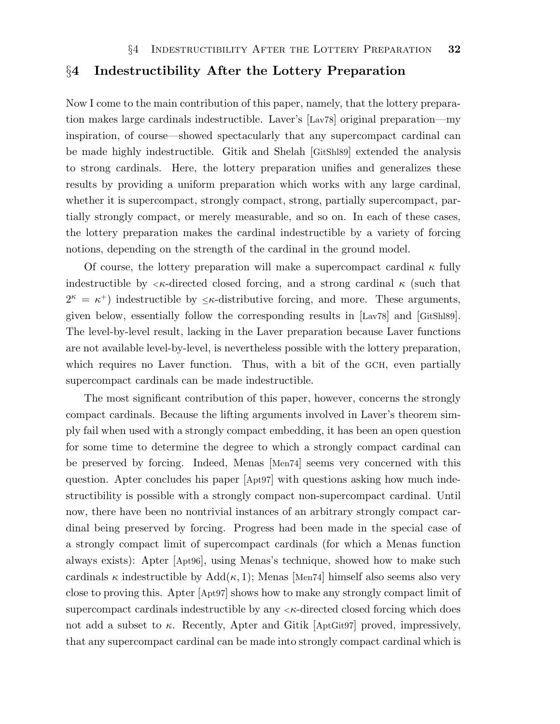### §4 Indestructibility After the Lottery Preparation

Now I come to the main contribution of this paper, namely, that the lottery preparation makes large cardinals indestructible. Laver's [Lav78] original preparation—my inspiration, of course—showed spectacularly that any supercompact cardinal can be made highly indestructible. Gitik and Shelah [GitShl89] extended the analysis to strong cardinals. Here, the lottery preparation unifies and generalizes these results by providing a uniform preparation which works with any large cardinal, whether it is supercompact, strongly compact, strong, partially supercompact, partially strongly compact, or merely measurable, and so on. In each of these cases, the lottery preparation makes the cardinal indestructible by a variety of forcing notions, depending on the strength of the cardinal in the ground model.

Of course, the lottery preparation will make a supercompact cardinal  $\kappa$  fully indestructible by  $\langle \kappa$ -directed closed forcing, and a strong cardinal  $\kappa$  (such that  $2^{\kappa} = \kappa^{+}$ ) indestructible by  $\leq \kappa$ -distributive forcing, and more. These arguments, given below, essentially follow the corresponding results in [Lav78] and [GitShl89]. The level-by-level result, lacking in the Laver preparation because Laver functions are not available level-by-level, is nevertheless possible with the lottery preparation, which requires no Laver function. Thus, with a bit of the GCH, even partially supercompact cardinals can be made indestructible.

The most significant contribution of this paper, however, concerns the strongly compact cardinals. Because the lifting arguments involved in Laver's theorem simply fail when used with a strongly compact embedding, it has been an open question for some time to determine the degree to which a strongly compact cardinal can be preserved by forcing. Indeed, Menas [Men74] seems very concerned with this question. Apter concludes his paper [Apt97] with questions asking how much indestructibility is possible with a strongly compact non-supercompact cardinal. Until now, there have been no nontrivial instances of an arbitrary strongly compact cardinal being preserved by forcing. Progress had been made in the special case of a strongly compact limit of supercompact cardinals (for which a Menas function always exists): Apter [Apt96], using Menas's technique, showed how to make such cardinals  $\kappa$  indestructible by Add( $\kappa$ , 1); Menas |Men74| himself also seems also very close to proving this. Apter [Apt97] shows how to make any strongly compact limit of supercompact cardinals indestructible by any  $\lt \kappa$ -directed closed forcing which does not add a subset to  $\kappa$ . Recently, Apter and Gitik [AptGit97] proved, impressively, that any supercompact cardinal can be made into strongly compact cardinal which is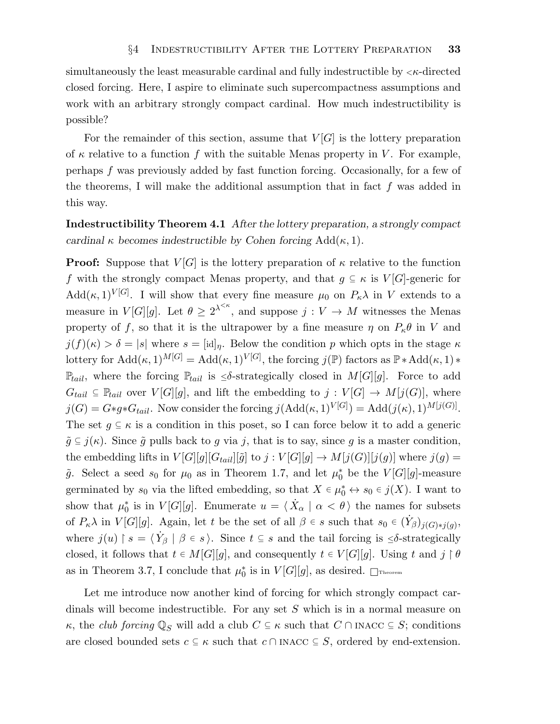simultaneously the least measurable cardinal and fully indestructible by  $\langle \kappa \cdot \text{directed} \rangle$ closed forcing. Here, I aspire to eliminate such supercompactness assumptions and work with an arbitrary strongly compact cardinal. How much indestructibility is possible?

For the remainder of this section, assume that  $V[G]$  is the lottery preparation of  $\kappa$  relative to a function f with the suitable Menas property in V. For example, perhaps f was previously added by fast function forcing. Occasionally, for a few of the theorems, I will make the additional assumption that in fact  $f$  was added in this way.

Indestructibility Theorem 4.1 After the lottery preparation, a strongly compact cardinal  $\kappa$  becomes indestructible by Cohen forcing Add( $\kappa$ , 1).

**Proof:** Suppose that  $V[G]$  is the lottery preparation of  $\kappa$  relative to the function f with the strongly compact Menas property, and that  $g \subseteq \kappa$  is  $V[G]$ -generic for  $\text{Add}(\kappa,1)^{V[G]}$ . I will show that every fine measure  $\mu_0$  on  $P_\kappa\lambda$  in V extends to a measure in  $V[G][g]$ . Let  $\theta \geq 2^{\lambda^{<\kappa}}$ , and suppose  $j: V \to M$  witnesses the Menas property of f, so that it is the ultrapower by a fine measure  $\eta$  on  $P_{\kappa}\theta$  in V and  $j(f)(\kappa) > \delta = |s|$  where  $s = |id|_p$ . Below the condition p which opts in the stage  $\kappa$ lottery for  $\text{Add}(\kappa,1)^{M[G]} = \text{Add}(\kappa,1)^{V[G]},$  the forcing  $j(\mathbb{P})$  factors as  $\mathbb{P} * \text{Add}(\kappa,1) *$  $\mathbb{P}_{tail}$ , where the forcing  $\mathbb{P}_{tail}$  is  $\leq \delta$ -strategically closed in  $M[G][g]$ . Force to add  $G_{tail} \subseteq \mathbb{P}_{tail}$  over  $V[G][g]$ , and lift the embedding to  $j: V[G] \to M[j(G)]$ , where  $j(G) = G*g*G_{tail}$ . Now consider the forcing  $j(\text{Add}(\kappa,1)^{V[G]}) = \text{Add}(j(\kappa),1)^{M[j(G)]}$ . The set  $g \subseteq \kappa$  is a condition in this poset, so I can force below it to add a generic  $\tilde{g} \subseteq j(\kappa)$ . Since  $\tilde{g}$  pulls back to g via j, that is to say, since g is a master condition, the embedding lifts in  $V[G][g][G_{tail}][\tilde{g}]$  to  $j: V[G][g] \rightarrow M[j(G)][j(g)]$  where  $j(g)$  =  $\tilde{g}$ . Select a seed  $s_0$  for  $\mu_0$  as in Theorem 1.7, and let  $\mu_0^*$  be the  $V[G][g]$ -measure germinated by  $s_0$  via the lifted embedding, so that  $X \in \mu_0^* \leftrightarrow s_0 \in j(X)$ . I want to show that  $\mu_0^*$  is in  $V[G][g]$ . Enumerate  $u = \langle \dot{X}_\alpha | \alpha \langle \theta \rangle$  the names for subsets of  $P_{\kappa}\lambda$  in  $V[G][g]$ . Again, let t be the set of all  $\beta \in s$  such that  $s_0 \in (\dot{Y}_{\beta})_{j(G)*j(g)},$ where  $j(u) \upharpoonright s = \langle Y_\beta \mid \beta \in s \rangle$ . Since  $t \subseteq s$  and the tail forcing is  $\leq \delta$ -strategically closed, it follows that  $t \in M[G][g]$ , and consequently  $t \in V[G][g]$ . Using t and  $j \upharpoonright \theta$ as in Theorem 3.7, I conclude that  $\mu_0^*$  is in  $V[G][g]$ , as desired.  $\Box$ Theorem

Let me introduce now another kind of forcing for which strongly compact cardinals will become indestructible. For any set S which is in a normal measure on  $\kappa$ , the *club forcing*  $\mathbb{Q}_S$  will add a club  $C \subseteq \kappa$  such that  $C \cap \text{INACC} \subseteq S$ ; conditions are closed bounded sets  $c \subseteq \kappa$  such that  $c \cap \text{INACC} \subseteq S$ , ordered by end-extension.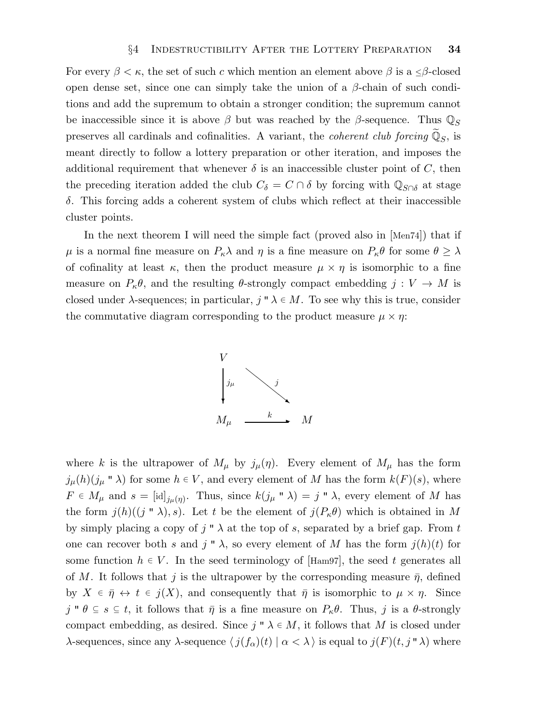For every  $\beta < \kappa$ , the set of such c which mention an element above  $\beta$  is a  $\leq \beta$ -closed open dense set, since one can simply take the union of a  $\beta$ -chain of such conditions and add the supremum to obtain a stronger condition; the supremum cannot be inaccessible since it is above  $\beta$  but was reached by the  $\beta$ -sequence. Thus  $\mathbb{Q}_S$ preserves all cardinals and cofinalities. A variant, the *coherent club forcing*  $\widetilde{\mathbb{Q}}_S$ , is meant directly to follow a lottery preparation or other iteration, and imposes the additional requirement that whenever  $\delta$  is an inaccessible cluster point of C, then the preceding iteration added the club  $C_{\delta} = C \cap \delta$  by forcing with  $\mathbb{Q}_{S \cap \delta}$  at stage δ. This forcing adds a coherent system of clubs which reflect at their inaccessible cluster points.

In the next theorem I will need the simple fact (proved also in [Men74]) that if  $\mu$  is a normal fine measure on  $P_{\kappa}\lambda$  and  $\eta$  is a fine measure on  $P_{\kappa}\theta$  for some  $\theta \geq \lambda$ of cofinality at least  $\kappa$ , then the product measure  $\mu \times \eta$  is isomorphic to a fine measure on  $P_{\kappa}\theta$ , and the resulting  $\theta$ -strongly compact embedding  $j: V \to M$  is closed under  $\lambda$ -sequences; in particular,  $j'' \lambda \in M$ . To see why this is true, consider the commutative diagram corresponding to the product measure  $\mu \times \eta$ :



where k is the ultrapower of  $M_{\mu}$  by  $j_{\mu}(\eta)$ . Every element of  $M_{\mu}$  has the form  $j_{\mu}(h)(j_{\mu} \cdot \nabla \lambda)$  for some  $h \in V$ , and every element of M has the form  $k(F)(s)$ , where  $F \in M_{\mu}$  and  $s = [\mathrm{id}]_{j_{\mu}(\eta)}$ . Thus, since  $k(j_{\mu} \circ \lambda) = j \circ \lambda$ , every element of M has the form  $j(h)((j'' \lambda), s)$ . Let t be the element of  $j(P_\kappa \theta)$  which is obtained in M by simply placing a copy of  $j'' \lambda$  at the top of s, separated by a brief gap. From t one can recover both s and j "  $\lambda$ , so every element of M has the form  $j(h)(t)$  for some function  $h \in V$ . In the seed terminology of [Ham97], the seed t generates all of M. It follows that j is the ultrapower by the corresponding measure  $\bar{\eta}$ , defined by  $X \in \bar{\eta} \leftrightarrow t \in j(X)$ , and consequently that  $\bar{\eta}$  is isomorphic to  $\mu \times \eta$ . Since j "  $\theta \subseteq s \subseteq t$ , it follows that  $\bar{\eta}$  is a fine measure on  $P_{\kappa}\theta$ . Thus, j is a  $\theta$ -strongly compact embedding, as desired. Since  $j \in \mathcal{M}$ , it follows that M is closed under λ-sequences, since any λ-sequence  $\langle j(f_\alpha)(t) | \alpha < \lambda \rangle$  is equal to  $j(F)(t, j''\lambda)$  where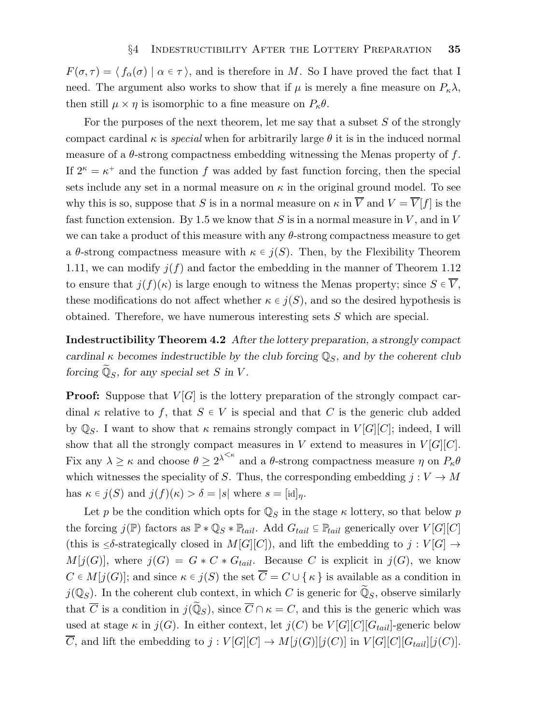$F(\sigma, \tau) = \langle f_\alpha(\sigma) | \alpha \in \tau \rangle$ , and is therefore in M. So I have proved the fact that I need. The argument also works to show that if  $\mu$  is merely a fine measure on  $P_{\kappa}\lambda$ , then still  $\mu \times \eta$  is isomorphic to a fine measure on  $P_{\kappa}\theta$ .

For the purposes of the next theorem, let me say that a subset S of the strongly compact cardinal  $\kappa$  is special when for arbitrarily large  $\theta$  it is in the induced normal measure of a  $\theta$ -strong compactness embedding witnessing the Menas property of f. If  $2^{\kappa} = \kappa^+$  and the function f was added by fast function forcing, then the special sets include any set in a normal measure on  $\kappa$  in the original ground model. To see why this is so, suppose that S is in a normal measure on  $\kappa$  in  $\overline{V}$  and  $V = \overline{V}[f]$  is the fast function extension. By 1.5 we know that S is in a normal measure in  $V$ , and in  $V$ we can take a product of this measure with any θ-strong compactness measure to get a  $\theta$ -strong compactness measure with  $\kappa \in j(S)$ . Then, by the Flexibility Theorem 1.11, we can modify  $j(f)$  and factor the embedding in the manner of Theorem 1.12 to ensure that  $j(f)(\kappa)$  is large enough to witness the Menas property; since  $S \in \overline{V}$ , these modifications do not affect whether  $\kappa \in j(S)$ , and so the desired hypothesis is obtained. Therefore, we have numerous interesting sets S which are special.

Indestructibility Theorem 4.2 After the lottery preparation, a strongly compact cardinal  $\kappa$  becomes indestructible by the club forcing  $\mathbb{Q}_S$ , and by the coherent club forcing  $\widetilde{\mathbb{Q}}_S$ , for any special set S in V.

**Proof:** Suppose that  $V[G]$  is the lottery preparation of the strongly compact cardinal  $\kappa$  relative to f, that  $S \in V$  is special and that C is the generic club added by  $\mathbb{Q}_S$ . I want to show that  $\kappa$  remains strongly compact in  $V[G][C]$ ; indeed, I will show that all the strongly compact measures in V extend to measures in  $V[G][C]$ . Fix any  $\lambda \geq \kappa$  and choose  $\theta \geq 2^{\lambda^{<\kappa}}$  and a  $\theta$ -strong compactness measure  $\eta$  on  $P_{\kappa}\theta$ which witnesses the speciality of S. Thus, the corresponding embedding  $j: V \to M$ has  $\kappa \in j(S)$  and  $j(f)(\kappa) > \delta = |s|$  where  $s = |id|_{\eta}$ .

Let p be the condition which opts for  $\mathbb{Q}_S$  in the stage  $\kappa$  lottery, so that below p the forcing  $j(\mathbb{P})$  factors as  $\mathbb{P} * \mathbb{Q}_S * \mathbb{P}_{tail}$ . Add  $G_{tail} \subseteq \mathbb{P}_{tail}$  generically over  $V[G][C]$ (this is  $\leq \delta$ -strategically closed in  $M[G][C]$ ), and lift the embedding to  $j: V[G] \to$  $M[j(G)]$ , where  $j(G) = G * C * G_{tail}$ . Because C is explicit in  $j(G)$ , we know  $C \in M[j(G)]$ ; and since  $\kappa \in j(S)$  the set  $\overline{C} = C \cup {\kappa}$  is available as a condition in  $j(\mathbb{Q}_S)$ . In the coherent club context, in which C is generic for  $\widetilde{\mathbb{Q}}_S$ , observe similarly that  $\overline{C}$  is a condition in  $j(\widetilde{\mathbb{Q}}_S)$ , since  $\overline{C} \cap \kappa = C$ , and this is the generic which was used at stage  $\kappa$  in  $j(G)$ . In either context, let  $j(C)$  be  $V[G][G][G_{tail}]$ -generic below  $\overline{C}$ , and lift the embedding to  $j: V[G][C] \to M[j(G)][j(C)]$  in  $V[G][C][G_{tail}][j(C)]$ .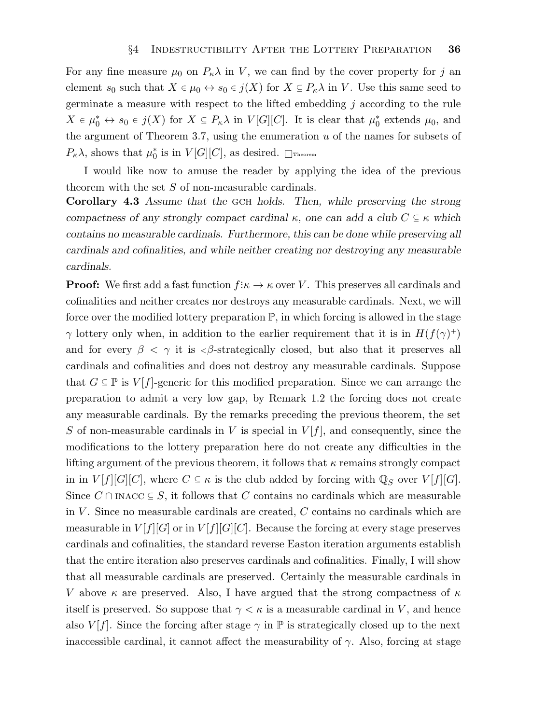For any fine measure  $\mu_0$  on  $P_\kappa \lambda$  in V, we can find by the cover property for j an element  $s_0$  such that  $X \in \mu_0 \leftrightarrow s_0 \in j(X)$  for  $X \subseteq P_{\kappa} \lambda$  in V. Use this same seed to germinate a measure with respect to the lifted embedding j according to the rule  $X \in \mu_0^* \leftrightarrow s_0 \in j(X)$  for  $X \subseteq P_\kappa \lambda$  in  $V[G][C]$ . It is clear that  $\mu_0^*$  extends  $\mu_0$ , and the argument of Theorem 3.7, using the enumeration  $u$  of the names for subsets of  $P_{\kappa} \lambda$ , shows that  $\mu_0^*$  is in  $V[G][C]$ , as desired.  $\Box$ Theorem

I would like now to amuse the reader by applying the idea of the previous theorem with the set S of non-measurable cardinals.

Corollary 4.3 Assume that the GCH holds. Then, while preserving the strong compactness of any strongly compact cardinal  $\kappa$ , one can add a club  $C \subseteq \kappa$  which contains no measurable cardinals. Furthermore, this can be done while preserving all cardinals and cofinalities, and while neither creating nor destroying any measurable cardinals.

**Proof:** We first add a fast function  $f: \kappa \to \kappa$  over V. This preserves all cardinals and cofinalities and neither creates nor destroys any measurable cardinals. Next, we will force over the modified lottery preparation  $\mathbb{P}$ , in which forcing is allowed in the stage  $\gamma$  lottery only when, in addition to the earlier requirement that it is in  $H(f(\gamma)^+)$ and for every  $\beta < \gamma$  it is  $\beta$ -strategically closed, but also that it preserves all cardinals and cofinalities and does not destroy any measurable cardinals. Suppose that  $G \subseteq \mathbb{P}$  is  $V[f]$ -generic for this modified preparation. Since we can arrange the preparation to admit a very low gap, by Remark 1.2 the forcing does not create any measurable cardinals. By the remarks preceding the previous theorem, the set S of non-measurable cardinals in V is special in  $V[f]$ , and consequently, since the modifications to the lottery preparation here do not create any difficulties in the lifting argument of the previous theorem, it follows that  $\kappa$  remains strongly compact in in  $V[f][G][C]$ , where  $C \subseteq \kappa$  is the club added by forcing with  $\mathbb{Q}_S$  over  $V[f][G]$ . Since  $C \cap \text{INACC} \subseteq S$ , it follows that C contains no cardinals which are measurable in  $V$ . Since no measurable cardinals are created,  $C$  contains no cardinals which are measurable in  $V[f][G]$  or in  $V[f][G][C]$ . Because the forcing at every stage preserves cardinals and cofinalities, the standard reverse Easton iteration arguments establish that the entire iteration also preserves cardinals and cofinalities. Finally, I will show that all measurable cardinals are preserved. Certainly the measurable cardinals in V above  $\kappa$  are preserved. Also, I have argued that the strong compactness of  $\kappa$ itself is preserved. So suppose that  $\gamma < \kappa$  is a measurable cardinal in V, and hence also  $V[f]$ . Since the forcing after stage  $\gamma$  in  $\mathbb P$  is strategically closed up to the next inaccessible cardinal, it cannot affect the measurability of  $\gamma$ . Also, forcing at stage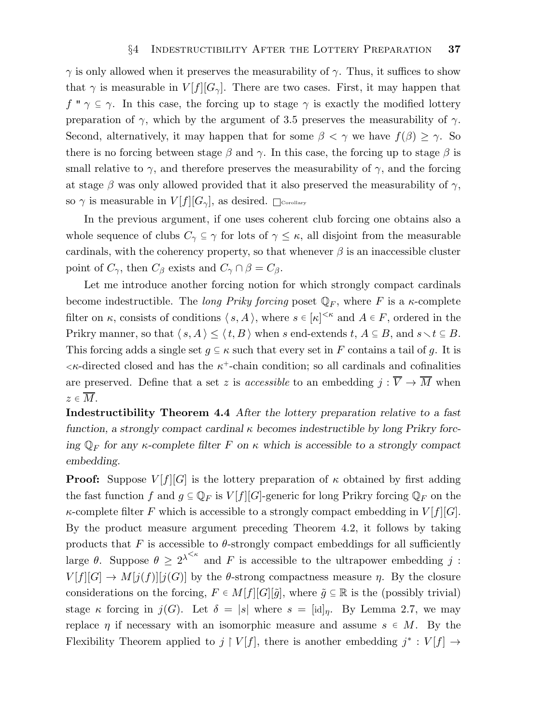$\gamma$  is only allowed when it preserves the measurability of  $\gamma$ . Thus, it suffices to show that  $\gamma$  is measurable in  $V[f][G_{\gamma}]$ . There are two cases. First, it may happen that  $f'' \gamma \subseteq \gamma$ . In this case, the forcing up to stage  $\gamma$  is exactly the modified lottery preparation of  $\gamma$ , which by the argument of 3.5 preserves the measurability of  $\gamma$ . Second, alternatively, it may happen that for some  $\beta < \gamma$  we have  $f(\beta) \geq \gamma$ . So there is no forcing between stage  $\beta$  and  $\gamma$ . In this case, the forcing up to stage  $\beta$  is small relative to  $\gamma$ , and therefore preserves the measurability of  $\gamma$ , and the forcing at stage  $\beta$  was only allowed provided that it also preserved the measurability of  $\gamma$ , so  $\gamma$  is measurable in  $V[f][G_{\gamma}]$ , as desired.  $\Box$ Corollary

In the previous argument, if one uses coherent club forcing one obtains also a whole sequence of clubs  $C_{\gamma} \subseteq \gamma$  for lots of  $\gamma \leq \kappa$ , all disjoint from the measurable cardinals, with the coherency property, so that whenever  $\beta$  is an inaccessible cluster point of  $C_{\gamma}$ , then  $C_{\beta}$  exists and  $C_{\gamma} \cap \beta = C_{\beta}$ .

Let me introduce another forcing notion for which strongly compact cardinals become indestructible. The long Priky forcing poset  $\mathbb{Q}_F$ , where F is a  $\kappa$ -complete filter on  $\kappa$ , consists of conditions  $\langle s, A \rangle$ , where  $s \in [\kappa]^{<\kappa}$  and  $A \in F$ , ordered in the Prikry manner, so that  $\langle s, A \rangle \leq \langle t, B \rangle$  when s end-extends t,  $A \subseteq B$ , and  $s \setminus t \subseteq B$ . This forcing adds a single set  $g \subseteq \kappa$  such that every set in F contains a tail of g. It is  $\lt$ κ-directed closed and has the  $\kappa^+$ -chain condition; so all cardinals and cofinalities are preserved. Define that a set z is *accessible* to an embedding  $j : \overline{V} \to \overline{M}$  when  $z \in \overline{M}$ .

Indestructibility Theorem 4.4 After the lottery preparation relative to a fast function, a strongly compact cardinal  $\kappa$  becomes indestructible by long Prikry forcing  $\mathbb{Q}_F$  for any  $\kappa$ -complete filter F on  $\kappa$  which is accessible to a strongly compact embedding.

**Proof:** Suppose  $V[f][G]$  is the lottery preparation of  $\kappa$  obtained by first adding the fast function f and  $g \subseteq \mathbb{Q}_F$  is  $V[f][G]$ -generic for long Prikry forcing  $\mathbb{Q}_F$  on the  $\kappa$ -complete filter F which is accessible to a strongly compact embedding in  $V[f][G]$ . By the product measure argument preceding Theorem 4.2, it follows by taking products that F is accessible to  $\theta$ -strongly compact embeddings for all sufficiently large  $\theta$ . Suppose  $\theta \geq 2^{\lambda^{<\kappa}}$  and F is accessible to the ultrapower embedding j:  $V[f][G] \to M[j(f)][j(G)]$  by the  $\theta$ -strong compactness measure  $\eta$ . By the closure considerations on the forcing,  $F \in M[f][G][\tilde{g}]$ , where  $\tilde{g} \subseteq \mathbb{R}$  is the (possibly trivial) stage κ forcing in  $j(G)$ . Let  $\delta = |s|$  where  $s = [id]_n$ . By Lemma 2.7, we may replace  $\eta$  if necessary with an isomorphic measure and assume  $s \in M$ . By the Flexibility Theorem applied to  $j \restriction V[f]$ , there is another embedding  $j^* : V[f] \to$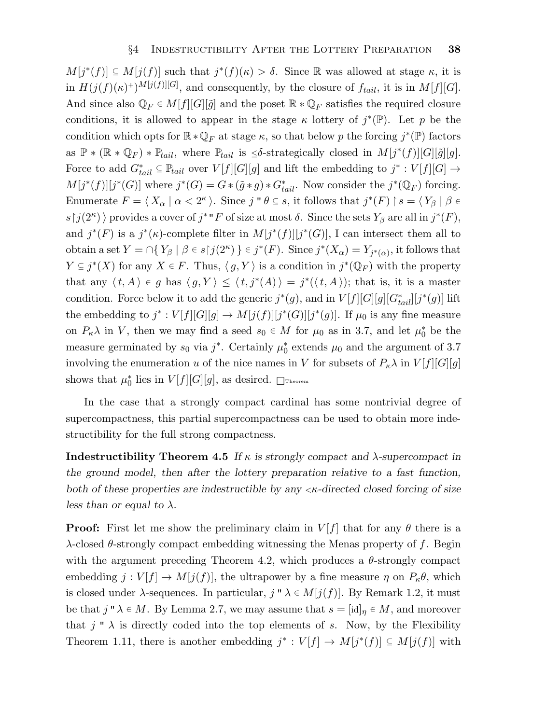$M[j^*(f)] \subseteq M[j(f)]$  such that  $j^*(f)(\kappa) > \delta$ . Since R was allowed at stage  $\kappa$ , it is in  $H(j(f)(\kappa)^+)^{M[j(f)][G]}$ , and consequently, by the closure of  $f_{tail}$ , it is in  $M[f][G]$ . And since also  $\mathbb{Q}_F \in M[f][G][\tilde{g}]$  and the poset  $\mathbb{R} * \mathbb{Q}_F$  satisfies the required closure conditions, it is allowed to appear in the stage  $\kappa$  lottery of  $j^*(\mathbb{P})$ . Let p be the condition which opts for  $\mathbb{R} * \mathbb{Q}_F$  at stage  $\kappa$ , so that below p the forcing  $j^*(\mathbb{P})$  factors as  $\mathbb{P} * (\mathbb{R} * \mathbb{Q}_F) * \mathbb{P}_{tail}$ , where  $\mathbb{P}_{tail}$  is  $\leq \delta$ -strategically closed in  $M[j^*(f)][G][\tilde{g}][g]$ . Force to add  $G_{tail}^* \subseteq \mathbb{P}_{tail}$  over  $V[f][G][g]$  and lift the embedding to  $j^* : V[f][G] \to$  $M[j^*(f)][j^*(G)]$  where  $j^*(G) = G * (\tilde{g} * g) * G^*_{tail}$ . Now consider the  $j^*(\mathbb{Q}_F)$  forcing. Enumerate  $F = \langle X_\alpha | \alpha < 2^{\kappa} \rangle$ . Since j "  $\theta \subseteq s$ , it follows that  $j^*(F) \upharpoonright s = \langle Y_\beta | \beta \in$  $s \upharpoonright j(2^{\kappa})$  provides a cover of  $j^* "F$  of size at most  $\delta$ . Since the sets  $Y_{\beta}$  are all in  $j^*(F)$ , and  $j^*(F)$  is a  $j^*(\kappa)$ -complete filter in  $M[j^*(f)][j^*(G)]$ , I can intersect them all to obtain a set  $Y = \bigcap \{ Y_\beta \mid \beta \in s \upharpoonright j(2^{\kappa}) \} \in j^*(F)$ . Since  $j^*(X_\alpha) = Y_{j^*(\alpha)}$ , it follows that  $Y \subseteq j^*(X)$  for any  $X \in F$ . Thus,  $\langle g, Y \rangle$  is a condition in  $j^*(\mathbb{Q}_F)$  with the property that any  $\langle t, A \rangle \in g$  has  $\langle g, Y \rangle \leq \langle t, j^*(A) \rangle = j^*(\langle t, A \rangle)$ ; that is, it is a master condition. Force below it to add the generic  $j^*(g)$ , and in  $V[f][G][g][G_{tail}^*][j^*(g)]$  lift the embedding to  $j^*: V[f][G][g] \to M[j(f)][j^*(G)][j^*(g)]$ . If  $\mu_0$  is any fine measure on  $P_{\kappa} \lambda$  in V, then we may find a seed  $s_0 \in M$  for  $\mu_0$  as in 3.7, and let  $\mu_0^*$  be the measure germinated by  $s_0$  via  $j^*$ . Certainly  $\mu_0^*$  extends  $\mu_0$  and the argument of 3.7 involving the enumeration u of the nice names in V for subsets of  $P_{\kappa} \lambda$  in  $V[f][G][g]$ shows that  $\mu_0^*$  lies in  $V[f][G][g]$ , as desired.  $\Box$ Theorem

In the case that a strongly compact cardinal has some nontrivial degree of supercompactness, this partial supercompactness can be used to obtain more indestructibility for the full strong compactness.

Indestructibility Theorem 4.5 If  $\kappa$  is strongly compact and  $\lambda$ -supercompact in the ground model, then after the lottery preparation relative to a fast function, both of these properties are indestructible by any  $\langle \kappa \rangle$ -directed closed forcing of size less than or equal to  $\lambda$ .

**Proof:** First let me show the preliminary claim in  $V[f]$  that for any  $\theta$  there is a λ-closed θ-strongly compact embedding witnessing the Menas property of f. Begin with the argument preceding Theorem 4.2, which produces a  $\theta$ -strongly compact embedding  $j: V[f] \to M[j(f)]$ , the ultrapower by a fine measure  $\eta$  on  $P_{\kappa}\theta$ , which is closed under  $\lambda$ -sequences. In particular,  $j'' \lambda \in M[j(f)]$ . By Remark 1.2, it must be that  $j'' \lambda \in M$ . By Lemma 2.7, we may assume that  $s = [id]_{\eta} \in M$ , and moreover that  $j'' \lambda$  is directly coded into the top elements of s. Now, by the Flexibility Theorem 1.11, there is another embedding  $j^* : V[f] \to M[j^*(f)] \subseteq M[j(f)]$  with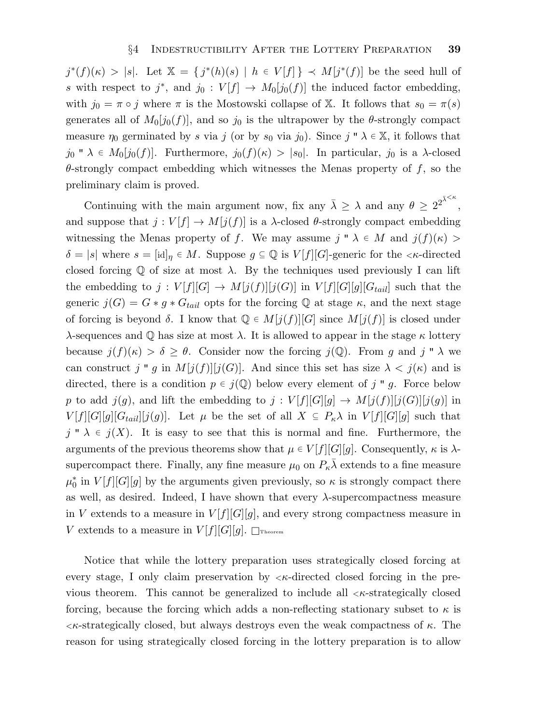$j^*(f)(\kappa) > |s|$ . Let  $\mathbb{X} = \{j^*(h)(s) \mid h \in V[f]\} \prec M[j^*(f)]$  be the seed hull of s with respect to j<sup>\*</sup>, and j<sub>0</sub> :  $V[f] \rightarrow M_0[j_0(f)]$  the induced factor embedding, with  $j_0 = \pi \circ j$  where  $\pi$  is the Mostowski collapse of X. It follows that  $s_0 = \pi(s)$ generates all of  $M_0[j_0(f)]$ , and so  $j_0$  is the ultrapower by the  $\theta$ -strongly compact measure  $\eta_0$  germinated by s via j (or by s<sub>0</sub> via j<sub>0</sub>). Since j "  $\lambda \in \mathbb{X}$ , it follows that  $j_0$  "  $\lambda \in M_0[j_0(f)]$ . Furthermore,  $j_0(f)(\kappa) > |s_0|$ . In particular,  $j_0$  is a  $\lambda$ -closed  $\theta$ -strongly compact embedding which witnesses the Menas property of f, so the preliminary claim is proved.

Continuing with the main argument now, fix any  $\bar{\lambda} \geq \lambda$  and any  $\theta \geq 2^{2^{\bar{\lambda} \leq \kappa}}$ , and suppose that  $j: V[f] \to M[j(f)]$  is a  $\lambda$ -closed  $\theta$ -strongly compact embedding witnessing the Menas property of f. We may assume  $j'' \lambda \in M$  and  $j(f)(\kappa) >$  $\delta = |s|$  where  $s = [\mathrm{id}]_{\eta} \in M$ . Suppose  $g \subseteq \mathbb{Q}$  is  $V[f][G]$ -generic for the  $\lt \kappa$ -directed closed forcing  $\mathbb Q$  of size at most  $\lambda$ . By the techniques used previously I can lift the embedding to  $j: V[f][G] \to M[j(f)][j(G)]$  in  $V[f][G][g][G_{tail}]$  such that the generic  $j(G) = G * g * G_{tail}$  opts for the forcing Q at stage  $\kappa$ , and the next stage of forcing is beyond  $\delta$ . I know that  $\mathbb{Q} \in M[j(f)][G]$  since  $M[j(f)]$  is closed under λ-sequences and  $\mathbb Q$  has size at most λ. It is allowed to appear in the stage  $\kappa$  lottery because  $j(f)(\kappa) > \delta \geq \theta$ . Consider now the forcing  $j(\mathbb{Q})$ . From g and j "  $\lambda$  we can construct j " g in  $M[j(f)][j(G)]$ . And since this set has size  $\lambda < j(\kappa)$  and is directed, there is a condition  $p \in j(\mathbb{Q})$  below every element of j " g. Force below p to add  $j(g)$ , and lift the embedding to  $j: V[f][G][g] \to M[j(f)][j(G)][j(g)]$  in  $V[f][G][g][G_{tail}][j(g)]$ . Let  $\mu$  be the set of all  $X \subseteq P_{\kappa}\lambda$  in  $V[f][G][g]$  such that  $j'' \lambda \in j(X)$ . It is easy to see that this is normal and fine. Furthermore, the arguments of the previous theorems show that  $\mu \in V[f][G][g]$ . Consequently,  $\kappa$  is  $\lambda$ supercompact there. Finally, any fine measure  $\mu_0$  on  $P_{\kappa} \bar{\lambda}$  extends to a fine measure  $\mu_0^*$  in  $V[f][G][g]$  by the arguments given previously, so  $\kappa$  is strongly compact there as well, as desired. Indeed, I have shown that every  $\lambda$ -supercompactness measure in V extends to a measure in  $V[f][G][g]$ , and every strong compactness measure in V extends to a measure in  $V[f][G][g]$ .  $\Box$ Theorem

Notice that while the lottery preparation uses strategically closed forcing at every stage, I only claim preservation by  $\lt k$ -directed closed forcing in the previous theorem. This cannot be generalized to include all  $\lt$  ex-strategically closed forcing, because the forcing which adds a non-reflecting stationary subset to  $\kappa$  is  $\lt$ κ-strategically closed, but always destroys even the weak compactness of κ. The reason for using strategically closed forcing in the lottery preparation is to allow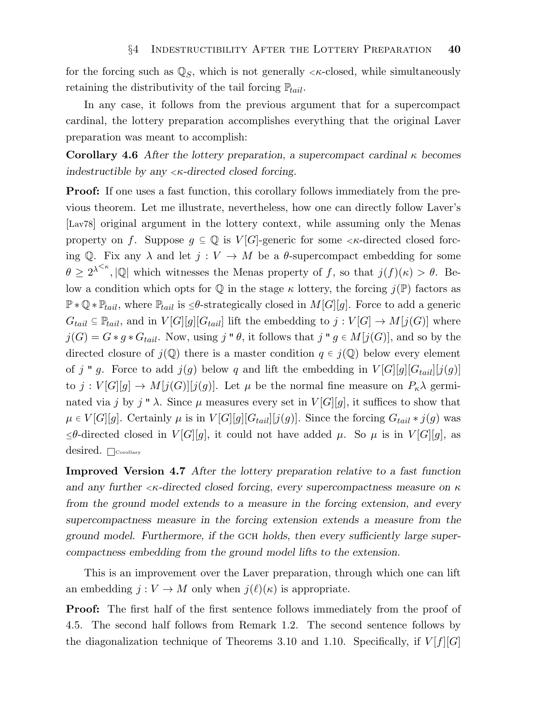for the forcing such as  $\mathbb{Q}_S$ , which is not generally  $\lt \kappa$ -closed, while simultaneously retaining the distributivity of the tail forcing  $\mathbb{P}_{tail}$ .

In any case, it follows from the previous argument that for a supercompact cardinal, the lottery preparation accomplishes everything that the original Laver preparation was meant to accomplish:

Corollary 4.6 After the lottery preparation, a supercompact cardinal  $\kappa$  becomes indestructible by any  $\langle \kappa$ -directed closed forcing.

Proof: If one uses a fast function, this corollary follows immediately from the previous theorem. Let me illustrate, nevertheless, how one can directly follow Laver's [Lav78] original argument in the lottery context, while assuming only the Menas property on f. Suppose  $g \subseteq \mathbb{Q}$  is  $V[G]$ -generic for some  $\lt \kappa$ -directed closed forcing Q. Fix any  $\lambda$  and let  $j: V \to M$  be a  $\theta$ -supercompact embedding for some  $\theta \geq 2^{\lambda^{<\kappa}}, |\mathbb{Q}|$  which witnesses the Menas property of f, so that  $j(f)(\kappa) > \theta$ . Below a condition which opts for  $\mathbb Q$  in the stage  $\kappa$  lottery, the forcing  $j(\mathbb P)$  factors as  $\mathbb{P} * \mathbb{Q} * \mathbb{P}_{tail}$ , where  $\mathbb{P}_{tail}$  is  $\leq \theta$ -strategically closed in  $M[G][g]$ . Force to add a generic  $G_{tail} \subseteq \mathbb{P}_{tail}$ , and in  $V[G][g][G_{tail}]$  lift the embedding to  $j: V[G] \to M[j(G)]$  where  $j(G) = G * g * G_{tail}$ . Now, using j "  $\theta$ , it follows that j "  $g \in M[j(G)]$ , and so by the directed closure of  $j(\mathbb{Q})$  there is a master condition  $q \in j(\mathbb{Q})$  below every element of j " g. Force to add  $j(g)$  below q and lift the embedding in  $V[G][g][G_{tail}][j(g)]$ to  $j: V[G][g] \to M[j(G)][j(g)]$ . Let  $\mu$  be the normal fine measure on  $P_{\kappa}\lambda$  germinated via j by j "  $\lambda$ . Since  $\mu$  measures every set in  $V[G][g]$ , it suffices to show that  $\mu \in V[G][g]$ . Certainly  $\mu$  is in  $V[G][g][G_{tail}][j(g)]$ . Since the forcing  $G_{tail} * j(g)$  was  $≤θ$ -directed closed in  $V[G][g]$ , it could not have added  $μ$ . So  $μ$  is in  $V[G][g]$ , as desired.  $\Box$ Corollary

Improved Version 4.7 After the lottery preparation relative to a fast function and any further  $\langle \kappa \rangle$ -directed closed forcing, every supercompactness measure on  $\kappa$ from the ground model extends to a measure in the forcing extension, and every supercompactness measure in the forcing extension extends a measure from the ground model. Furthermore, if the GCH holds, then every sufficiently large supercompactness embedding from the ground model lifts to the extension.

This is an improvement over the Laver preparation, through which one can lift an embedding  $j: V \to M$  only when  $j(\ell)(\kappa)$  is appropriate.

Proof: The first half of the first sentence follows immediately from the proof of 4.5. The second half follows from Remark 1.2. The second sentence follows by the diagonalization technique of Theorems 3.10 and 1.10. Specifically, if  $V[f][G]$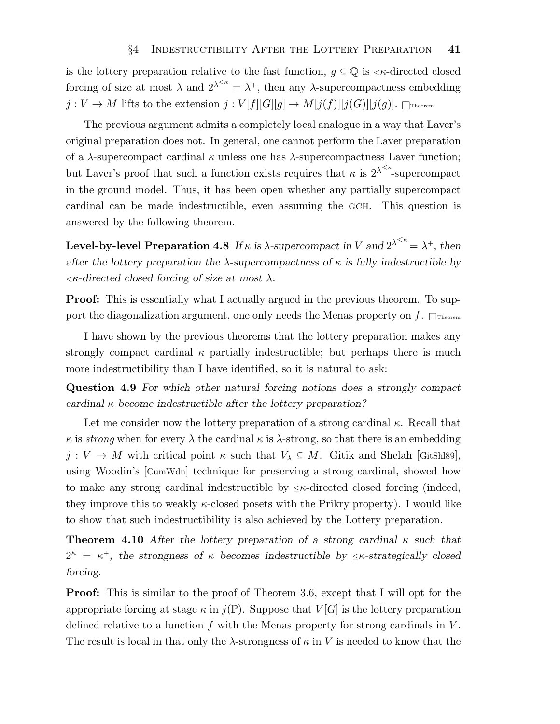is the lottery preparation relative to the fast function,  $q \subseteq \mathbb{Q}$  is  $\lt \kappa$ -directed closed forcing of size at most  $\lambda$  and  $2^{\lambda^{<\kappa}} = \lambda^+$ , then any  $\lambda$ -supercompactness embedding  $j: V \to M$  lifts to the extension  $j: V[f][G][g] \to M[j(f)][j(G)][j(g)]$ .  $\Box$ Theorem

The previous argument admits a completely local analogue in a way that Laver's original preparation does not. In general, one cannot perform the Laver preparation of a  $\lambda$ -supercompact cardinal  $\kappa$  unless one has  $\lambda$ -supercompactness Laver function; but Laver's proof that such a function exists requires that  $\kappa$  is  $2^{\lambda \leq \kappa}$ -supercompact in the ground model. Thus, it has been open whether any partially supercompact cardinal can be made indestructible, even assuming the GCH. This question is answered by the following theorem.

Level-by-level Preparation 4.8 If  $\kappa$  is  $\lambda$ -supercompact in V and  $2^{\lambda^{<\kappa}} = \lambda^+$ , then after the lottery preparation the  $\lambda$ -supercompactness of  $\kappa$  is fully indestructible by  $\lt$ κ-directed closed forcing of size at most  $\lambda$ .

**Proof:** This is essentially what I actually argued in the previous theorem. To support the diagonalization argument, one only needs the Menas property on  $f$ .  $\Box$ Theorem

I have shown by the previous theorems that the lottery preparation makes any strongly compact cardinal  $\kappa$  partially indestructible; but perhaps there is much more indestructibility than I have identified, so it is natural to ask:

Question 4.9 For which other natural forcing notions does a strongly compact cardinal  $\kappa$  become indestructible after the lottery preparation?

Let me consider now the lottery preparation of a strong cardinal  $\kappa$ . Recall that  $\kappa$  is *strong* when for every  $\lambda$  the cardinal  $\kappa$  is  $\lambda$ -strong, so that there is an embedding  $j: V \to M$  with critical point  $\kappa$  such that  $V_{\lambda} \subseteq M$ . Gitik and Shelah [GitShl89], using Woodin's [CumWdn] technique for preserving a strong cardinal, showed how to make any strong cardinal indestructible by  $\leq \kappa$ -directed closed forcing (indeed, they improve this to weakly  $\kappa$ -closed posets with the Prikry property). I would like to show that such indestructibility is also achieved by the Lottery preparation.

**Theorem 4.10** After the lottery preparation of a strong cardinal  $\kappa$  such that  $2^{\kappa} = \kappa^+$ , the strongness of  $\kappa$  becomes indestructible by  $\leq \kappa$ -strategically closed forcing.

Proof: This is similar to the proof of Theorem 3.6, except that I will opt for the appropriate forcing at stage  $\kappa$  in  $j(\mathbb{P})$ . Suppose that  $V[G]$  is the lottery preparation defined relative to a function  $f$  with the Menas property for strong cardinals in  $V$ . The result is local in that only the  $\lambda$ -strongness of  $\kappa$  in V is needed to know that the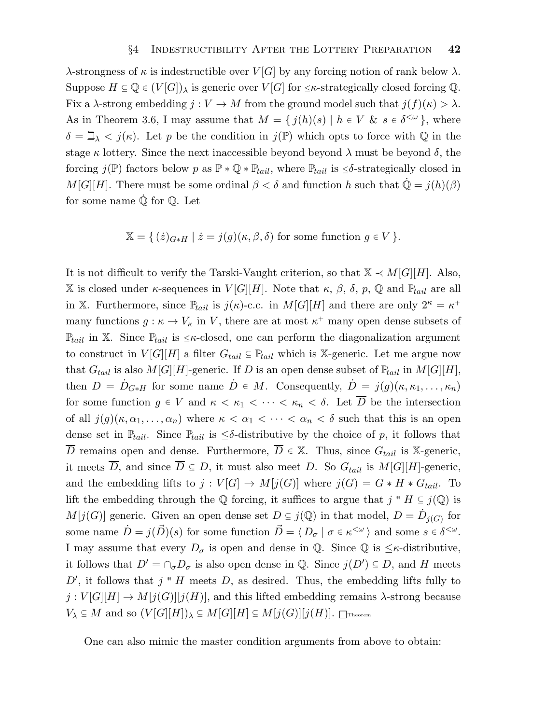λ-strongness of κ is indestructible over  $V[G]$  by any forcing notion of rank below λ. Suppose  $H \subseteq \mathbb{Q} \in (V[G])_\lambda$  is generic over  $V[G]$  for  $\leq \kappa$ -strategically closed forcing  $\mathbb{Q}$ . Fix a  $\lambda$ -strong embedding  $j: V \to M$  from the ground model such that  $j(f)(\kappa) > \lambda$ . As in Theorem 3.6, I may assume that  $M = \{ j(h)(s) | h \in V \& s \in \delta^{\langle \omega \rangle} \}$ , where  $\delta = \mathbb{I}_{\lambda} < j(\kappa)$ . Let p be the condition in  $j(\mathbb{P})$  which opts to force with Q in the stage  $\kappa$  lottery. Since the next inaccessible beyond beyond  $\lambda$  must be beyond  $\delta$ , the forcing  $j(\mathbb{P})$  factors below p as  $\mathbb{P} * \mathbb{Q} * \mathbb{P}_{tail}$ , where  $\mathbb{P}_{tail}$  is  $\leq \delta$ -strategically closed in  $M[G][H]$ . There must be some ordinal  $\beta < \delta$  and function h such that  $\mathbb{Q} = j(h)(\beta)$ for some name  $\dot{\mathbb{Q}}$  for  $\mathbb{Q}$ . Let

$$
\mathbb{X} = \{ (z)_{G \ast H} \mid z = j(g)(\kappa, \beta, \delta) \text{ for some function } g \in V \}.
$$

It is not difficult to verify the Tarski-Vaught criterion, so that  $\mathbb{X} \prec M[G][H]$ . Also, X is closed under  $\kappa$ -sequences in  $V[G][H]$ . Note that  $\kappa$ ,  $\beta$ ,  $\delta$ ,  $p$ ,  $\mathbb{Q}$  and  $\mathbb{P}_{tail}$  are all in X. Furthermore, since  $\mathbb{P}_{tail}$  is  $j(\kappa)$ -c.c. in  $M[G][H]$  and there are only  $2^{\kappa} = \kappa^+$ many functions  $g: \kappa \to V_{\kappa}$  in V, there are at most  $\kappa^+$  many open dense subsets of  $\mathbb{P}_{tail}$  in X. Since  $\mathbb{P}_{tail}$  is  $\leq \kappa$ -closed, one can perform the diagonalization argument to construct in  $V[G][H]$  a filter  $G_{tail} \subseteq \mathbb{P}_{tail}$  which is X-generic. Let me argue now that  $G_{tail}$  is also  $M[G][H]$ -generic. If D is an open dense subset of  $\mathbb{P}_{tail}$  in  $M[G][H]$ , then  $D = D_{G * H}$  for some name  $D \in M$ . Consequently,  $D = j(g)(\kappa, \kappa_1, \ldots, \kappa_n)$ for some function  $g \in V$  and  $\kappa < \kappa_1 < \cdots < \kappa_n < \delta$ . Let  $\overline{D}$  be the intersection of all  $j(g)(\kappa, \alpha_1, \ldots, \alpha_n)$  where  $\kappa < \alpha_1 < \cdots < \alpha_n < \delta$  such that this is an open dense set in  $\mathbb{P}_{tail}$ . Since  $\mathbb{P}_{tail}$  is  $\leq \delta$ -distributive by the choice of p, it follows that  $\overline{D}$  remains open and dense. Furthermore,  $\overline{D} \in \mathbb{X}$ . Thus, since  $G_{tail}$  is X-generic, it meets  $\overline{D}$ , and since  $\overline{D} \subseteq D$ , it must also meet D. So  $G_{tail}$  is  $M[G][H]$ -generic, and the embedding lifts to  $j: V[G] \to M[j(G)]$  where  $j(G) = G * H * G_{tail}$ . To lift the embedding through the Q forcing, it suffices to argue that j "  $H \subseteq j(\mathbb{Q})$  is  $M[j(G)]$  generic. Given an open dense set  $D \subseteq j(\mathbb{Q})$  in that model,  $D = \dot{D}_{j(G)}$  for some name  $\dot{D} = j(\vec{D})(s)$  for some function  $\vec{D} = \langle D_{\sigma} | \sigma \in \kappa^{\langle \omega \rangle} \rangle$  and some  $s \in \delta^{\langle \omega \rangle}$ . I may assume that every  $D_{\sigma}$  is open and dense in Q. Since Q is  $\leq \kappa$ -distributive, it follows that  $D' = \bigcap_{\sigma} D_{\sigma}$  is also open dense in  $\mathbb{Q}$ . Since  $j(D') \subseteq D$ , and H meets  $D'$ , it follows that j " H meets D, as desired. Thus, the embedding lifts fully to  $j: V[G][H] \to M[j(G)][j(H)]$ , and this lifted embedding remains  $\lambda$ -strong because  $V_{\lambda} \subseteq M$  and so  $(V[G][H])_{\lambda} \subseteq M[G][H] \subseteq M[j(G)][j(H)]$ . Treorem

One can also mimic the master condition arguments from above to obtain: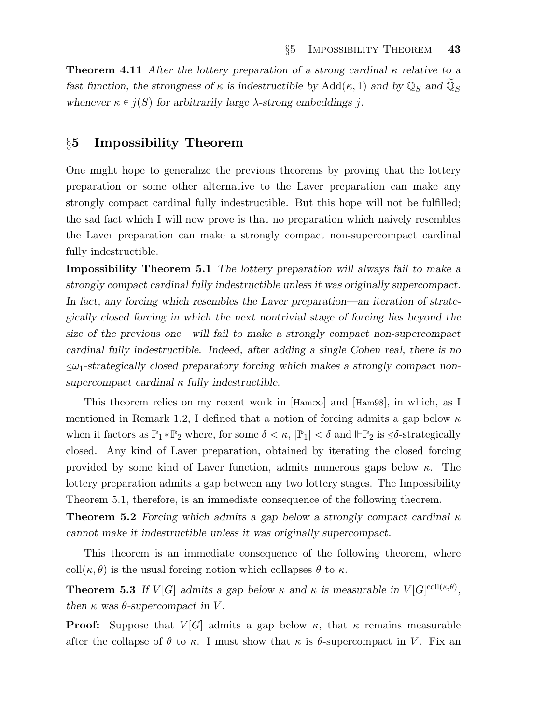**Theorem 4.11** After the lottery preparation of a strong cardinal  $\kappa$  relative to a fast function, the strongness of  $\kappa$  is indestructible by  $Add(\kappa, 1)$  and by  $\mathbb{Q}_S$  and  $\widetilde{\mathbb{Q}}_S$ whenever  $\kappa \in j(S)$  for arbitrarily large  $\lambda$ -strong embeddings j.

# §5 Impossibility Theorem

One might hope to generalize the previous theorems by proving that the lottery preparation or some other alternative to the Laver preparation can make any strongly compact cardinal fully indestructible. But this hope will not be fulfilled; the sad fact which I will now prove is that no preparation which naively resembles the Laver preparation can make a strongly compact non-supercompact cardinal fully indestructible.

Impossibility Theorem 5.1 The lottery preparation will always fail to make a strongly compact cardinal fully indestructible unless it was originally supercompact. In fact, any forcing which resembles the Laver preparation—an iteration of strategically closed forcing in which the next nontrivial stage of forcing lies beyond the size of the previous one—will fail to make a strongly compact non-supercompact cardinal fully indestructible. Indeed, after adding a single Cohen real, there is no  $\leq \omega_1$ -strategically closed preparatory forcing which makes a strongly compact nonsupercompact cardinal  $\kappa$  fully indestructible.

This theorem relies on my recent work in  $\text{[Ham}\infty\text{]}$  and  $\text{[Ham}\infty\text{]}$ , in which, as I mentioned in Remark 1.2, I defined that a notion of forcing admits a gap below  $\kappa$ when it factors as  $\mathbb{P}_1 * \mathbb{P}_2$  where, for some  $\delta < \kappa$ ,  $|\mathbb{P}_1| < \delta$  and  $|\mathbb{P}_2$  is  $\leq \delta$ -strategically closed. Any kind of Laver preparation, obtained by iterating the closed forcing provided by some kind of Laver function, admits numerous gaps below  $\kappa$ . The lottery preparation admits a gap between any two lottery stages. The Impossibility Theorem 5.1, therefore, is an immediate consequence of the following theorem.

**Theorem 5.2** Forcing which admits a gap below a strongly compact cardinal  $\kappa$ cannot make it indestructible unless it was originally supercompact.

This theorem is an immediate consequence of the following theorem, where coll( $\kappa$ ,  $\theta$ ) is the usual forcing notion which collapses  $\theta$  to  $\kappa$ .

**Theorem 5.3** If  $V[G]$  admits a gap below  $\kappa$  and  $\kappa$  is measurable in  $V[G]^{coll(\kappa,\theta)}$ , then  $\kappa$  was  $\theta$ -supercompact in V.

**Proof:** Suppose that  $V[G]$  admits a gap below  $\kappa$ , that  $\kappa$  remains measurable after the collapse of  $\theta$  to  $\kappa$ . I must show that  $\kappa$  is  $\theta$ -supercompact in V. Fix an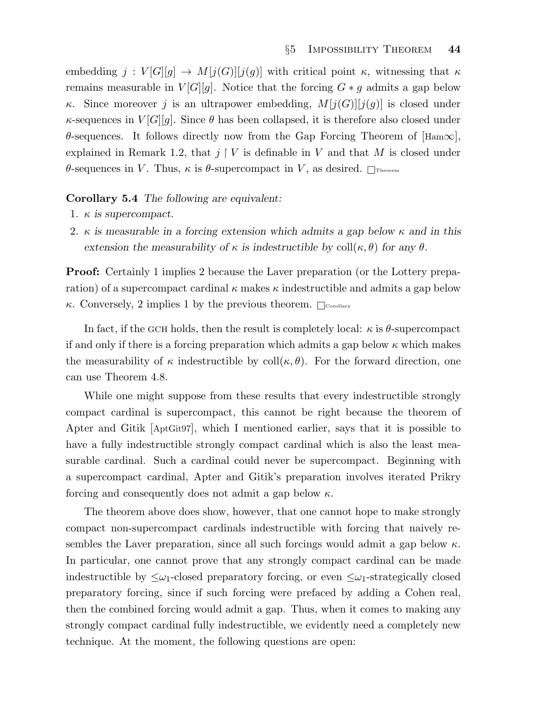embedding  $j: V[G][g] \to M[j(G)][j(g)]$  with critical point  $\kappa$ , witnessing that  $\kappa$ remains measurable in  $V[G][g]$ . Notice that the forcing  $G * g$  admits a gap below κ. Since moreover j is an ultrapower embedding,  $M[j(G)][j(g)]$  is closed under  $\kappa$ -sequences in  $V[G][g]$ . Since  $\theta$  has been collapsed, it is therefore also closed under  $\theta$ -sequences. It follows directly now from the Gap Forcing Theorem of  $|{\rm Ham}\infty|$ , explained in Remark 1.2, that  $j \restriction V$  is definable in V and that M is closed under θ-sequences in V. Thus, κ is θ-supercompact in V, as desired.  $\Box$ Theorem

#### Corollary 5.4 The following are equivalent:

- 1.  $\kappa$  is supercompact.
- 2. κ is measurable in a forcing extension which admits a gap below  $\kappa$  and in this extension the measurability of  $\kappa$  is indestructible by coll $(\kappa, \theta)$  for any  $\theta$ .

Proof: Certainly 1 implies 2 because the Laver preparation (or the Lottery preparation) of a supercompact cardinal  $\kappa$  makes  $\kappa$  indestructible and admits a gap below  $\kappa$ . Conversely, 2 implies 1 by the previous theorem.  $\Box$ <sub>Corollary</sub>

In fact, if the GCH holds, then the result is completely local:  $\kappa$  is  $\theta$ -supercompact if and only if there is a forcing preparation which admits a gap below  $\kappa$  which makes the measurability of  $\kappa$  indestructible by coll $(\kappa, \theta)$ . For the forward direction, one can use Theorem 4.8.

While one might suppose from these results that every indestructible strongly compact cardinal is supercompact, this cannot be right because the theorem of Apter and Gitik [AptGit97], which I mentioned earlier, says that it is possible to have a fully indestructible strongly compact cardinal which is also the least measurable cardinal. Such a cardinal could never be supercompact. Beginning with a supercompact cardinal, Apter and Gitik's preparation involves iterated Prikry forcing and consequently does not admit a gap below  $\kappa$ .

The theorem above does show, however, that one cannot hope to make strongly compact non-supercompact cardinals indestructible with forcing that naively resembles the Laver preparation, since all such forcings would admit a gap below  $\kappa$ . In particular, one cannot prove that any strongly compact cardinal can be made indestructible by  $\leq \omega_1$ -closed preparatory forcing, or even  $\leq \omega_1$ -strategically closed preparatory forcing, since if such forcing were prefaced by adding a Cohen real, then the combined forcing would admit a gap. Thus, when it comes to making any strongly compact cardinal fully indestructible, we evidently need a completely new technique. At the moment, the following questions are open: